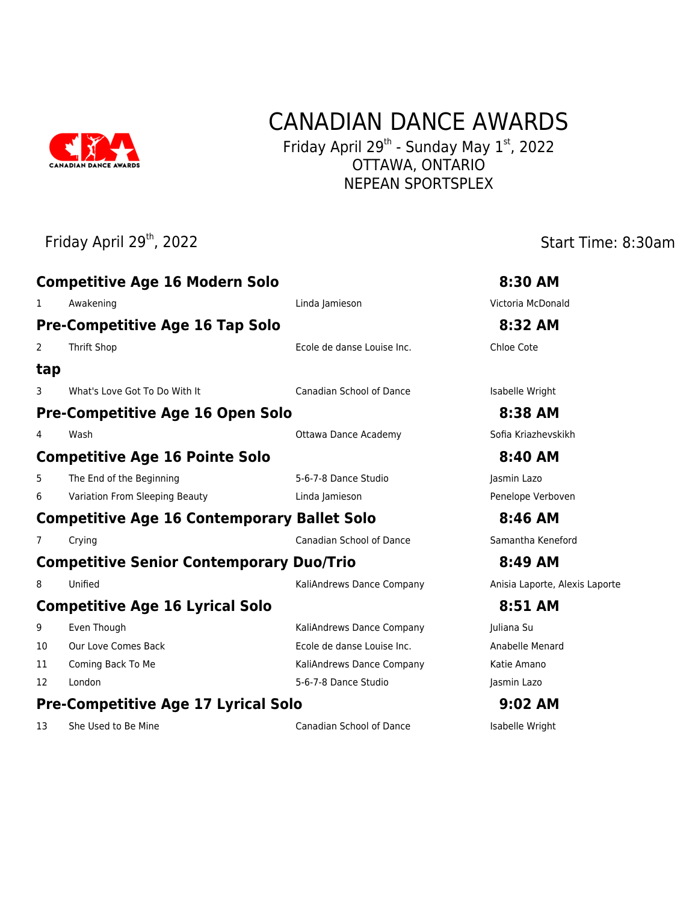

# CANADIAN DANCE AWARDS

Friday April 29<sup>th</sup> - Sunday May  $1<sup>st</sup>$ , 2022 OTTAWA, ONTARIO NEPEAN SPORTSPLEX

# Friday April 29<sup>th</sup>, 2022 **Start Time: 8:30am Competitive Age 16 Modern Solo 8:30 AM** 1 Awakening 2008 and 2009 Linda Jamieson 2009 Mixtoria McDonald **Pre-Competitive Age 16 Tap Solo 8:32 AM** 2 Thrift Shop Ecole de danse Louise Inc. Chloe Cote **tap** 3 What's Love Got To Do With It Canadian School of Dance Isabelle Wright **Pre-Competitive Age 16 Open Solo 8:38 AM** 4 Wash Ottawa Dance Academy Sofia Kriazhevskikh **Competitive Age 16 Pointe Solo 8:40 AM** 5 The End of the Beginning The Studio S-6-7-8 Dance Studio Jasmin Lazo 6 Variation From Sleeping Beauty Linda Jamieson Penelope Verboven **Competitive Age 16 Contemporary Ballet Solo 8:46 AM** 7 Crying Canadian School of Dance Samantha Keneford **Competitive Senior Contemporary Duo/Trio 8:49 AM** 8 Unified Material Company Company Anisia Laporte, Alexis Laporte **Competitive Age 16 Lyrical Solo 8:51 AM** 9 Even Though **Even Though Company** KaliAndrews Dance Company Juliana Su 10 Our Love Comes Back Ecole de danse Louise Inc. Anabelle Menard 11 Coming Back To Me **Kaliandrews Dance Company** Katie Amano 12 London 12 London 10 London 5-6-7-8 Dance Studio 12 London 120

### **Pre-Competitive Age 17 Lyrical Solo 9:02 AM**

13 She Used to Be Mine **Canadian School of Dance** Isabelle Wright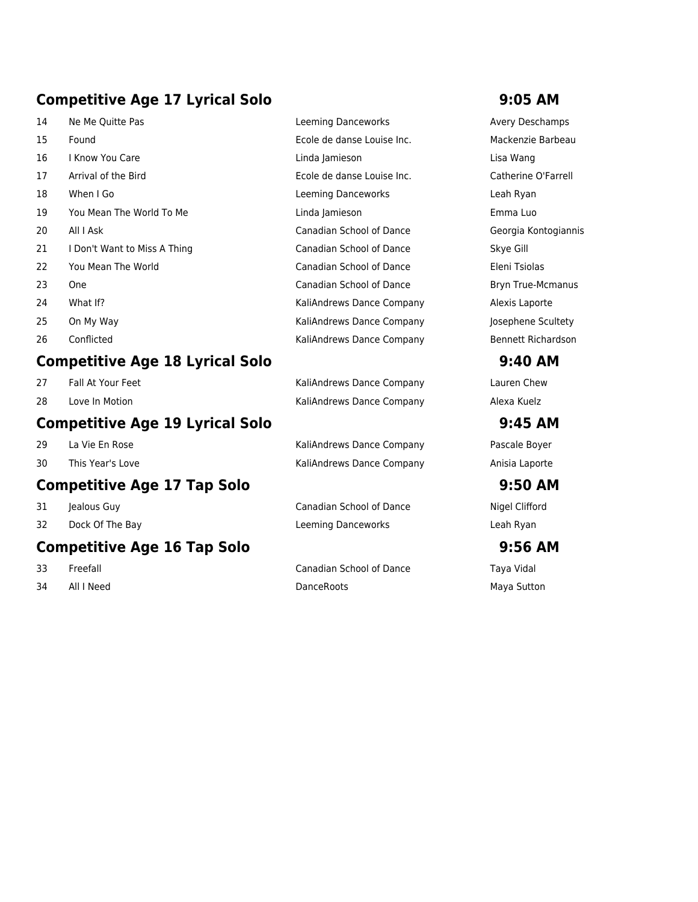# **Competitive Age 17 Lyrical Solo 9:05 AM**

| 14 | Ne Me Quitte Pas             | Leeming Danceworks         | Avery Desch         |
|----|------------------------------|----------------------------|---------------------|
| 15 | Found                        | Ecole de danse Louise Inc. | Mackenzie B         |
| 16 | I Know You Care              | Linda Jamieson             | Lisa Wang           |
| 17 | Arrival of the Bird          | Ecole de danse Louise Inc. | Catherine O'        |
| 18 | When I Go                    | Leeming Danceworks         | Leah Ryan           |
| 19 | You Mean The World To Me     | Linda Jamieson             | Emma Luo            |
| 20 | All I Ask                    | Canadian School of Dance   | Georgia Kon         |
| 21 | I Don't Want to Miss A Thing | Canadian School of Dance   | Skye Gill           |
| 22 | You Mean The World           | Canadian School of Dance   | Eleni Tsiolas       |
| 23 | <b>One</b>                   | Canadian School of Dance   | Bryn True-M         |
| 24 | What If?                     | KaliAndrews Dance Company  | Alexis Lapor        |
| 25 | On My Way                    | KaliAndrews Dance Company  | Josephene S         |
| 26 | Conflicted                   | KaliAndrews Dance Company  | <b>Bennett Rich</b> |

### **Competitive Age 18 Lyrical Solo 9:40 AM**

- 
- 

### **Competitive Age 19 Lyrical Solo 9:45 AM**

- 
- 

### **Competitive Age 17 Tap Solo 9:50 AM**

- 
- 

## **Competitive Age 16 Tap Solo 9:56 AM**

- 
- 

| Leeming Danceworks         | <b>Avery Deschamps</b>   |
|----------------------------|--------------------------|
| Ecole de danse Louise Inc. | Mackenzie Barbeau        |
| Linda Jamieson             | Lisa Wang                |
| Ecole de danse Louise Inc. | Catherine O'Farrell      |
| Leeming Danceworks         | Leah Ryan                |
| Linda Jamieson             | Emma Luo                 |
| Canadian School of Dance   | Georgia Kontogiannis     |
| Canadian School of Dance   | Skye Gill                |
| Canadian School of Dance   | Eleni Tsiolas            |
| Canadian School of Dance   | <b>Bryn True-Mcmanus</b> |
| KaliAndrews Dance Company  | Alexis Laporte           |
| KaliAndrews Dance Company  | Josephene Scultety       |
| KaliAndrews Dance Company  | Bennett Richardson       |

27 Fall At Your Feet **KaliAndrews Dance Company** Lauren Chew 28 Love In Motion **Nation Communist Communist Communist Communist Communist Communist Communist Communist Communist Communist Communist Communist Communist Communist Communist Communist Communist Communist Communist Commun** 

29 La Vie En Rose **New York Communist Company** La Vie En Rose Royer 30 This Year's Love **Matter Company Anisia Laporte** KaliAndrews Dance Company Anisia Laporte

31 Jealous Guy **Canadian School of Dance** Nigel Clifford 32 Dock Of The Bay Leeming Danceworks Leah Ryan

33 Freefall Canadian School of Dance Taya Vidal 34 All I Need **DanceRoots** DanceRoots **Communist Maya Sutton**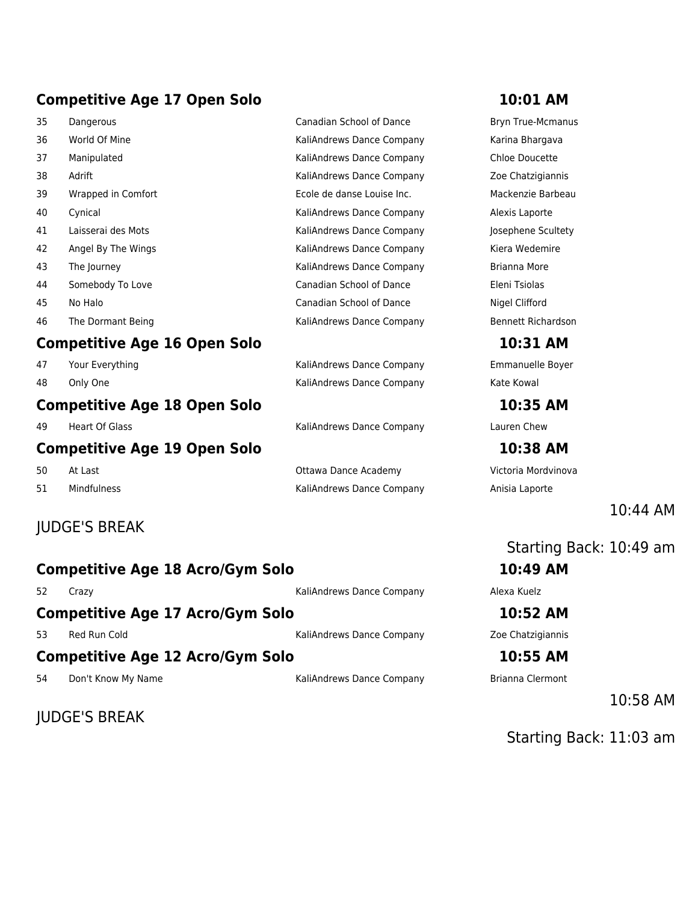# **Competitive Age 17 Open Solo 10:01 AM**

| 35 | Dangerous                           | Canadian School of Dance        | <b>Bryn True-Mcmanus</b>  |
|----|-------------------------------------|---------------------------------|---------------------------|
| 36 | World Of Mine                       | KaliAndrews Dance Company       | Karina Bhargava           |
| 37 | Manipulated                         | KaliAndrews Dance Company       | Chloe Doucette            |
| 38 | Adrift                              | KaliAndrews Dance Company       | Zoe Chatzigiannis         |
| 39 | Wrapped in Comfort                  | Ecole de danse Louise Inc.      | Mackenzie Barbeau         |
| 40 | Cynical                             | KaliAndrews Dance Company       | Alexis Laporte            |
| 41 | Laisserai des Mots                  | KaliAndrews Dance Company       | Josephene Scultety        |
| 42 | Angel By The Wings                  | KaliAndrews Dance Company       | Kiera Wedemire            |
| 43 | The Journey                         | KaliAndrews Dance Company       | Brianna More              |
| 44 | Somebody To Love                    | <b>Canadian School of Dance</b> | Eleni Tsiolas             |
| 45 | No Halo                             | <b>Canadian School of Dance</b> | Nigel Clifford            |
| 46 | The Dormant Being                   | KaliAndrews Dance Company       | <b>Bennett Richardson</b> |
|    | <b>Competitive Age 16 Open Solo</b> |                                 | 10:31 AM                  |
| 47 | Your Everything                     | KaliAndrews Dance Company       | Emmanuelle Boyer          |
| 48 | Only One                            | KaliAndrews Dance Company       | Kate Kowal                |
|    | .                                   |                                 |                           |

### **Competitive Age 19 Open Solo 10:38 AM**

# JUDGE'S BREAK

### **Competitive Age 18 Acro/Gym Solo 10:49 AM**

52 Crazy KaliAndrews Dance Company Alexa Kuelz

### **Competitive Age 17 Acro/Gym Solo 10:52 AM**

53 Red Run Cold **KaliAndrews Dance Company** Zoe Chatzigiannis

**Competitive Age 12 Acro/Gym Solo 10:55 AM**

54 Don't Know My Name The State of Taliandrews Dance Company Brianna Clermont

JUDGE'S BREAK

**Competitive Age 18 Open Solo 10:35 AM** 

10:44 AM

Starting Back: 10:49 am

10:58 AM

Starting Back: 11:03 am

51 Mindfulness **Mindfulness** Manuel Manuel Manuel Manuel Manuel Company Anisia Laporte

# 49 Heart Of Glass **Kaliandrews Dance Company** Lauren Chew 50 At Last Ottawa Dance Academy Victoria Mordvinova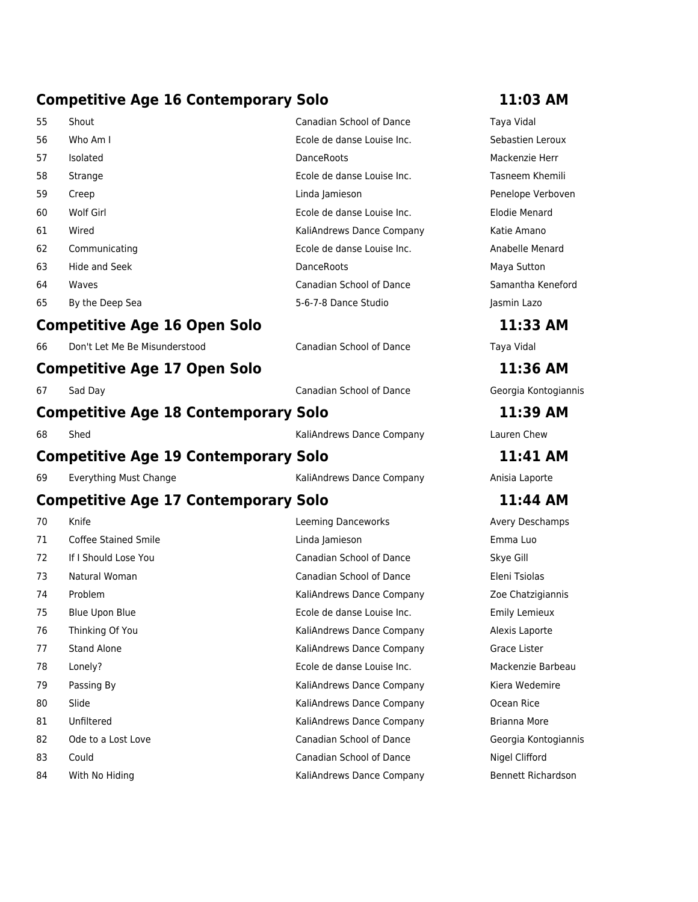# **Competitive Age 16 Contemporary Solo 11:03 AM**

| 55 | Shout                                       | Canadian School of Dance        | Taya Vidal           |
|----|---------------------------------------------|---------------------------------|----------------------|
| 56 | Who Am I                                    | Ecole de danse Louise Inc.      | Sebastien Leroux     |
| 57 | Isolated                                    | DanceRoots                      | Mackenzie Herr       |
| 58 | Strange                                     | Ecole de danse Louise Inc.      | Tasneem Khemili      |
| 59 | Creep                                       | Linda Jamieson                  | Penelope Verboven    |
| 60 | Wolf Girl                                   | Ecole de danse Louise Inc.      | <b>Elodie Menard</b> |
| 61 | Wired                                       | KaliAndrews Dance Company       | Katie Amano          |
| 62 | Communicating                               | Ecole de danse Louise Inc.      | Anabelle Menard      |
| 63 | Hide and Seek                               | DanceRoots                      | Maya Sutton          |
| 64 | Waves                                       | Canadian School of Dance        | Samantha Keneford    |
| 65 | By the Deep Sea                             | 5-6-7-8 Dance Studio            | Jasmin Lazo          |
|    | <b>Competitive Age 16 Open Solo</b>         |                                 | 11:33 AM             |
| 66 | Don't Let Me Be Misunderstood               | <b>Canadian School of Dance</b> | Taya Vidal           |
|    | <b>Competitive Age 17 Open Solo</b>         |                                 | 11:36 AM             |
| 67 | Sad Day                                     | <b>Canadian School of Dance</b> | Georgia Kontogiannis |
|    | <b>Competitive Age 18 Contemporary Solo</b> |                                 | 11:39 AM             |
| 68 | Shed                                        | KaliAndrews Dance Company       | Lauren Chew          |
|    | <b>Competitive Age 19 Contemporary Solo</b> |                                 | 11:41 AM             |
| 69 | Everything Must Change                      | KaliAndrews Dance Company       | Anisia Laporte       |
|    | <b>Competitive Age 17 Contemporary Solo</b> |                                 | 11:44 AM             |
| 70 | Knife                                       | <b>Leeming Danceworks</b>       | Avery Deschamps      |
| 71 | <b>Coffee Stained Smile</b>                 | Linda Jamieson                  | Emma Luo             |
| 72 | If I Should Lose You                        | Canadian School of Dance        | Skye Gill            |
| 73 | Natural Woman                               | Canadian School of Dance        | Eleni Tsiolas        |
| 74 | Problem                                     | KaliAndrews Dance Company       | Zoe Chatzigiannis    |
| 75 | Blue Upon Blue                              | Ecole de danse Louise Inc.      | <b>Emily Lemieux</b> |
| 76 | Thinking Of You                             | KaliAndrews Dance Company       | Alexis Laporte       |
| 77 | <b>Stand Alone</b>                          | KaliAndrews Dance Company       | Grace Lister         |
| 78 | Lonely?                                     | Ecole de danse Louise Inc.      | Mackenzie Barbeau    |
| 79 | Passing By                                  | KaliAndrews Dance Company       | Kiera Wedemire       |
| 80 | Slide                                       | KaliAndrews Dance Company       | Ocean Rice           |
| 81 | Unfiltered                                  | KaliAndrews Dance Company       | Brianna More         |

- 82 Ode to a Lost Love **Canadian School of Dance** Georgia Kontogiannis
- 83 Could Canadian School of Dance Nigel Clifford
- 84 With No Hiding **KaliAndrews Dance Company** Bennett Richardson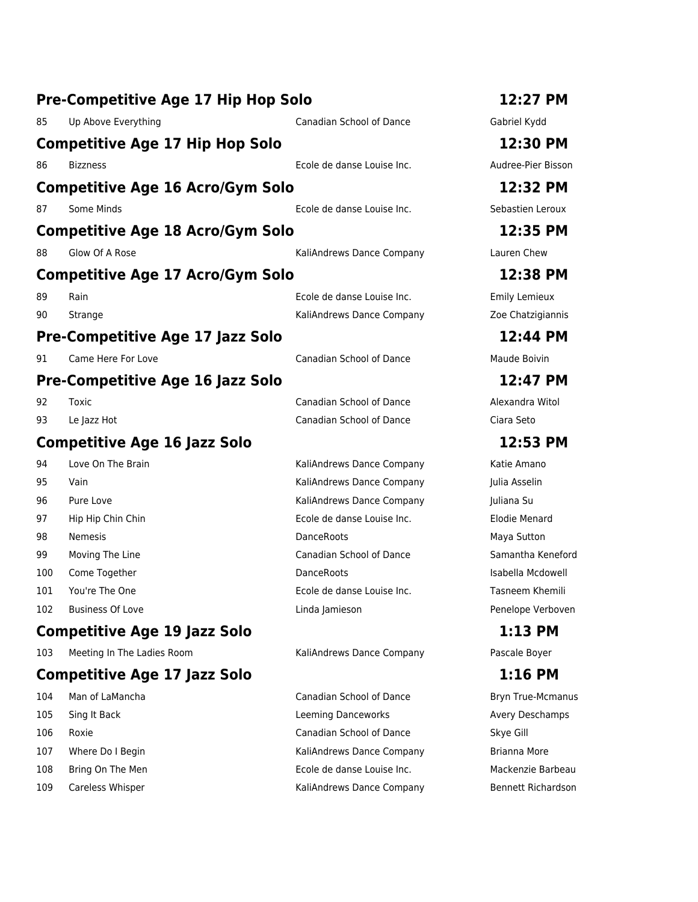|     | Pre-Competitive Age 17 Hip Hop Solo     |                                 | 12:27 PM                 |
|-----|-----------------------------------------|---------------------------------|--------------------------|
| 85  | Up Above Everything                     | Canadian School of Dance        | Gabriel Kydd             |
|     | <b>Competitive Age 17 Hip Hop Solo</b>  |                                 | 12:30 PM                 |
| 86  | <b>Bizzness</b>                         | Ecole de danse Louise Inc.      | Audree-Pier Bisson       |
|     | <b>Competitive Age 16 Acro/Gym Solo</b> |                                 | 12:32 PM                 |
| 87  | Some Minds                              | Ecole de danse Louise Inc.      | Sebastien Leroux         |
|     | <b>Competitive Age 18 Acro/Gym Solo</b> |                                 | 12:35 PM                 |
| 88  | Glow Of A Rose                          | KaliAndrews Dance Company       | Lauren Chew              |
|     | <b>Competitive Age 17 Acro/Gym Solo</b> |                                 | 12:38 PM                 |
| 89  | Rain                                    | Ecole de danse Louise Inc.      | <b>Emily Lemieux</b>     |
| 90  | Strange                                 | KaliAndrews Dance Company       | Zoe Chatzigiannis        |
|     | Pre-Competitive Age 17 Jazz Solo        |                                 | 12:44 PM                 |
| 91  | Came Here For Love                      | <b>Canadian School of Dance</b> | Maude Boivin             |
|     | <b>Pre-Competitive Age 16 Jazz Solo</b> |                                 | 12:47 PM                 |
| 92  | Toxic                                   | <b>Canadian School of Dance</b> | Alexandra Witol          |
| 93  | Le Jazz Hot                             | Canadian School of Dance        | Ciara Seto               |
|     | <b>Competitive Age 16 Jazz Solo</b>     |                                 | 12:53 PM                 |
| 94  | Love On The Brain                       | KaliAndrews Dance Company       | Katie Amano              |
| 95  | Vain                                    | KaliAndrews Dance Company       | Julia Asselin            |
| 96  | Pure Love                               | KaliAndrews Dance Company       | Juliana Su               |
| 97  | Hip Hip Chin Chin                       | Ecole de danse Louise Inc.      | <b>Elodie Menard</b>     |
| 98  | Nemesis                                 | <b>DanceRoots</b>               | Maya Sutton              |
| 99  | Moving The Line                         | Canadian School of Dance        | Samantha Keneford        |
| 100 | Come Together                           | DanceRoots                      | Isabella Mcdowell        |
| 101 | You're The One                          | Ecole de danse Louise Inc.      | Tasneem Khemili          |
| 102 | <b>Business Of Love</b>                 | Linda Jamieson                  | Penelope Verboven        |
|     | <b>Competitive Age 19 Jazz Solo</b>     |                                 | 1:13 PM                  |
| 103 | Meeting In The Ladies Room              | KaliAndrews Dance Company       | Pascale Boyer            |
|     | <b>Competitive Age 17 Jazz Solo</b>     |                                 | $1:16$ PM                |
| 104 | Man of LaMancha                         | Canadian School of Dance        | <b>Bryn True-Mcmanus</b> |
| 105 | Sing It Back                            | <b>Leeming Danceworks</b>       | Avery Deschamps          |
| 106 | Roxie                                   | Canadian School of Dance        | Skye Gill                |
| 107 | Where Do I Begin                        | KaliAndrews Dance Company       | <b>Brianna More</b>      |
| 108 | Bring On The Men                        | Ecole de danse Louise Inc.      | Mackenzie Barbeau        |
| 109 | Careless Whisper                        | KaliAndrews Dance Company       | Bennett Richardson       |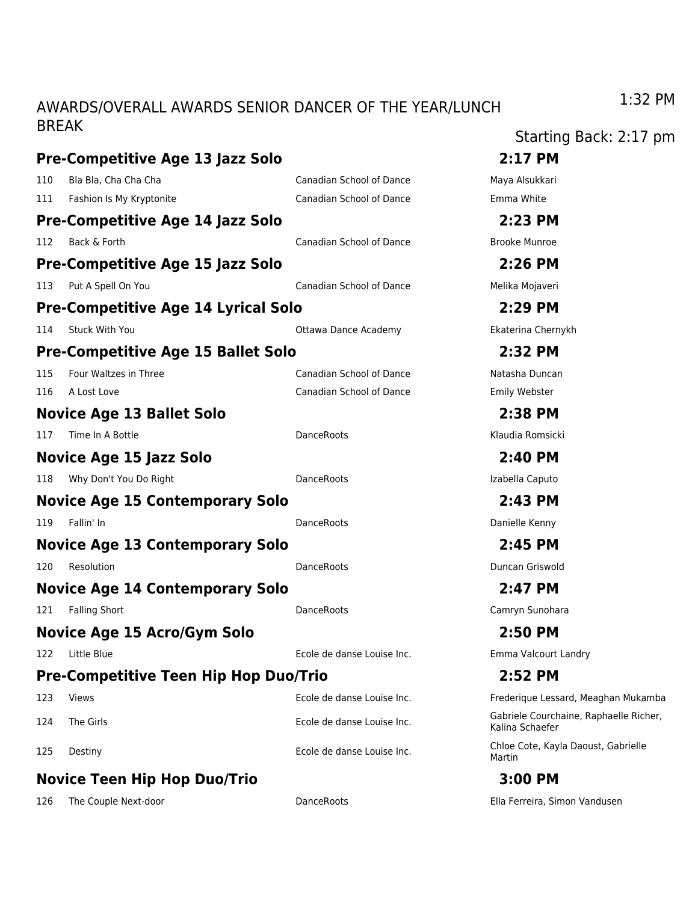### AWARDS/OVERALL AWARDS SENIOR DANCER OF THE YEAR/LUNCH BREAK

| DREAN |                                              |                            | Starting Back: 2:17 pm                                    |
|-------|----------------------------------------------|----------------------------|-----------------------------------------------------------|
|       | Pre-Competitive Age 13 Jazz Solo             |                            | 2:17 PM                                                   |
| 110   | Bla Bla, Cha Cha Cha                         | Canadian School of Dance   | Maya Alsukkari                                            |
|       | 111 Fashion Is My Kryptonite                 | Canadian School of Dance   | Emma White                                                |
|       | Pre-Competitive Age 14 Jazz Solo             |                            | 2:23 PM                                                   |
| 112   | Back & Forth                                 | Canadian School of Dance   | <b>Brooke Munroe</b>                                      |
|       | Pre-Competitive Age 15 Jazz Solo             |                            | 2:26 PM                                                   |
| 113   | Put A Spell On You                           | Canadian School of Dance   | Melika Mojaveri                                           |
|       | Pre-Competitive Age 14 Lyrical Solo          |                            | 2:29 PM                                                   |
| 114   | Stuck With You                               | Ottawa Dance Academy       | Ekaterina Chernykh                                        |
|       | Pre-Competitive Age 15 Ballet Solo           |                            | 2:32 PM                                                   |
| 115   | Four Waltzes in Three                        | Canadian School of Dance   | Natasha Duncan                                            |
| 116   | A Lost Love                                  | Canadian School of Dance   | Emily Webster                                             |
|       | <b>Novice Age 13 Ballet Solo</b>             |                            | 2:38 PM                                                   |
| 117   | Time In A Bottle                             | <b>DanceRoots</b>          | Klaudia Romsicki                                          |
|       | Novice Age 15 Jazz Solo                      |                            | 2:40 PM                                                   |
| 118   | Why Don't You Do Right                       | DanceRoots                 | Izabella Caputo                                           |
|       | <b>Novice Age 15 Contemporary Solo</b>       |                            | 2:43 PM                                                   |
| 119   | Fallin' In                                   | DanceRoots                 | Danielle Kenny                                            |
|       | <b>Novice Age 13 Contemporary Solo</b>       |                            | 2:45 PM                                                   |
| 120   | Resolution                                   | <b>DanceRoots</b>          | Duncan Griswold                                           |
|       | <b>Novice Age 14 Contemporary Solo</b>       |                            | 2:47 PM                                                   |
| 121   | <b>Falling Short</b>                         | DanceRoots                 | Camryn Sunohara                                           |
|       | Novice Age 15 Acro/Gym Solo                  |                            | 2:50 PM                                                   |
| 122   | Little Blue                                  | Ecole de danse Louise Inc. | Emma Valcourt Landry                                      |
|       | <b>Pre-Competitive Teen Hip Hop Duo/Trio</b> |                            | 2:52 PM                                                   |
| 123   | <b>Views</b>                                 | Ecole de danse Louise Inc. | Frederique Lessard, Meaghan Mukamba                       |
| 124   | The Girls                                    | Ecole de danse Louise Inc. | Gabriele Courchaine, Raphaelle Richer,<br>Kalina Schaefer |
| 125   | Destiny                                      | Ecole de danse Louise Inc. | Chloe Cote, Kayla Daoust, Gabrielle<br>Martin             |
|       | <b>Novice Teen Hip Hop Duo/Trio</b>          |                            | 3:00 PM                                                   |

126 The Couple Next-door DanceRoots Ella Ferreira, Simon Vandusen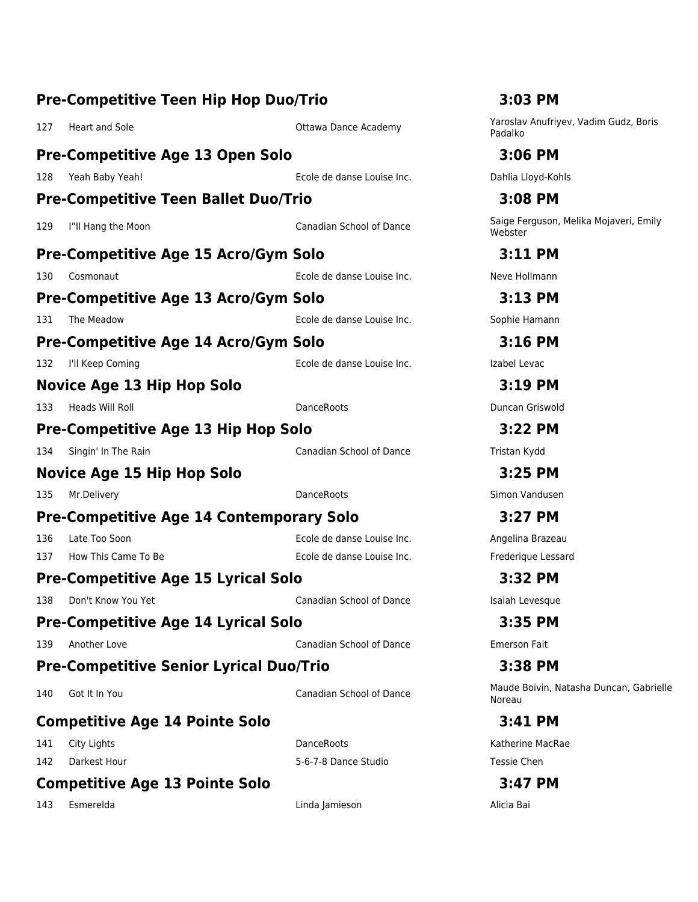| <b>Pre-Competitive Teen Hip Hop Duo/Trio</b>    |                                 | 3:03 PM                                           |
|-------------------------------------------------|---------------------------------|---------------------------------------------------|
| <b>Heart and Sole</b><br>127                    | <b>Ottawa Dance Academy</b>     | Yaroslav Anufriyev, Vadim Gudz, Boris<br>Padalko  |
| <b>Pre-Competitive Age 13 Open Solo</b>         |                                 | 3:06 PM                                           |
| Yeah Baby Yeah!<br>128                          | Ecole de danse Louise Inc.      | Dahlia Lloyd-Kohls                                |
| <b>Pre-Competitive Teen Ballet Duo/Trio</b>     |                                 | 3:08 PM                                           |
| 129<br>I"ll Hang the Moon                       | <b>Canadian School of Dance</b> | Saige Ferguson, Melika Mojaveri, Emily<br>Webster |
| <b>Pre-Competitive Age 15 Acro/Gym Solo</b>     |                                 | 3:11 PM                                           |
| 130<br>Cosmonaut                                | Ecole de danse Louise Inc.      | Neve Hollmann                                     |
| Pre-Competitive Age 13 Acro/Gym Solo            |                                 | 3:13 PM                                           |
| The Meadow<br>131                               | Ecole de danse Louise Inc.      | Sophie Hamann                                     |
| <b>Pre-Competitive Age 14 Acro/Gym Solo</b>     |                                 | $3:16$ PM                                         |
| I'll Keep Coming<br>132                         | Ecole de danse Louise Inc.      | Izabel Levac                                      |
| <b>Novice Age 13 Hip Hop Solo</b>               |                                 | 3:19 PM                                           |
| Heads Will Roll<br>133                          | <b>DanceRoots</b>               | Duncan Griswold                                   |
| <b>Pre-Competitive Age 13 Hip Hop Solo</b>      |                                 | 3:22 PM                                           |
| Singin' In The Rain<br>134                      | Canadian School of Dance        | Tristan Kydd                                      |
| Novice Age 15 Hip Hop Solo                      |                                 | 3:25 PM                                           |
| Mr.Delivery<br>135                              | <b>DanceRoots</b>               | Simon Vandusen                                    |
| <b>Pre-Competitive Age 14 Contemporary Solo</b> |                                 | 3:27 PM                                           |
| 136<br>Late Too Soon                            | Ecole de danse Louise Inc.      | Angelina Brazeau                                  |
| How This Came To Be<br>137                      | Ecole de danse Louise Inc.      | Frederique Lessard                                |
| <b>Pre-Competitive Age 15 Lyrical Solo</b>      |                                 | 3:32 PM                                           |
| Don't Know You Yet<br>138                       | Canadian School of Dance        | Isaiah Levesque                                   |
| <b>Pre-Competitive Age 14 Lyrical Solo</b>      |                                 | 3:35 PM                                           |
| Another Love<br>139                             | <b>Canadian School of Dance</b> | <b>Emerson Fait</b>                               |
| <b>Pre-Competitive Senior Lyrical Duo/Trio</b>  |                                 | 3:38 PM                                           |
| Got It In You<br>140                            | <b>Canadian School of Dance</b> | Maude Boivin, Natasha Duncan, Gabrielle<br>Noreau |
| <b>Competitive Age 14 Pointe Solo</b>           |                                 | 3:41 PM                                           |
| City Lights<br>141                              | DanceRoots                      | Katherine MacRae                                  |
| Darkest Hour<br>142                             | 5-6-7-8 Dance Studio            | Tessie Chen                                       |
| <b>Competitive Age 13 Pointe Solo</b>           |                                 | 3:47 PM                                           |
| Esmerelda<br>143                                | Linda Jamieson                  | Alicia Bai                                        |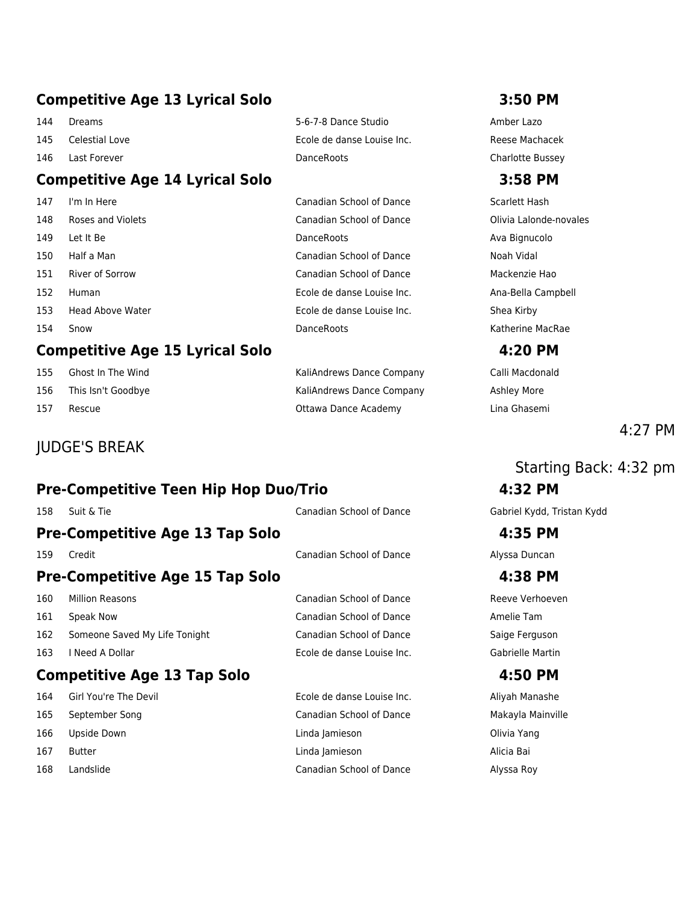# **Competitive Age 13 Lyrical Solo 3:50 PM**

- 
- 

# **Competitive Age 14 Lyrical Solo 3:58 PM**

# **Competitive Age 15 Lyrical Solo 4:20 PM**

- 
- 

# JUDGE'S BREAK

# **Pre-Competitive Teen Hip Hop Duo/Trio 4:32 PM**

# **Pre-Competitive Age 13 Tap Solo 4:35 PM**

# **Pre-Competitive Age 15 Tap Solo 4:38 PM**

- 
- 
- 162 Someone Saved My Life Tonight Canadian School of Dance Saige Ferguson
- 

# **Competitive Age 13 Tap Solo 4:50 PM**

- 
- 
- 
- 
- 

144 Dreams 5-6-7-8 Dance Studio Amber Lazo 145 Celestial Love Ecole de danse Louise Inc. Reese Machacek 146 Last Forever DanceRoots Charlotte Bussey

 I'm In Here Canadian School of Dance Scarlett Hash Roses and Violets Canadian School of Dance Olivia Lalonde-novales 149 Let It Be **DanceRoots Contact Ava Bignucolo Contact Ava Bignucolo Ava Bignucolo**  Half a Man Canadian School of Dance Noah Vidal River of Sorrow Canadian School of Dance Mackenzie Hao Human Ecole de danse Louise Inc. Ana-Bella Campbell 153 Head Above Water **Ecole de danse Louise Inc.** Shea Kirby 154 Snow **DanceRoots** DanceRoots **Communist Communist Communist Communist Communist Communist Communist Communist Communist Communist Communist Communist Communist Communist Communist Communist Communist Communist Communis** 

155 Ghost In The Wind **Caliangle Company** Caliandrews Dance Company Calli Macdonald 156 This Isn't Goodbye This Isn't Goodbye Company Ashley More 157 Rescue Ottawa Dance Academy Lina Ghasemi

# $4.27$  PM

# Starting Back: 4:32 pm

158 Suit & Tie Canadian School of Dance Gabriel Kydd, Tristan Kydd

159 Credit Canadian School of Dance Alyssa Duncan

160 Million Reasons **Canadian School of Dance** Reeve Verhoeven 161 Speak Now Canadian School of Dance Amelie Tam 163 I Need A Dollar Ecole de danse Louise Inc. Gabrielle Martin

164 Girl You're The Devil **Ecole de danse Louise Inc.** Aliyah Manashe September Song Canadian School of Dance Makayla Mainville Upside Down Linda Jamieson Olivia Yang Butter Linda Jamieson Alicia Bai Landslide Canadian School of Dance Alyssa Roy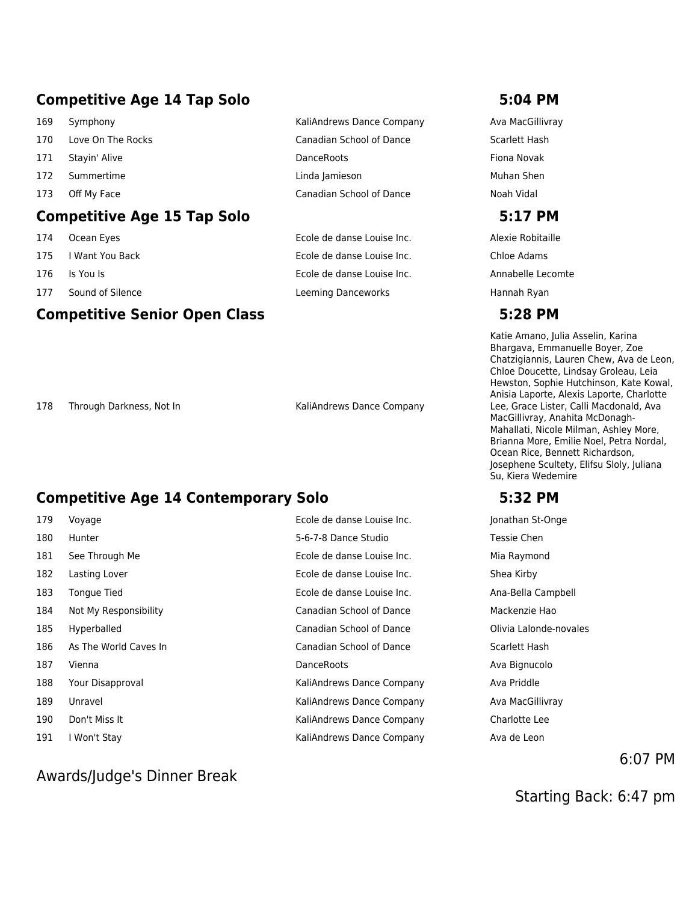# **Competitive Age 14 Tap Solo 5:04 PM**

- 169 Symphony **MacGillivray** KaliAndrews Dance Company Ava MacGillivray 170 Love On The Rocks **Canadian School of Dance** Scarlett Hash 171 Stayin' Alive **Communist Communist Communist Communist Communist Communist Communist Communist Communist Communist Communist Communist Communist Communist Communist Communist Communist Communist Communist Communist Com** 172 Summertime Linda Jamieson Muhan Shen 173 Off My Face **Canadian School of Dance** Noah Vidal **Competitive Age 15 Tap Solo 5:17 PM**
- 
- 
- 
- 

### **Competitive Senior Open Class 5:28 PM**

 Ocean Eyes Ecole de danse Louise Inc. Alexie Robitaille I Want You Back Ecole de danse Louise Inc. Chloe Adams Is You Is Ecole de danse Louise Inc. Annabelle Lecomte 177 Sound of Silence **Leeming Danceworks** Hannah Ryan

178 Through Darkness, Not In KaliAndrews Dance Company

### **Competitive Age 14 Contemporary Solo 5:32 PM**

| 179 | Voyage                | Ecole de danse Louise Inc.      | Jonathan St-Onge       |
|-----|-----------------------|---------------------------------|------------------------|
| 180 | Hunter                | 5-6-7-8 Dance Studio            | Tessie Chen            |
| 181 | See Through Me        | Ecole de danse Louise Inc.      | Mia Raymond            |
| 182 | Lasting Lover         | Ecole de danse Louise Inc.      | Shea Kirby             |
| 183 | Tongue Tied           | Ecole de danse Louise Inc.      | Ana-Bella Campbell     |
| 184 | Not My Responsibility | <b>Canadian School of Dance</b> | Mackenzie Hao          |
| 185 | Hyperballed           | Canadian School of Dance        | Olivia Lalonde-novales |
| 186 | As The World Caves In | Canadian School of Dance        | Scarlett Hash          |
| 187 | Vienna                | <b>DanceRoots</b>               | Ava Bignucolo          |
| 188 | Your Disapproval      | KaliAndrews Dance Company       | Ava Priddle            |
| 189 | Unravel               | KaliAndrews Dance Company       | Ava MacGillivray       |
| 190 | Don't Miss It         | KaliAndrews Dance Company       | Charlotte Lee          |
| 191 | I Won't Stay          | KaliAndrews Dance Company       | Ava de Leon            |
|     |                       |                                 |                        |

### Awards/Judge's Dinner Break

Katie Amano, Julia Asselin, Karina Bhargava, Emmanuelle Boyer, Zoe Chatzigiannis, Lauren Chew, Ava de Leon, Chloe Doucette, Lindsay Groleau, Leia Hewston, Sophie Hutchinson, Kate Kowal, Anisia Laporte, Alexis Laporte, Charlotte Lee, Grace Lister, Calli Macdonald, Ava MacGillivray, Anahita McDonagh-Mahallati, Nicole Milman, Ashley More, Brianna More, Emilie Noel, Petra Nordal, Ocean Rice, Bennett Richardson, Josephene Scultety, Elifsu Sloly, Juliana Su, Kiera Wedemire

| Jonathan St-Onge       |
|------------------------|
| Tessie Chen            |
| Mia Raymond            |
| Shea Kirby             |
| Ana-Bella Campbell     |
| Mackenzie Hao          |
| Olivia Lalonde-novales |
| Scarlett Hash          |
| Ava Bignucolo          |
| Ava Priddle            |
| Ava MacGillivray       |
| Charlotte Lee          |
| Ava de Leon            |

6:07 PM

Starting Back: 6:47 pm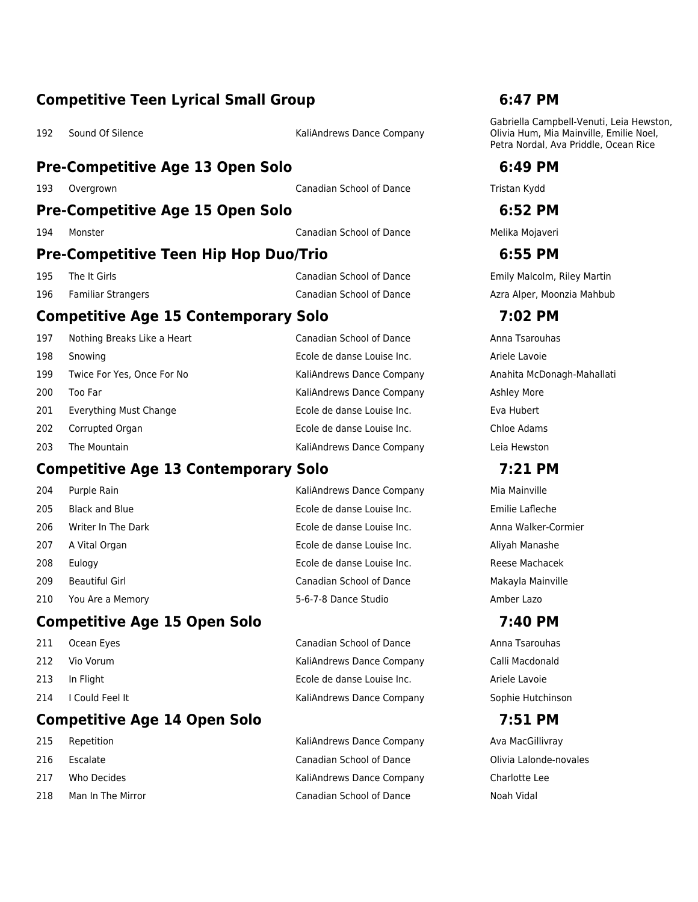### **Competitive Teen Lyrical Small Group 6:47 PM**

192 Sound Of Silence **KaliAndrews Dance Company** 

### **Pre-Competitive Age 13 Open Solo 6:49 PM**

193 Overgrown Canadian School of Dance Tristan Kydd

### **Pre-Competitive Age 15 Open Solo 6:52 PM**

194 Monster Canadian School of Dance Melika Mojaveri

### **Pre-Competitive Teen Hip Hop Duo/Trio 6:55 PM**

### **Competitive Age 15 Contemporary Solo 7:02 PM**

| 197 | Nothing Breaks Like a Heart | Canadian School of Dance   | Anna Tsarouhas |
|-----|-----------------------------|----------------------------|----------------|
| 198 | Snowing                     | Ecole de danse Louise Inc. | Ariele Lavoie  |
| 199 | Twice For Yes, Once For No  | KaliAndrews Dance Company  | Anahita McDona |
| 200 | Too Far                     | KaliAndrews Dance Company  | Ashley More    |
| 201 | Everything Must Change      | Ecole de danse Louise Inc. | Eva Hubert     |
| 202 | Corrupted Organ             | Ecole de danse Louise Inc. | Chloe Adams    |
| 203 | The Mountain                | KaliAndrews Dance Company  | Leia Hewston   |

### **Competitive Age 13 Contemporary Solo 7:21 PM**

 Black and Blue Ecole de danse Louise Inc. Emilie Lafleche 206 Writer In The Dark **Ecole de danse Louise Inc.** Anna Walker-Cormier 207 A Vital Organ **Ecole de danse Louise Inc.** Aliyah Manashe Eulogy Ecole de danse Louise Inc. Reese Machacek Beautiful Girl Canadian School of Dance Makayla Mainville You Are a Memory 5-6-7-8 Dance Studio Amber Lazo

### **Competitive Age 15 Open Solo 7:40 PM**

- 
- 
- 
- 

### **Competitive Age 14 Open Solo 7:51 PM**

- 
- 
- 
- 

204 Purple Rain Nation And The KaliAndrews Dance Company Mia Mainville

211 Ocean Eyes **Canadian School of Dance** Anna Tsarouhas 212 Vio Vorum KaliAndrews Dance Company Calli Macdonald 213 In Flight Ecole de danse Louise Inc. Ariele Lavoie 214 I Could Feel It **Kaliandrews Dance Company** Sophie Hutchinson

215 Repetition **Nation Company** KaliAndrews Dance Company Ava MacGillivray 216 Escalate Canadian School of Dance Olivia Lalonde-novales 217 Who Decides **KaliAndrews Dance Company** Charlotte Lee 218 Man In The Mirror Canadian School of Dance Noah Vidal

Gabriella Campbell-Venuti, Leia Hewston, Olivia Hum, Mia Mainville, Emilie Noel, Petra Nordal, Ava Priddle, Ocean Rice

195 The It Girls Canadian School of Dance Emily Malcolm, Riley Martin 196 Familiar Strangers **Canadian School of Dance** Azra Alper, Moonzia Mahbub Canadian School of Dance

Anahita McDonagh-Mahallati Ashley More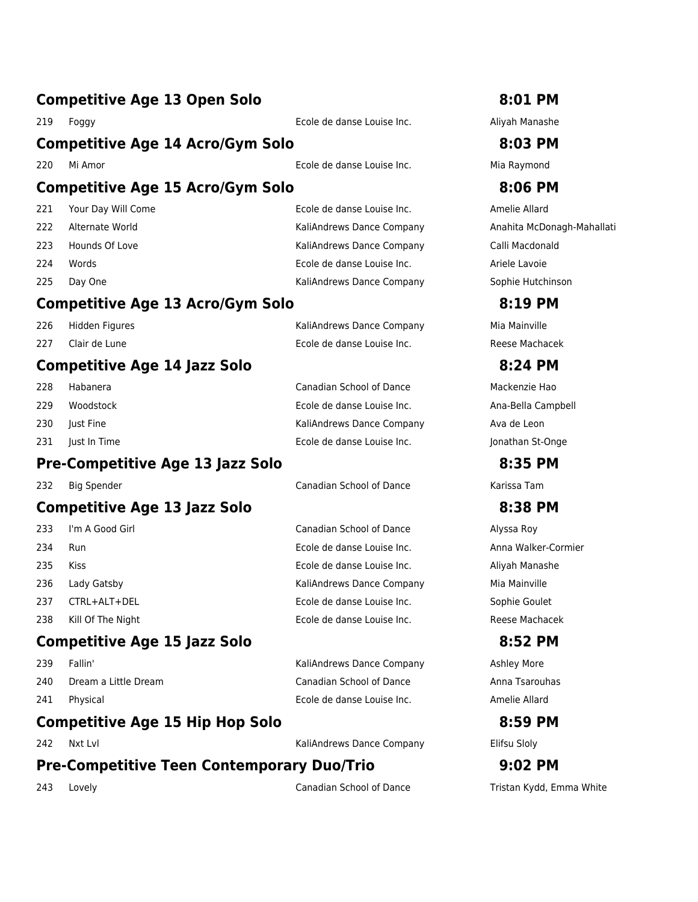| 219 | Foggy                                   | Ecole de danse Louise Inc.      | Aliyah Manashe     |
|-----|-----------------------------------------|---------------------------------|--------------------|
|     | <b>Competitive Age 14 Acro/Gym Solo</b> |                                 | 8:03 PM            |
| 220 | Mi Amor                                 | Ecole de danse Louise Inc.      | Mia Raymond        |
|     | <b>Competitive Age 15 Acro/Gym Solo</b> |                                 | 8:06 PM            |
| 221 | Your Day Will Come                      | Ecole de danse Louise Inc.      | Amelie Allard      |
| 222 | Alternate World                         | KaliAndrews Dance Company       | Anahita McDona     |
| 223 | Hounds Of Love                          | KaliAndrews Dance Company       | Calli Macdonald    |
| 224 | Words                                   | Ecole de danse Louise Inc.      | Ariele Lavoie      |
| 225 | Day One                                 | KaliAndrews Dance Company       | Sophie Hutchins    |
|     | <b>Competitive Age 13 Acro/Gym Solo</b> |                                 | 8:19 PM            |
| 226 | Hidden Figures                          | KaliAndrews Dance Company       | Mia Mainville      |
| 227 | Clair de Lune                           | Ecole de danse Louise Inc.      | Reese Machacek     |
|     | <b>Competitive Age 14 Jazz Solo</b>     |                                 | 8:24 PM            |
| 228 | Habanera                                | Canadian School of Dance        | Mackenzie Hao      |
| 229 | Woodstock                               | Ecole de danse Louise Inc.      | Ana-Bella Campl    |
| 230 | Just Fine                               | KaliAndrews Dance Company       | Ava de Leon        |
| 231 | Just In Time                            | Ecole de danse Louise Inc.      | Jonathan St-Ong    |
|     | <b>Pre-Competitive Age 13 Jazz Solo</b> |                                 | 8:35 PM            |
| 232 | <b>Big Spender</b>                      | <b>Canadian School of Dance</b> | Karissa Tam        |
|     | <b>Competitive Age 13 Jazz Solo</b>     |                                 | 8:38 PM            |
| 233 | I'm A Good Girl                         | Canadian School of Dance        | Alyssa Roy         |
| 234 | <b>Run</b>                              | Ecole de danse Louise Inc.      | Anna Walker-Cor    |
| 235 | <b>Kiss</b>                             | Ecole de danse Louise Inc.      | Aliyah Manashe     |
| 236 | Lady Gatsby                             | KaliAndrews Dance Company       | Mia Mainville      |
| 237 | CTRL+ALT+DEL                            | Ecole de danse Louise Inc.      | Sophie Goulet      |
| 238 | Kill Of The Night                       | Ecole de danse Louise Inc.      | Reese Machacek     |
|     | <b>Competitive Age 15 Jazz Solo</b>     |                                 | 8:52 PM            |
| 239 | Fallin'                                 | KaliAndrews Dance Company       | <b>Ashley More</b> |

- 
- 

# **Competitive Age 15 Hip Hop Solo 8:59 PM**

242 Nxt Lvl **KaliAndrews Dance Company** Elifsu Sloly

# **Pre-Competitive Teen Contemporary Duo/Trio 9:02 PM**

243 Lovely **Canadian School of Dance** Tristan Kydd, Emma White Canadian School of Dance

### **Competitive Age 13 Open Solo 8:01 PM**

hita McDonagh-Mahallati hie Hutchinson

-Bella Campbell athan St-Onge

a Walker-Cormier

240 Dream a Little Dream Canadian School of Dance Anna Tsarouhas 241 Physical Ecole de danse Louise Inc. Amelie Allard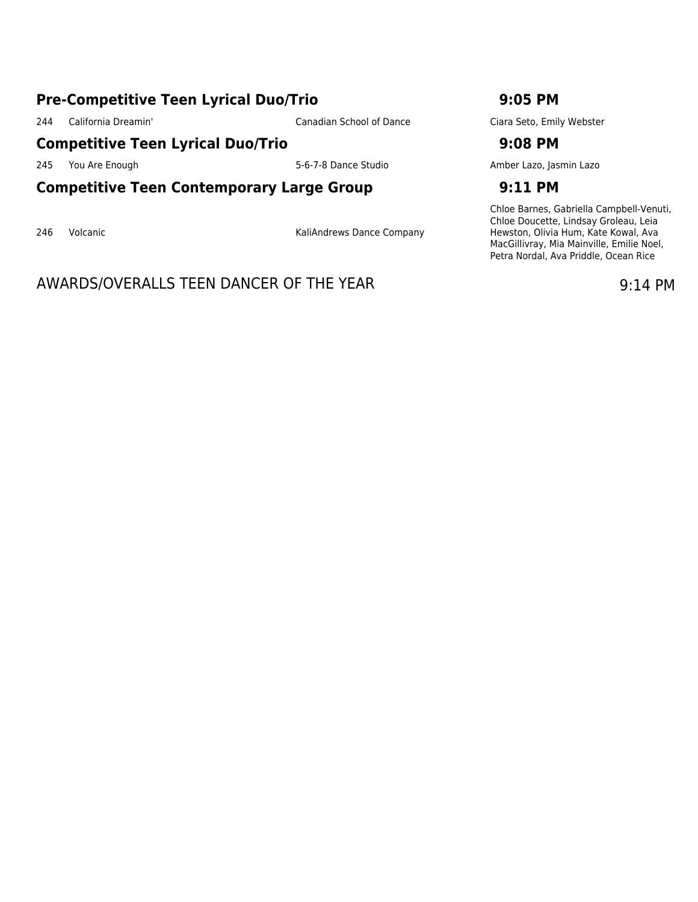### **Pre-Competitive Teen Lyrical Duo/Trio 9:05 PM**

244 California Dreamin' Canadian School of Dance Ciara Seto, Emily Webster

### **Competitive Teen Lyrical Duo/Trio 9:08 PM**

### **Competitive Teen Contemporary Large Group 9:11 PM**

246 Volcanic **Company** KaliAndrews Dance Company

# AWARDS/OVERALLS TEEN DANCER OF THE YEAR 19:14 PM

245 You Are Enough 245 You Are Enough 1980 Service Studio 5-6-7-8 Dance Studio 31 Amber Lazo, Jasmin Lazo

Chloe Barnes, Gabriella Campbell-Venuti, Chloe Doucette, Lindsay Groleau, Leia Hewston, Olivia Hum, Kate Kowal, Ava MacGillivray, Mia Mainville, Emilie Noel, Petra Nordal, Ava Priddle, Ocean Rice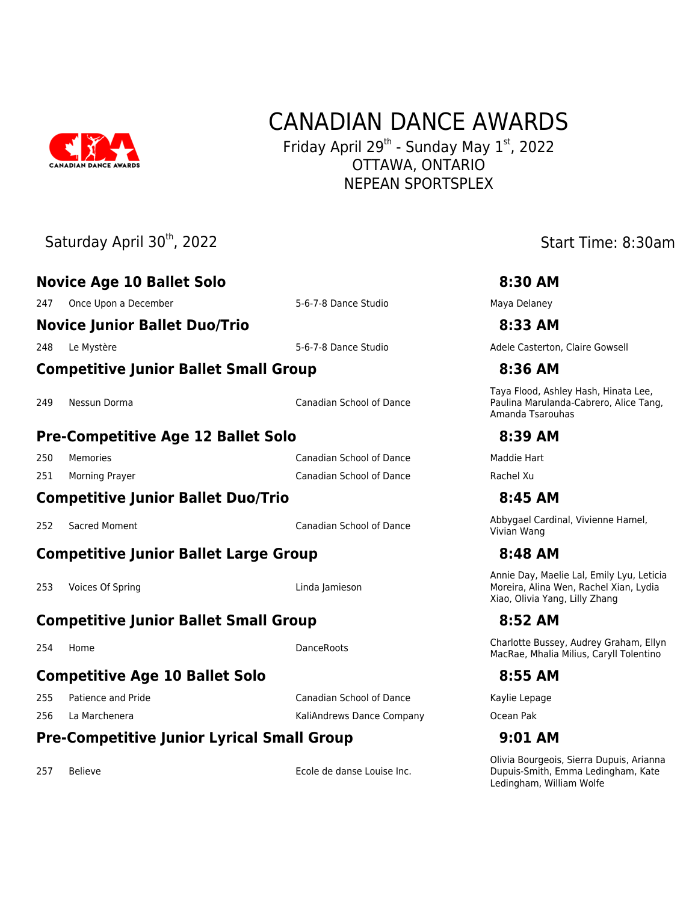

# CANADIAN DANCE AWARDS

Friday April 29<sup>th</sup> - Sunday May 1st, 2022 OTTAWA, ONTARIO NEPEAN SPORTSPLEX

|     | Saturday April 30th, 2022                         |                                 | Start Time: 8:30am                                                                                                    |
|-----|---------------------------------------------------|---------------------------------|-----------------------------------------------------------------------------------------------------------------------|
|     | <b>Novice Age 10 Ballet Solo</b>                  |                                 | 8:30 AM                                                                                                               |
| 247 | Once Upon a December                              | 5-6-7-8 Dance Studio            | Maya Delaney                                                                                                          |
|     | <b>Novice Junior Ballet Duo/Trio</b>              |                                 | 8:33 AM                                                                                                               |
| 248 | Le Mystère                                        | 5-6-7-8 Dance Studio            | Adele Casterton, Claire Gowsell                                                                                       |
|     | <b>Competitive Junior Ballet Small Group</b>      |                                 | 8:36 AM                                                                                                               |
| 249 | Nessun Dorma                                      | <b>Canadian School of Dance</b> | Taya Flood, Ashley Hash, Hinata Lee,<br>Paulina Marulanda-Cabrero, Alice Tang,<br>Amanda Tsarouhas                    |
|     | <b>Pre-Competitive Age 12 Ballet Solo</b>         |                                 | 8:39 AM                                                                                                               |
| 250 | Memories                                          | <b>Canadian School of Dance</b> | Maddie Hart                                                                                                           |
| 251 | <b>Morning Prayer</b>                             | <b>Canadian School of Dance</b> | Rachel Xu                                                                                                             |
|     | <b>Competitive Junior Ballet Duo/Trio</b>         |                                 | 8:45 AM                                                                                                               |
| 252 | Sacred Moment                                     | <b>Canadian School of Dance</b> | Abbygael Cardinal, Vivienne Hamel,<br>Vivian Wang                                                                     |
|     | <b>Competitive Junior Ballet Large Group</b>      |                                 | 8:48 AM                                                                                                               |
| 253 | Voices Of Spring                                  | Linda Jamieson                  | Annie Day, Maelie Lal, Emily Lyu, Leticia<br>Moreira, Alina Wen, Rachel Xian, Lydia<br>Xiao, Olivia Yang, Lilly Zhang |
|     | <b>Competitive Junior Ballet Small Group</b>      |                                 | 8:52 AM                                                                                                               |
| 254 | Home                                              | DanceRoots                      | Charlotte Bussey, Audrey Graham, Ellyn<br>MacRae, Mhalia Milius, Caryll Tolentino                                     |
|     | <b>Competitive Age 10 Ballet Solo</b>             |                                 | 8:55 AM                                                                                                               |
| 255 | Patience and Pride                                | <b>Canadian School of Dance</b> | Kaylie Lepage                                                                                                         |
| 256 | La Marchenera                                     | KaliAndrews Dance Company       | Ocean Pak                                                                                                             |
|     | <b>Pre-Competitive Junior Lyrical Small Group</b> |                                 | 9:01 AM                                                                                                               |
|     |                                                   |                                 | Olivia Bourgeois, Sierra Dupuis, Arianna                                                                              |

257 Believe **Ecole de danse Louise Inc.** 

Dupuis-Smith, Emma Ledingham, Kate

Ledingham, William Wolfe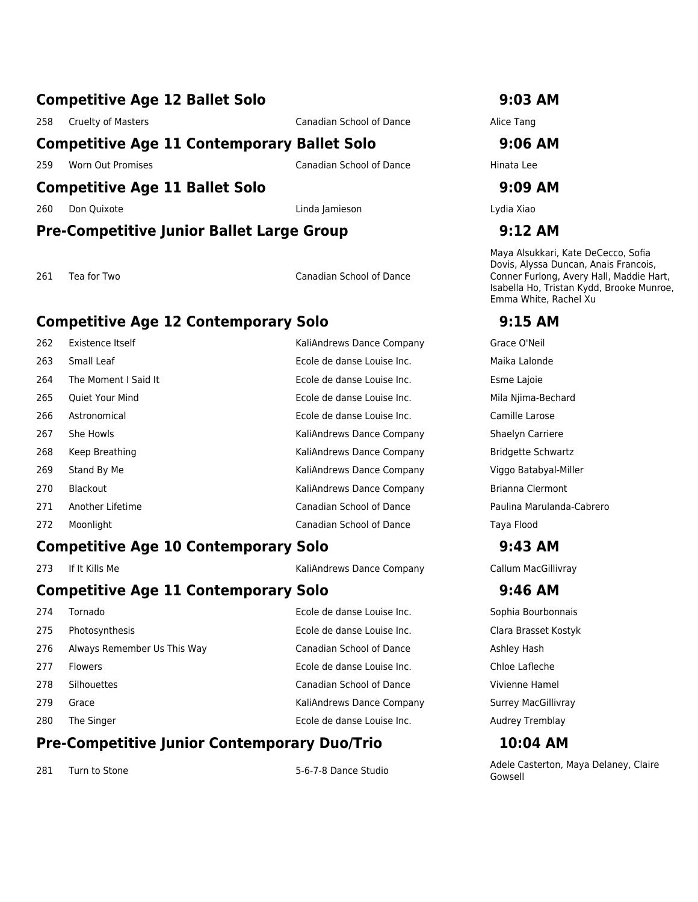### **Competitive Age 12 Ballet Solo 9:03 AM**

258 Cruelty of Masters **Canadian School of Dance** Alice Tang

### **Competitive Age 11 Contemporary Ballet Solo 9:06 AM**

259 Worn Out Promises Canadian School of Dance Hinata Lee

### **Competitive Age 11 Ballet Solo 9:09 AM**

260 Don Quixote Linda Jamieson Lydia Xiao

### **Pre-Competitive Junior Ballet Large Group 9:12 AM**

261 Tea for Two Canadian School of Dance

### **Competitive Age 12 Contemporary Solo 9:15 AM**

| 262 | Existence Itself       | KaliAndrews Dance Company       | Grace O'Neil          |
|-----|------------------------|---------------------------------|-----------------------|
| 263 | Small Leaf             | Ecole de danse Louise Inc.      | Maika Lalonde         |
| 264 | The Moment I Said It   | Ecole de danse Louise Inc.      | Esme Lajoie           |
| 265 | <b>Oujet Your Mind</b> | Ecole de danse Louise Inc.      | Mila Njima-Beo        |
| 266 | Astronomical           | Ecole de danse Louise Inc.      | Camille Larose        |
| 267 | She Howls              | KaliAndrews Dance Company       | Shaelyn Carrie        |
| 268 | Keep Breathing         | KaliAndrews Dance Company       | <b>Bridgette Schy</b> |
| 269 | Stand By Me            | KaliAndrews Dance Company       | Viggo Batabya         |
| 270 | <b>Blackout</b>        | KaliAndrews Dance Company       | Brianna Clerm         |
| 271 | Another Lifetime       | Canadian School of Dance        | Paulina Marula        |
| 272 | Moonlight              | <b>Canadian School of Dance</b> | Taya Flood            |
|     |                        |                                 |                       |

### **Competitive Age 10 Contemporary Solo 9:43 AM**

273 If It Kills Me **KaliAndrews Dance Company** Callum MacGillivray Callum MacGillivray

### **Competitive Age 11 Contemporary Solo 9:46 AM**

| 274 | Tornado                     | Ecole de danse Louise Inc. | Sophia Bour        |
|-----|-----------------------------|----------------------------|--------------------|
| 275 | Photosynthesis              | Ecole de danse Louise Inc. | Clara Brasse       |
| 276 | Always Remember Us This Way | Canadian School of Dance   | Ashley Hash        |
| 277 | <b>Flowers</b>              | Ecole de danse Louise Inc. | Chloe Laflec       |
| 278 | Silhouettes                 | Canadian School of Dance   | Vivienne Ha        |
| 279 | Grace                       | KaliAndrews Dance Company  | Surrey MacC        |
| 280 | The Singer                  | Ecole de danse Louise Inc. | <b>Audrey Tren</b> |
|     |                             |                            |                    |

### **Pre-Competitive Junior Contemporary Duo/Trio 10:04 AM**

Maya Alsukkari, Kate DeCecco, Sofia Dovis, Alyssa Duncan, Anais Francois, Conner Furlong, Avery Hall, Maddie Hart, Isabella Ho, Tristan Kydd, Brooke Munroe, Emma White, Rachel Xu

Mila Njima-Bechard Camille Larose Shaelyn Carriere Bridgette Schwartz Viggo Batabyal-Miller Brianna Clermont Paulina Marulanda-Cabrero

Sophia Bourbonnais Clara Brasset Kostyk Chloe Lafleche Vivienne Hamel Surrey MacGillivray Audrey Tremblay

281 Turn to Stone 1982 September 281 September 281 Turn to Stone 1982 September 281 Turn to Stone 1996 September 28 Gowsell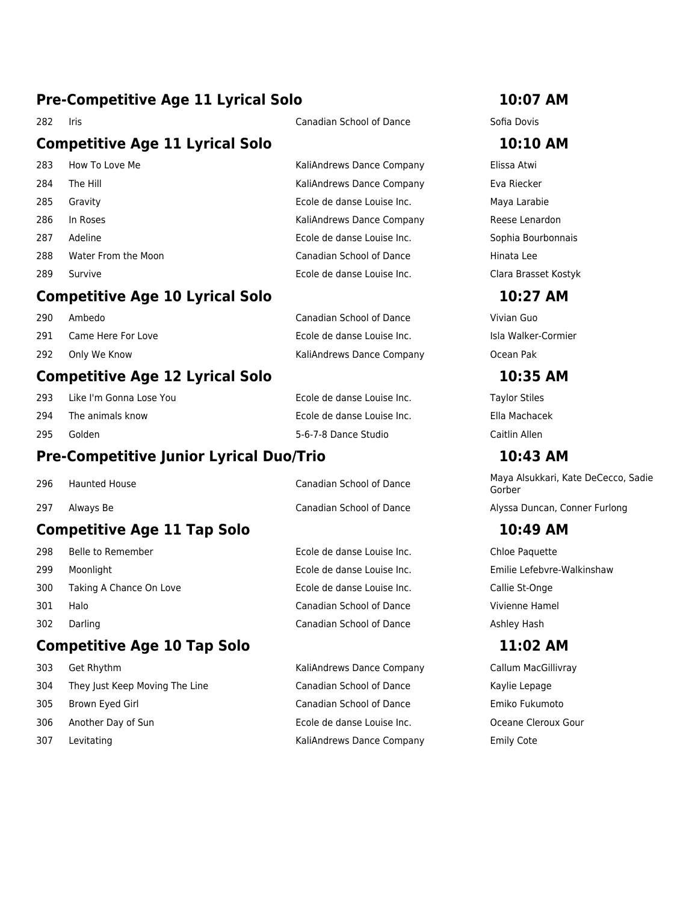# **Pre-Competitive Age 11 Lyrical Solo 10:07 AM**

# **Competitive Age 11 Lyrical Solo 10:10 AM**

283 How To Love Me **KaliAndrews Dance Company** Elissa Atwi 284 The Hill **Eva Riecker Company** Eva Riecker **KaliAndrews Dance Company** Eva Riecker 285 Gravity Ecole de danse Louise Inc. Maya Larabie 286 In Roses **Network Company** KaliAndrews Dance Company Reese Lenardon 287 Adeline Ecole de danse Louise Inc. Sophia Bourbonnais 288 Water From the Moon **Canadian School of Dance** Hinata Lee 289 Survive Ecole de danse Louise Inc. Clara Brasset Kostyk

### **Competitive Age 10 Lyrical Solo 10:27 AM**

| 290 | Ambedo             | Canadian School of Dance   | Vivian Guo  |
|-----|--------------------|----------------------------|-------------|
| 291 | Came Here For Love | Ecole de danse Louise Inc. | Isla Walker |
| 292 | Only We Know       | KaliAndrews Dance Company  | Ocean Pak   |

# **Competitive Age 12 Lyrical Solo 10:35 AM**

- 293 Like I'm Gonna Lose You Ecole de danse Louise Inc. Taylor Stiles
- 294 The animals know Ecole de danse Louise Inc. Ella Machacek
- 295 Golden 5-6-7-8 Dance Studio Caitlin Allen

# **Pre-Competitive Junior Lyrical Duo/Trio 10:43 AM**

- 
- 

# **Competitive Age 11 Tap Solo 10:49 AM**

- 298 Belle to Remember Ecole de danse Louise Inc. Chloe Paquette
- 
- 300 Taking A Chance On Love Ecole de danse Louise Inc. Callie St-Onge
- 
- 

# **Competitive Age 10 Tap Solo 11:02 AM**

- 
- 304 They Just Keep Moving The Line Canadian School of Dance Kaylie Lepage
- 
- 
- 

301 Halo Canadian School of Dance Vivienne Hamel 302 Darling Canadian School of Dance Ashley Hash

303 Get Rhythm KaliAndrews Dance Company Callum MacGillivray 305 Brown Eyed Girl Canadian School of Dance Emiko Fukumoto 306 Another Day of Sun Sun Ecole de danse Louise Inc. Supervisor of Sun Creane Cleroux Gour 307 Levitating **KaliAndrews Dance Company** Emily Cote

e Inc. **Easily Ecole and Love Ecole and Love Ecole Ecole and Tarac**ter Love Inc.

296 Haunted House **National Canadian School of Dance** Maya Alsukkari, Kate DeCecco, Sadie Gorber 297 Always Be **Canadian School of Dance** Alyssa Duncan, Conner Furlong Alyssa Duncan, Conner Furlong

299 Moonlight Ecole de danse Louise Inc. Emilie Lefebvre-Walkinshaw

282 Iris Canadian School of Dance Sofia Dovis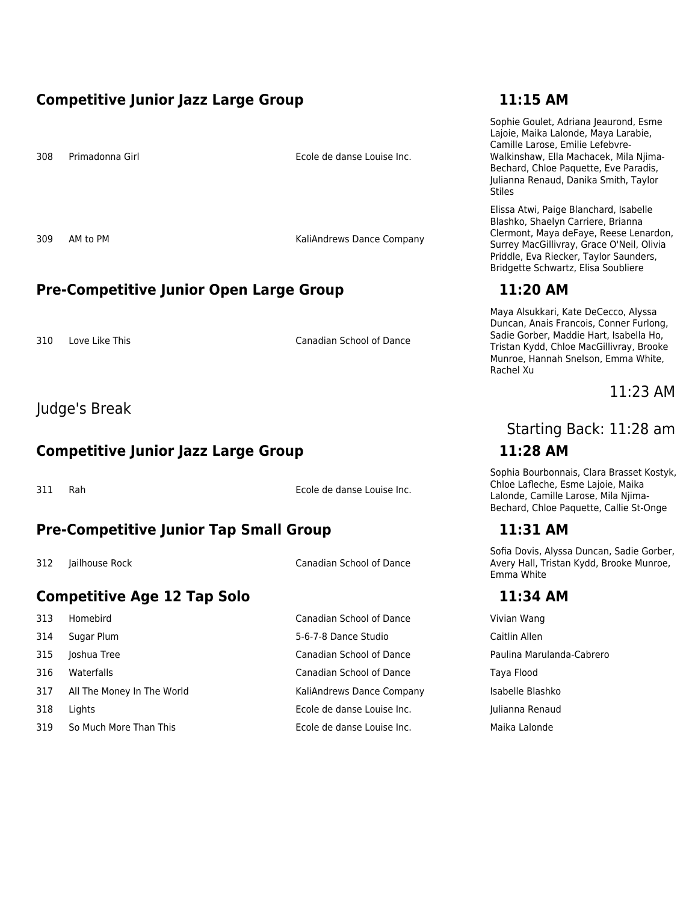### **Competitive Junior Jazz Large Group 11:15 AM**

308 Primadonna Girl Ecole de danse Louise Inc.

309 AM to PM **KaliAndrews Dance Company** 

### **Pre-Competitive Junior Open Large Group 11:20 AM**

310 Love Like This Canadian School of Dance

### Judge's Break

## **Competitive Junior Jazz Large Group 11:28 AM**

311 Rah Ecole de danse Louise Inc.

# **Pre-Competitive Junior Tap Small Group 11:31 AM**

312 Jailhouse Rock Canadian School of Dance

# **Competitive Age 12 Tap Solo 11:34 AM**

 Sugar Plum 5-6-7-8 Dance Studio Caitlin Allen Joshua Tree Canadian School of Dance Paulina Marulanda-Cabrero Waterfalls Canadian School of Dance Taya Flood 317 All The Money In The World **KaliAndrews Dance Company** Isabelle Blashko Lights Ecole de danse Louise Inc. Julianna Renaud

313 Homebird Canadian School of Dance Vivian Wang 319 So Much More Than This Ecole de danse Louise Inc. Maika Lalonde

Sophie Goulet, Adriana Jeaurond, Esme Lajoie, Maika Lalonde, Maya Larabie, Camille Larose, Emilie Lefebvre-Walkinshaw, Ella Machacek, Mila Njima-Bechard, Chloe Paquette, Eve Paradis, Julianna Renaud, Danika Smith, Taylor Stiles

Elissa Atwi, Paige Blanchard, Isabelle Blashko, Shaelyn Carriere, Brianna Clermont, Maya deFaye, Reese Lenardon, Surrey MacGillivray, Grace O'Neil, Olivia Priddle, Eva Riecker, Taylor Saunders, Bridgette Schwartz, Elisa Soubliere

Maya Alsukkari, Kate DeCecco, Alyssa Duncan, Anais Francois, Conner Furlong, Sadie Gorber, Maddie Hart, Isabella Ho, Tristan Kydd, Chloe MacGillivray, Brooke Munroe, Hannah Snelson, Emma White, Rachel Xu

### 11:23 AM

# Starting Back: 11:28 am

Sophia Bourbonnais, Clara Brasset Kostyk, Chloe Lafleche, Esme Lajoie, Maika Lalonde, Camille Larose, Mila Njima-Bechard, Chloe Paquette, Callie St-Onge

Sofia Dovis, Alyssa Duncan, Sadie Gorber, Avery Hall, Tristan Kydd, Brooke Munroe, Emma White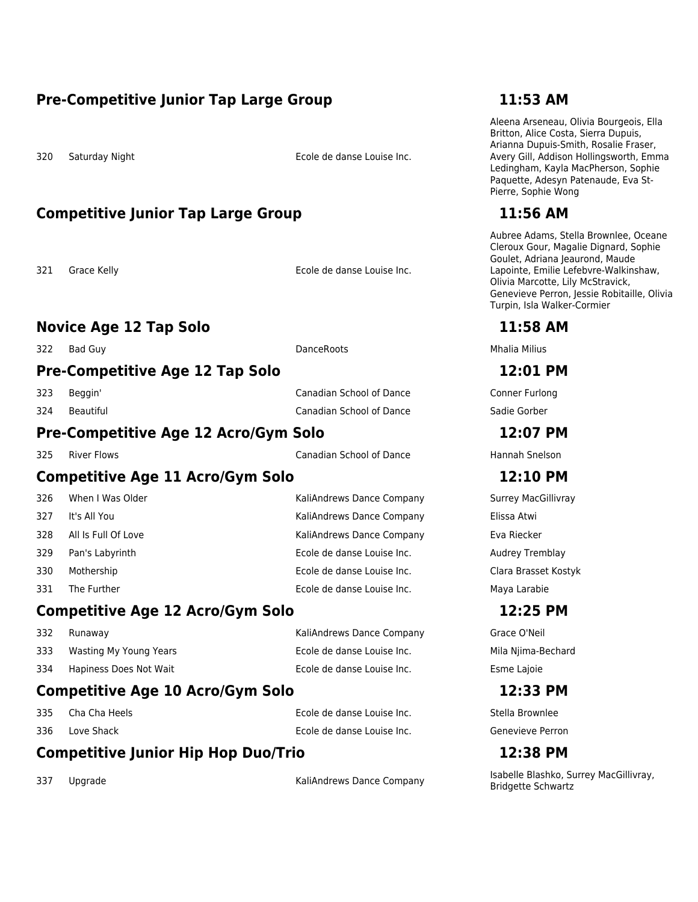### **Pre-Competitive Junior Tap Large Group 11:53 AM**

320 Saturday Night Ecole de danse Louise Inc.

## **Competitive Junior Tap Large Group 11:56 AM**

321 Grace Kelly Ecole de danse Louise Inc.

### **Novice Age 12 Tap Solo 11:58 AM**

322 Bad Guy DanceRoots Mhalia Milius

### **Pre-Competitive Age 12 Tap Solo 12:01 PM**

323 Beggin' Canadian School of Dance Conner Furlong 324 Beautiful Canadian School of Dance Sadie Gorber

### **Pre-Competitive Age 12 Acro/Gym Solo 12:07 PM**

325 River Flows Canadian School of Dance Hannah Snelson

### **Competitive Age 11 Acro/Gym Solo 12:10 PM**

| 326 | When I Was Older    | KaliAndrews Dance Company  | Surrey Mac         |
|-----|---------------------|----------------------------|--------------------|
| 327 | It's All You        | KaliAndrews Dance Company  | Elissa Atwi        |
| 328 | All Is Full Of Love | KaliAndrews Dance Company  | Eva Riecker        |
| 329 | Pan's Labyrinth     | Ecole de danse Louise Inc. | <b>Audrey Trer</b> |
| 330 | Mothership          | Ecole de danse Louise Inc. | Clara Brass        |
| 331 | The Further         | Ecole de danse Louise Inc. | Maya Larab         |
|     |                     |                            |                    |

# **Competitive Age 12 Acro/Gym Solo 12:25 PM**

| Compotitive Ago 10 Acro/Gym Solo |                        |                            | 17,22        |
|----------------------------------|------------------------|----------------------------|--------------|
| 334                              | Hapiness Does Not Wait | Ecole de danse Louise Inc. | Esme Lajoie  |
| 333                              | Wasting My Young Years | Ecole de danse Louise Inc. | Mila Njima-B |
| 332                              | Runaway                | KaliAndrews Dance Company  | Grace O'Neil |

# **Competitive Age 10 Acro/Gym Solo 12:33 PM**

335 Cha Cha Heels Ecole de danse Louise Inc. Stella Brownlee

336 Love Shack Ecole de danse Louise Inc. Genevieve Perron

Aleena Arseneau, Olivia Bourgeois, Ella Britton, Alice Costa, Sierra Dupuis, Arianna Dupuis-Smith, Rosalie Fraser, Avery Gill, Addison Hollingsworth, Emma Ledingham, Kayla MacPherson, Sophie Paquette, Adesyn Patenaude, Eva St-Pierre, Sophie Wong

Aubree Adams, Stella Brownlee, Oceane Cleroux Gour, Magalie Dignard, Sophie Goulet, Adriana Jeaurond, Maude Lapointe, Emilie Lefebvre-Walkinshaw, Olivia Marcotte, Lily McStravick, Genevieve Perron, Jessie Robitaille, Olivia Turpin, Isla Walker-Cormier

Surrey MacGillivray Audrey Tremblay Clara Brasset Kostyk Maya Larabie

Mila Njima-Bechard Esme Lajoie

# **Competitive Junior Hip Hop Duo/Trio 12:38 PM**

337 Upgrade Supervey MacGillivray, KaliAndrews Dance Company Sabelle Blashko, Surrey MacGillivray, Bridgette Schwartz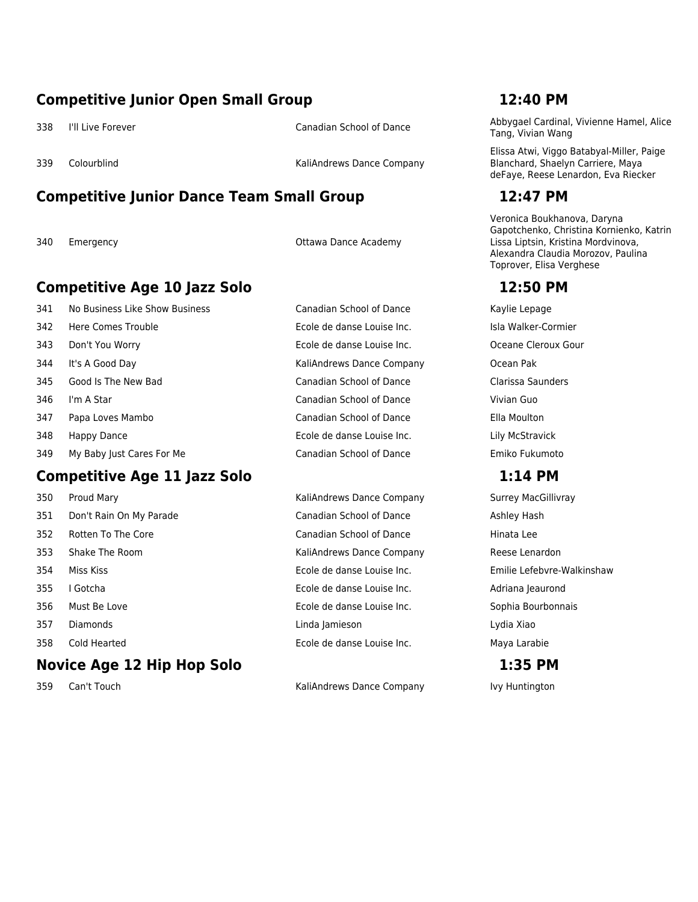### **Competitive Junior Open Small Group 12:40 PM**

339 Colourblind Controller Company KaliAndrews Dance Company

# **Competitive Junior Dance Team Small Group 12:47 PM**

340 Emergency Ottawa Dance Academy

# **Competitive Age 10 Jazz Solo 12:50 PM**

 No Business Like Show Business Canadian School of Dance Kaylie Lepage 342 Here Comes Trouble **Ecole de danse Louise Inc.** Isla Walker-Cormier is Don't You Worry Ecole de danse Louise Inc. Oceane Cleroux Gour 344 It's A Good Day **KaliAndrews Dance Company** Ocean Pak Good Is The New Bad Canadian School of Dance Clarissa Saunders I'm A Star Canadian School of Dance Vivian Guo Papa Loves Mambo Canadian School of Dance Ella Moulton Happy Dance Ecole de danse Louise Inc. Lily McStravick My Baby Just Cares For Me Canadian School of Dance Emiko Fukumoto

# **Competitive Age 11 Jazz Solo 1:14 PM**

# **Novice Age 12 Hip Hop Solo 1:35 PM**

 Proud Mary KaliAndrews Dance Company Surrey MacGillivray 351 Don't Rain On My Parade **Canadian School of Dance** Ashley Hash Rotten To The Core Canadian School of Dance Hinata Lee Shake The Room KaliAndrews Dance Company Reese Lenardon Miss Kiss Ecole de danse Louise Inc. Emilie Lefebvre-Walkinshaw I Gotcha Ecole de danse Louise Inc. Adriana Jeaurond Must Be Love Ecole de danse Louise Inc. Sophia Bourbonnais Diamonds Linda Jamieson Lydia Xiao Cold Hearted Ecole de danse Louise Inc. Maya Larabie

359 Can't Touch **KaliAndrews Dance Company** Ivy Huntington

338 I'll Live Forever Same Canadian School of Dance Abbygael Cardinal, Vivienne Hamel, Alice Tang, Vivian Wang

> Elissa Atwi, Viggo Batabyal-Miller, Paige Blanchard, Shaelyn Carriere, Maya deFaye, Reese Lenardon, Eva Riecker

Veronica Boukhanova, Daryna Gapotchenko, Christina Kornienko, Katrin Lissa Liptsin, Kristina Mordvinova, Alexandra Claudia Morozov, Paulina Toprover, Elisa Verghese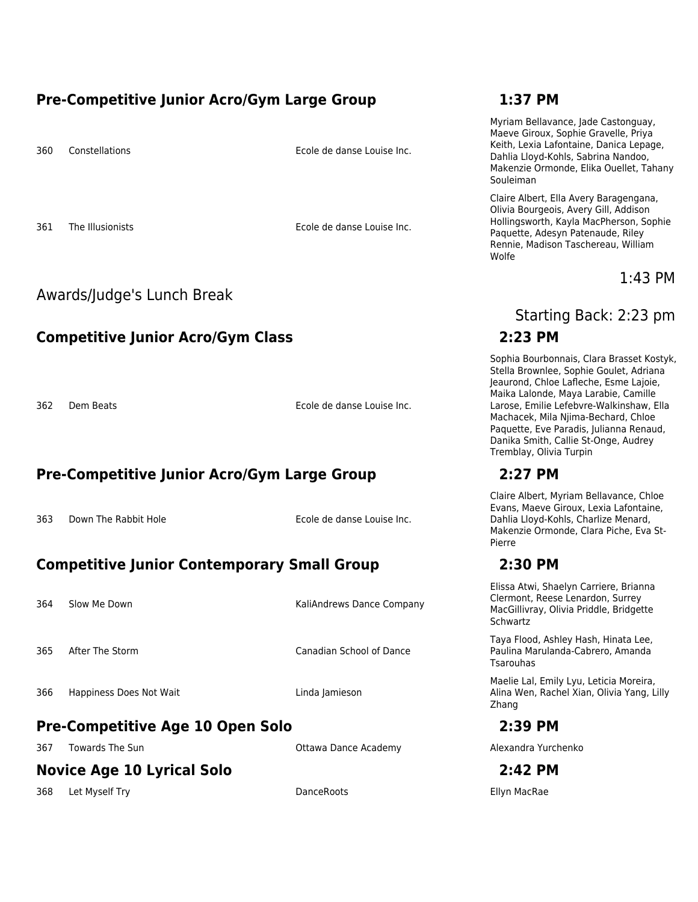### **Pre-Competitive Junior Acro/Gym Large Group 1:37 PM**

360 Constellations Ecole de danse Louise Inc.

361 The Illusionists Ecole de danse Louise Inc.

### Awards/Judge's Lunch Break

# **Competitive Junior Acro/Gym Class 2:23 PM**

362 Dem Beats Ecole de danse Louise Inc.

# **Pre-Competitive Junior Acro/Gym Large Group 2:27 PM**

363 Down The Rabbit Hole **Ecole de danse Louise Inc.** 

# **Competitive Junior Contemporary Small Group 2:30 PM**

364 Slow Me Down **KaliAndrews Dance Company** 365 After The Storm Canadian School of Dance 366 Happiness Does Not Wait **Linda Jamieson** 

# **Pre-Competitive Age 10 Open Solo 2:39 PM**

367 Towards The Sun Community Communication Communication Communication Communication Communication Communication Communication Communication Communication Communication Communication Communication Communication Communicat

# **Novice Age 10 Lyrical Solo 2:42 PM**

368 Let Myself Try DanceRoots Ellyn MacRae

Myriam Bellavance, Jade Castonguay, Maeve Giroux, Sophie Gravelle, Priya Keith, Lexia Lafontaine, Danica Lepage, Dahlia Lloyd-Kohls, Sabrina Nandoo, Makenzie Ormonde, Elika Ouellet, Tahany Souleiman

Claire Albert, Ella Avery Baragengana, Olivia Bourgeois, Avery Gill, Addison Hollingsworth, Kayla MacPherson, Sophie Paquette, Adesyn Patenaude, Riley Rennie, Madison Taschereau, William Wolfe

### 1:43 PM

Starting Back: 2:23 pm

Sophia Bourbonnais, Clara Brasset Kostyk, Stella Brownlee, Sophie Goulet, Adriana Jeaurond, Chloe Lafleche, Esme Lajoie, Maika Lalonde, Maya Larabie, Camille Larose, Emilie Lefebvre-Walkinshaw, Ella Machacek, Mila Njima-Bechard, Chloe Paquette, Eve Paradis, Julianna Renaud, Danika Smith, Callie St-Onge, Audrey Tremblay, Olivia Turpin

Claire Albert, Myriam Bellavance, Chloe Evans, Maeve Giroux, Lexia Lafontaine, Dahlia Lloyd-Kohls, Charlize Menard, Makenzie Ormonde, Clara Piche, Eva St-Pierre

Elissa Atwi, Shaelyn Carriere, Brianna Clermont, Reese Lenardon, Surrey MacGillivray, Olivia Priddle, Bridgette Schwartz

Taya Flood, Ashley Hash, Hinata Lee, Paulina Marulanda-Cabrero, Amanda Tsarouhas

Maelie Lal, Emily Lyu, Leticia Moreira, Alina Wen, Rachel Xian, Olivia Yang, Lilly Zhang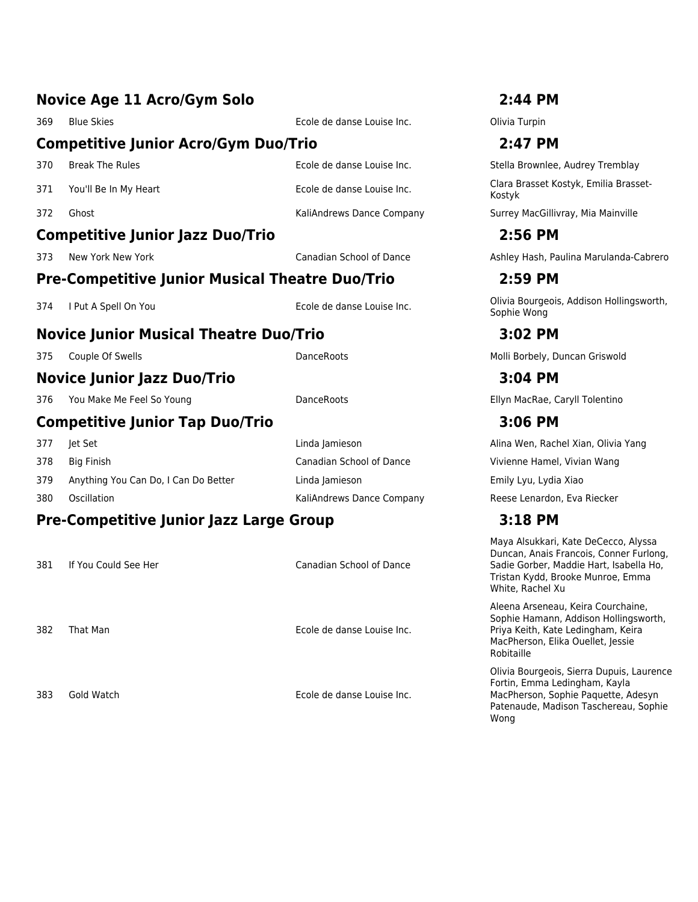|     | <b>Novice Age 11 Acro/Gym Solo</b>                     |                                 | 2:44 PM                                                 |
|-----|--------------------------------------------------------|---------------------------------|---------------------------------------------------------|
| 369 | <b>Blue Skies</b>                                      | Ecole de danse Louise Inc.      | Olivia Turpin                                           |
|     | <b>Competitive Junior Acro/Gym Duo/Trio</b>            |                                 | 2:47 PM                                                 |
| 370 | <b>Break The Rules</b>                                 | Ecole de danse Louise Inc.      | Stella Brownlee, Audrey Tremblay                        |
| 371 | You'll Be In My Heart                                  | Ecole de danse Louise Inc.      | Clara Brasset Kostyk, Emilia Brasset-<br>Kostyk         |
| 372 | Ghost                                                  | KaliAndrews Dance Company       | Surrey MacGillivray, Mia Mainville                      |
|     | <b>Competitive Junior Jazz Duo/Trio</b>                |                                 | 2:56 PM                                                 |
| 373 | New York New York                                      | <b>Canadian School of Dance</b> | Ashley Hash, Paulina Marulanda-Cabrero                  |
|     | <b>Pre-Competitive Junior Musical Theatre Duo/Trio</b> |                                 | 2:59 PM                                                 |
| 374 | I Put A Spell On You                                   | Ecole de danse Louise Inc.      | Olivia Bourgeois, Addison Hollingsworth,<br>Sophie Wong |
|     | <b>Novice Junior Musical Theatre Duo/Trio</b>          |                                 | 3:02 PM                                                 |
| 375 | Couple Of Swells                                       | DanceRoots                      | Molli Borbely, Duncan Griswold                          |
|     | <b>Novice Junior Jazz Duo/Trio</b>                     |                                 | 3:04 PM                                                 |
| 376 | You Make Me Feel So Young                              | <b>DanceRoots</b>               | Ellyn MacRae, Caryll Tolentino                          |
|     | <b>Competitive Junior Tap Duo/Trio</b>                 |                                 | 3:06 PM                                                 |
| 377 | Jet Set                                                | Linda Jamieson                  | Alina Wen, Rachel Xian, Olivia Yang                     |
| 378 | <b>Big Finish</b>                                      | <b>Canadian School of Dance</b> | Vivienne Hamel, Vivian Wang                             |
| 379 | Anything You Can Do, I Can Do Better                   | Linda Jamieson                  | Emily Lyu, Lydia Xiao                                   |
| 380 | Oscillation                                            | KaliAndrews Dance Company       | Reese Lenardon, Eva Riecker                             |
|     | <b>Pre-Competitive Junior Jazz Large Group</b>         |                                 | 3:18 PM                                                 |
|     |                                                        |                                 | Maya Alsukkari, Kate DeCecco, Alyssa                    |

381 If You Could See Her Canadian School of Dance

382 That Man Ecole de danse Louise Inc.

383 Gold Watch Ecole de danse Louise Inc.

Duncan, Anais Francois, Conner Furlong, Sadie Gorber, Maddie Hart, Isabella Ho, Tristan Kydd, Brooke Munroe, Emma White, Rachel Xu

Aleena Arseneau, Keira Courchaine, Sophie Hamann, Addison Hollingsworth, Priya Keith, Kate Ledingham, Keira MacPherson, Elika Ouellet, Jessie Robitaille

Olivia Bourgeois, Sierra Dupuis, Laurence Fortin, Emma Ledingham, Kayla MacPherson, Sophie Paquette, Adesyn Patenaude, Madison Taschereau, Sophie Wong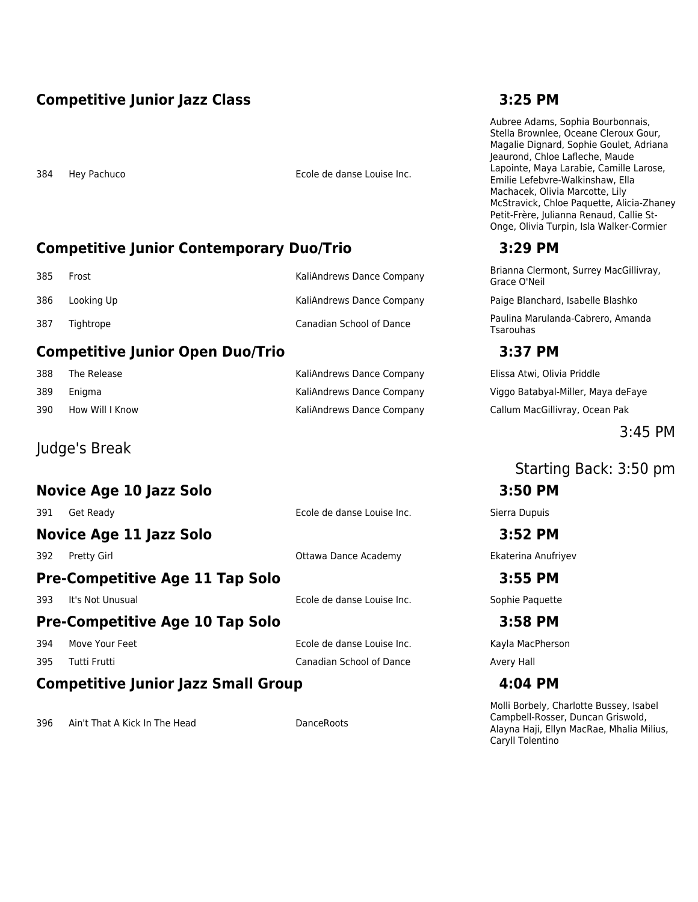# **Competitive Junior Jazz Class 3:25 PM**

384 Hey Pachuco Ecole de danse Louise Inc.

# **Competitive Junior Contemporary Duo/Trio 3:29 PM**

| -385 | Frost      | KaliAndrews Dance Company        |
|------|------------|----------------------------------|
| 386  | Lookina Up | <b>KaliAndrews Dance Company</b> |
| 387  | Tightrope  | Canadian School of Dance         |

# **Competitive Junior Open Duo/Trio 3:37 PM**

| 388 | The Release     | KaliAndrews Dance Company |
|-----|-----------------|---------------------------|
| 389 | Eniama          | KaliAndrews Dance Company |
| 390 | How Will I Know | KaliAndrews Dance Company |

# Judge's Break

### **Novice Age 10 Jazz Solo 3:50 PM**

391 Get Ready Ecole de danse Louise Inc. Sierra Dupuis **Novice Age 11 Jazz Solo 3:52 PM** 392 Pretty Girl Ottawa Dance Academy Ekaterina Anufriyev **Pre-Competitive Age 11 Tap Solo 3:55 PM** 393 It's Not Unusual Ecole de danse Louise Inc. Sophie Paquette **Pre-Competitive Age 10 Tap Solo 3:58 PM** 394 Move Your Feet **Ecole de danse Louise Inc.** Kayla MacPherson 395 Tutti Frutti Number 2012 Canadian School of Dance Avery Hall **Competitive Junior Jazz Small Group 4:04 PM**

396 Ain't That A Kick In The Head DanceRoots

Aubree Adams, Sophia Bourbonnais, Stella Brownlee, Oceane Cleroux Gour, Magalie Dignard, Sophie Goulet, Adriana Jeaurond, Chloe Lafleche, Maude Lapointe, Maya Larabie, Camille Larose, Emilie Lefebvre-Walkinshaw, Ella Machacek, Olivia Marcotte, Lily McStravick, Chloe Paquette, Alicia-Zhaney Petit-Frère, Julianna Renaud, Callie St-Onge, Olivia Turpin, Isla Walker-Cormier

Brianna Clermont, Surrey MacGillivray, Grace O'Neil

Paige Blanchard, Isabelle Blashko

Paulina Marulanda-Cabrero, Amanda **Tsarouhas** 

Elissa Atwi, Olivia Priddle Viggo Batabyal-Miller, Maya deFaye Callum MacGillivray, Ocean Pak

### 3:45 PM

Starting Back: 3:50 pm

Molli Borbely, Charlotte Bussey, Isabel Campbell-Rosser, Duncan Griswold, Alayna Haji, Ellyn MacRae, Mhalia Milius, Caryll Tolentino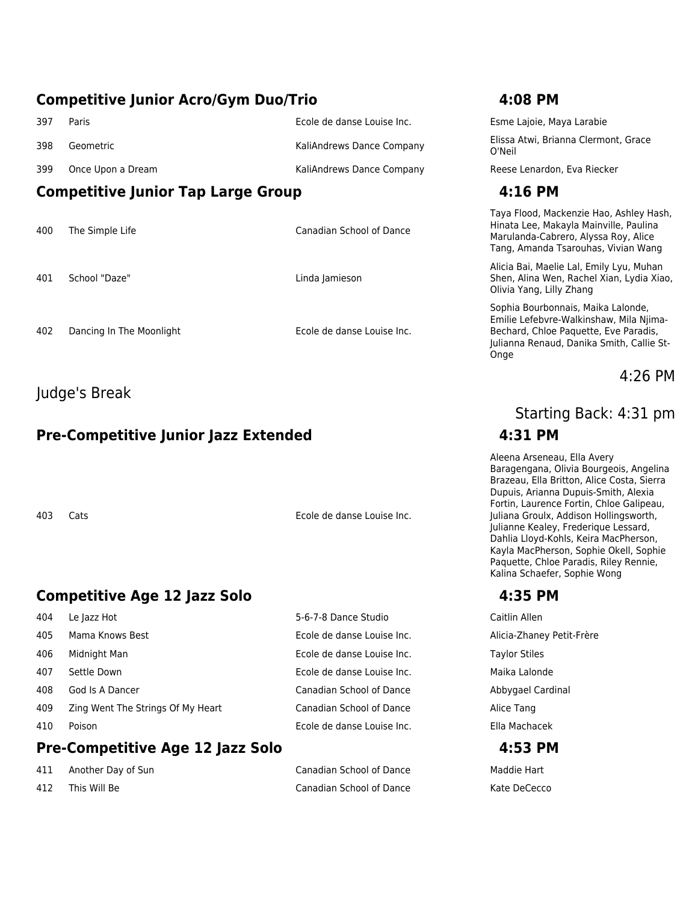### **Competitive Junior Acro/Gym Duo/Trio 4:08 PM**

|     | <b>Competitive Junior Tap Large Group</b> | 4:16 PM                    |                             |
|-----|-------------------------------------------|----------------------------|-----------------------------|
| 399 | Once Upon a Dream                         | KaliAndrews Dance Company  | Reese Lenardor              |
| 398 | Geometric                                 | KaliAndrews Dance Company  | Elissa Atwi, Bria<br>O'Neil |
| 397 | Paris                                     | Ecole de danse Louise Inc. | Esme Lajoie, Ma             |

- 400 The Simple Life Canadian School of Dance
- 401 School "Daze" Linda Jamieson

402 Dancing In The Moonlight **Example 2018** Ecole de danse Louise Inc.

### Judge's Break

# **Pre-Competitive Junior Jazz Extended 4:31 PM**

403 Cats Ecole de danse Louise Inc.

# **Competitive Age 12 Jazz Solo 4:35 PM**

|     | <b>Pre-Competitive Age 12 Jazz Solo</b> |                                 | 4:53 PM         |
|-----|-----------------------------------------|---------------------------------|-----------------|
| 410 | Poison                                  | Ecole de danse Louise Inc.      | Ella Machacek   |
| 409 | Zing Went The Strings Of My Heart       | <b>Canadian School of Dance</b> | Alice Tang      |
| 408 | God Is A Dancer                         | <b>Canadian School of Dance</b> | Abbygael Cardi  |
| 407 | Settle Down                             | Ecole de danse Louise Inc.      | Maika Lalonde   |
| 406 | Midnight Man                            | Ecole de danse Louise Inc.      | Taylor Stiles   |
| 405 | Mama Knows Best                         | Ecole de danse Louise Inc.      | Alicia-Zhaney P |
| 404 | Le Jazz Hot                             | 5-6-7-8 Dance Studio            | Caitlin Allen   |

| 411 | Another Day of Sun | Canadian School of Dance | Maddie Hart  |
|-----|--------------------|--------------------------|--------------|
| 412 | This Will Be       | Canadian School of Dance | Kate DeCecco |

Esme Lajoie, Maya Larabie Elissa Atwi, Brianna Clermont, Grace O'Neil

Reese Lenardon, Eva Riecker

Taya Flood, Mackenzie Hao, Ashley Hash, Hinata Lee, Makayla Mainville, Paulina Marulanda-Cabrero, Alyssa Roy, Alice Tang, Amanda Tsarouhas, Vivian Wang

Alicia Bai, Maelie Lal, Emily Lyu, Muhan Shen, Alina Wen, Rachel Xian, Lydia Xiao, Olivia Yang, Lilly Zhang

Sophia Bourbonnais, Maika Lalonde, Emilie Lefebvre-Walkinshaw, Mila Njima-Bechard, Chloe Paquette, Eve Paradis, Julianna Renaud, Danika Smith, Callie St-Onge

4:26 PM

# Starting Back: 4:31 pm

Aleena Arseneau, Ella Avery Baragengana, Olivia Bourgeois, Angelina Brazeau, Ella Britton, Alice Costa, Sierra Dupuis, Arianna Dupuis-Smith, Alexia Fortin, Laurence Fortin, Chloe Galipeau, Juliana Groulx, Addison Hollingsworth, Julianne Kealey, Frederique Lessard, Dahlia Lloyd-Kohls, Keira MacPherson, Kayla MacPherson, Sophie Okell, Sophie Paquette, Chloe Paradis, Riley Rennie, Kalina Schaefer, Sophie Wong

Alicia-Zhaney Petit-Frère Taylor Stiles Maika Lalonde Abbygael Cardinal Ella Machacek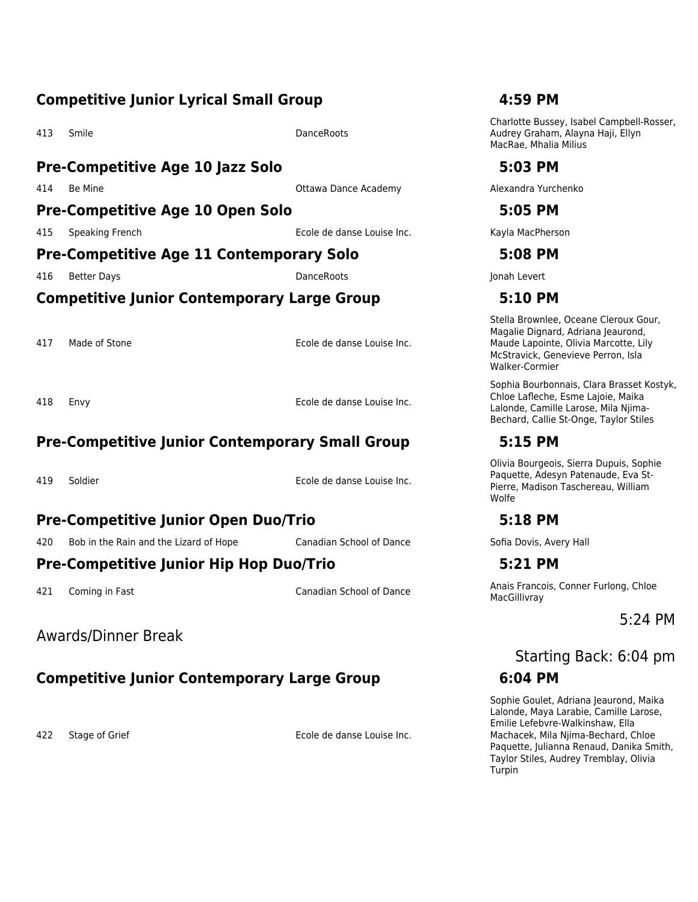### **Competitive Junior Lyrical Small Group 4:59 PM**

All the Smile DanceRoots Communication of the DanceRoots

### **Pre-Competitive Age 10 Jazz Solo 5:03 PM**

414 Be Mine **Alexandra Community Community** Ottawa Dance Academy **Alexandra Yurchenko** 

### **Pre-Competitive Age 10 Open Solo 5:05 PM**

415 Speaking French Ecole de danse Louise Inc. Kayla MacPherson

### **Pre-Competitive Age 11 Contemporary Solo 5:08 PM**

416 Better Days DanceRoots Jonah Levert

### **Competitive Junior Contemporary Large Group 5:10 PM**

417 Made of Stone **Ecole de danse Louise Inc.** 

418 Envy Ecole de danse Louise Inc.

### **Pre-Competitive Junior Contemporary Small Group 5:15 PM**

419 Soldier Ecole de danse Louise Inc.

### **Pre-Competitive Junior Open Duo/Trio 5:18 PM**

420 Bob in the Rain and the Lizard of Hope Canadian School of Dance Sofia Dovis, Avery Hall

### **Pre-Competitive Junior Hip Hop Duo/Trio 5:21 PM**

Awards/Dinner Break

# **Competitive Junior Contemporary Large Group 6:04 PM**

422 Stage of Grief **Ecole de danse Louise Inc.** 

Charlotte Bussey, Isabel Campbell-Rosser, Audrey Graham, Alayna Haji, Ellyn MacRae, Mhalia Milius

Stella Brownlee, Oceane Cleroux Gour, Magalie Dignard, Adriana Jeaurond, Maude Lapointe, Olivia Marcotte, Lily McStravick, Genevieve Perron, Isla Walker-Cormier

Sophia Bourbonnais, Clara Brasset Kostyk, Chloe Lafleche, Esme Lajoie, Maika Lalonde, Camille Larose, Mila Njima-Bechard, Callie St-Onge, Taylor Stiles

Olivia Bourgeois, Sierra Dupuis, Sophie Paquette, Adesyn Patenaude, Eva St-Pierre, Madison Taschereau, William Wolfe

421 Coming in Fast Canadian School of Dance Anais Francois, Conner Furlong, Chloe MacGillivray

5:24 PM

# Starting Back: 6:04 pm

Sophie Goulet, Adriana Jeaurond, Maika Lalonde, Maya Larabie, Camille Larose, Emilie Lefebvre-Walkinshaw, Ella Machacek, Mila Njima-Bechard, Chloe Paquette, Julianna Renaud, Danika Smith, Taylor Stiles, Audrey Tremblay, Olivia Turpin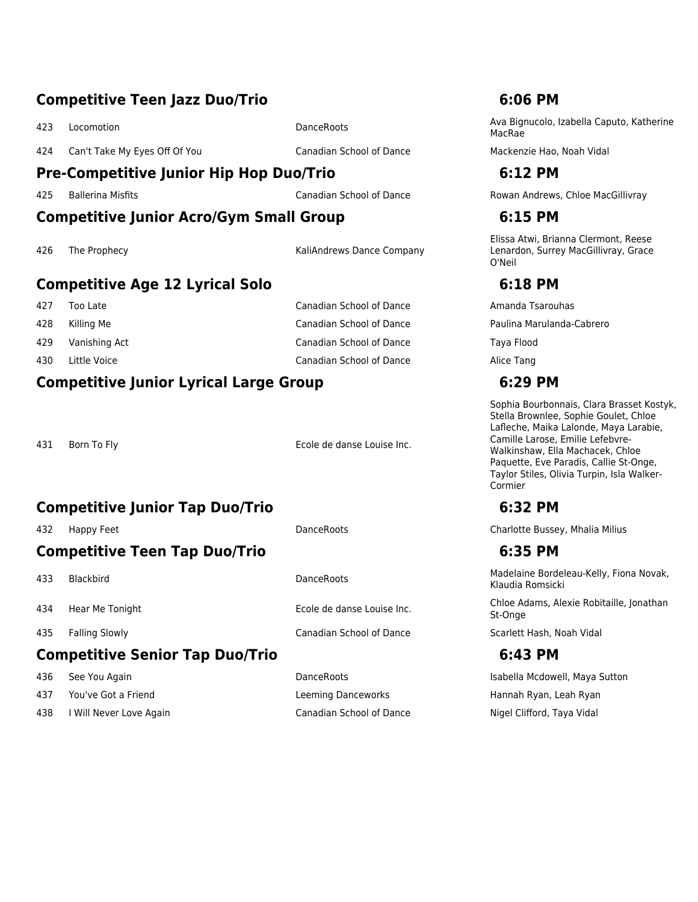### **Competitive Teen Jazz Duo/Trio 6:06 PM**

424 Can't Take My Eyes Off Of You Canadian School of Dance Mackenzie Hao, Noah Vidal

### **Pre-Competitive Junior Hip Hop Duo/Trio 6:12 PM**

### **Competitive Junior Acro/Gym Small Group 6:15 PM**

426 The Prophecy **Accord Prophecy** ActiAndrews Dance Company

### **Competitive Age 12 Lyrical Solo 6:18 PM**

- 
- 

429 Vanishing Act Canadian School of Dance Taya Flood 430 Little Voice **Canadian School of Dance** Alice Tang

### **Competitive Junior Lyrical Large Group 6:29 PM**

431 Born To Fly **Ecole de danse Louise Inc.** 

# **Competitive Junior Tap Duo/Trio 6:32 PM**

# **Competitive Teen Tap Duo/Trio 6:35 PM**

### **Competitive Senior Tap Duo/Trio 6:43 PM**

- 
- 437 You've Got a Friend Leeming Danceworks Hannah Ryan, Leah Ryan
- 438 I Will Never Love Again Canadian School of Dance Nigel Clifford, Taya Vidal

435 Falling Slowly Canadian School of Dance Scarlett Hash, Noah Vidal

<sup>423</sup> Locomotion DanceRoots Ava Bignucolo, Izabella Caputo, Katherine MacRae

425 Ballerina Misfits Canadian School of Dance Rowan Andrews, Chloe MacGillivray

Elissa Atwi, Brianna Clermont, Reese Lenardon, Surrey MacGillivray, Grace O'Neil

According to Late Canadian School of Dance Amanda Tsarouhas Canadian School of Dance Amanda Tsarouhas 428 Killing Me Canadian School of Dance Paulina Marulanda-Cabrero

> Sophia Bourbonnais, Clara Brasset Kostyk, Stella Brownlee, Sophie Goulet, Chloe Lafleche, Maika Lalonde, Maya Larabie, Camille Larose, Emilie Lefebvre-Walkinshaw, Ella Machacek, Chloe Paquette, Eve Paradis, Callie St-Onge, Taylor Stiles, Olivia Turpin, Isla Walker-Cormier

432 Happy Feet DanceRoots Charlotte Bussey, Mhalia Milius

Acceleration DanceRoots Madelaine Bordeleau-Kelly, Fiona Novak, Klaudia Romsicki

434 Hear Me Tonight **Ecole de danse Louise Inc.** Chloe Adams, Alexie Robitaille, Jonathan St-Onge

436 See You Again DanceRoots Isabella Mcdowell, Maya Sutton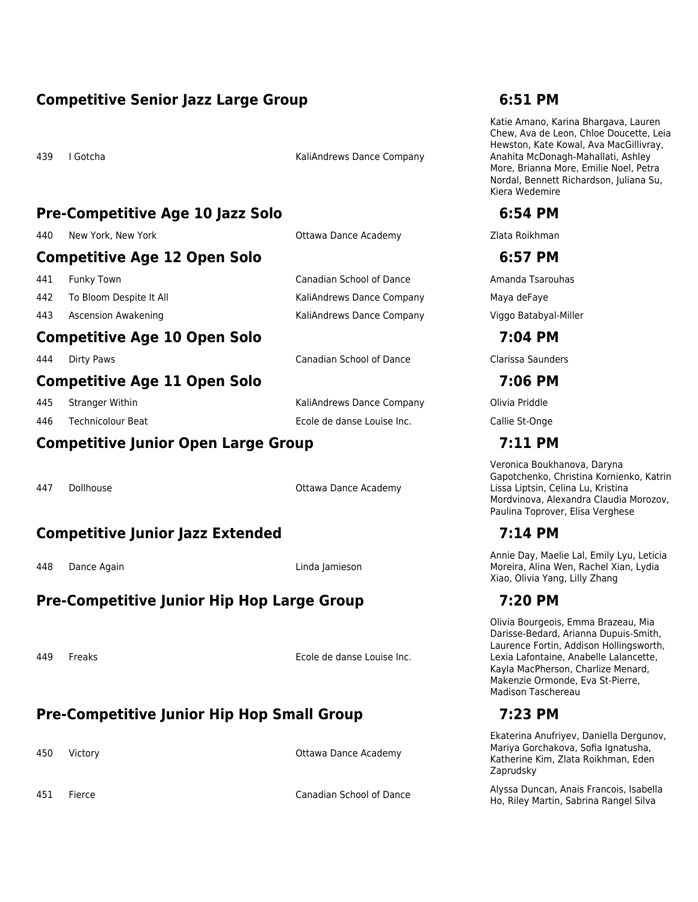### **Competitive Senior Jazz Large Group 6:51 PM**

439 I Gotcha KaliAndrews Dance Company

### **Pre-Competitive Age 10 Jazz Solo 6:54 PM**

440 New York, New York **Canademy** Ottawa Dance Academy **Canademy** Zlata Roikhman

### **Competitive Age 12 Open Solo 6:57 PM**

- 442 To Bloom Despite It All **Kaliandrews Dance Company** Maya deFaye
- 443 Ascension Awakening KaliAndrews Dance Company Viggo Batabyal-Miller

### **Competitive Age 10 Open Solo 7:04 PM**

444 Dirty Paws Canadian School of Dance Clarissa Saunders

### **Competitive Age 11 Open Solo 7:06 PM**

445 Stranger Within KaliAndrews Dance Company Olivia Priddle 446 Technicolour Beat Ecole de danse Louise Inc. Callie St-Onge

### **Competitive Junior Open Large Group 7:11 PM**

447 Dollhouse **Ottawa Dance Academy** 

### **Competitive Junior Jazz Extended 7:14 PM**

448 Dance Again Linda Jamieson

# **Pre-Competitive Junior Hip Hop Large Group 7:20 PM**

449 Freaks Ecole de danse Louise Inc.

# **Pre-Competitive Junior Hip Hop Small Group 7:23 PM**

450 Victory Ottawa Dance Academy

Katie Amano, Karina Bhargava, Lauren Chew, Ava de Leon, Chloe Doucette, Leia Hewston, Kate Kowal, Ava MacGillivray, Anahita McDonagh-Mahallati, Ashley More, Brianna More, Emilie Noel, Petra Nordal, Bennett Richardson, Juliana Su, Kiera Wedemire

441 Funky Town Canadian School of Dance Amanda Tsarouhas

Veronica Boukhanova, Daryna Gapotchenko, Christina Kornienko, Katrin Lissa Liptsin, Celina Lu, Kristina Mordvinova, Alexandra Claudia Morozov, Paulina Toprover, Elisa Verghese

Annie Day, Maelie Lal, Emily Lyu, Leticia Moreira, Alina Wen, Rachel Xian, Lydia Xiao, Olivia Yang, Lilly Zhang

Olivia Bourgeois, Emma Brazeau, Mia Darisse-Bedard, Arianna Dupuis-Smith, Laurence Fortin, Addison Hollingsworth, Lexia Lafontaine, Anabelle Lalancette, Kayla MacPherson, Charlize Menard, Makenzie Ormonde, Eva St-Pierre, Madison Taschereau

Ekaterina Anufriyev, Daniella Dergunov, Mariya Gorchakova, Sofia Ignatusha, Katherine Kim, Zlata Roikhman, Eden Zaprudsky

<sup>451</sup> Fierce Canadian School of Dance Alyssa Duncan, Anais Francois, Isabella Ho, Riley Martin, Sabrina Rangel Silva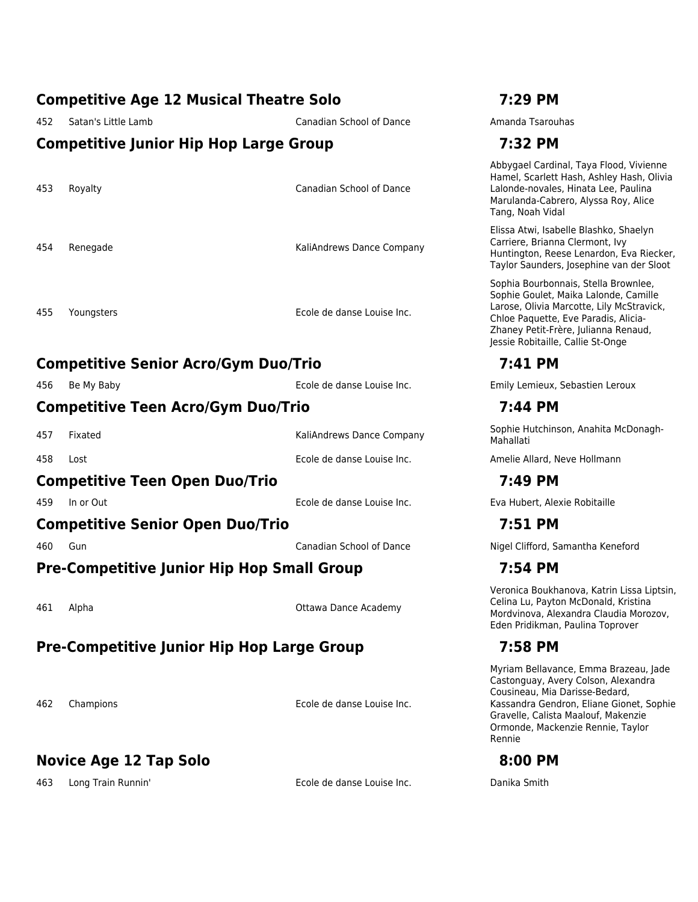## **Competitive Age 12 Musical Theatre Solo 7:29 PM**

452 Satan's Little Lamb Canadian School of Dance Amanda Tsarouhas

### **Competitive Junior Hip Hop Large Group 7:32 PM**

453 Royalty Canadian School of Dance

454 Renegade KaliAndrews Dance Company

455 Youngsters Ecole de danse Louise Inc.

# **Competitive Senior Acro/Gym Duo/Trio 7:41 PM**

### **Competitive Teen Acro/Gym Duo/Trio 7:44 PM**

### **Competitive Teen Open Duo/Trio 7:49 PM**

### **Competitive Senior Open Duo/Trio 7:51 PM**

# **Pre-Competitive Junior Hip Hop Small Group 7:54 PM**

461 Alpha Ottawa Dance Academy

# **Pre-Competitive Junior Hip Hop Large Group 7:58 PM**

462 Champions Ecole de danse Louise Inc.

# **Novice Age 12 Tap Solo 8:00 PM**

463 Long Train Runnin' Ecole de danse Louise Inc. Danika Smith

Abbygael Cardinal, Taya Flood, Vivienne Hamel, Scarlett Hash, Ashley Hash, Olivia Lalonde-novales, Hinata Lee, Paulina Marulanda-Cabrero, Alyssa Roy, Alice Tang, Noah Vidal

Elissa Atwi, Isabelle Blashko, Shaelyn Carriere, Brianna Clermont, Ivy Huntington, Reese Lenardon, Eva Riecker, Taylor Saunders, Josephine van der Sloot

Sophia Bourbonnais, Stella Brownlee, Sophie Goulet, Maika Lalonde, Camille Larose, Olivia Marcotte, Lily McStravick, Chloe Paquette, Eve Paradis, Alicia-Zhaney Petit-Frère, Julianna Renaud, Jessie Robitaille, Callie St-Onge

456 Be My Baby Ecole de danse Louise Inc. Emily Lemieux, Sebastien Leroux

457 Fixated **KaliAndrews Dance Company** Sophie Hutchinson, Anahita McDonagh-Mahallati

458 Lost Ecole de danse Louise Inc. Amelie Allard, Neve Hollmann

459 In or Out Ecole de danse Louise Inc. Eva Hubert, Alexie Robitaille

460 Gun Canadian School of Dance Nigel Clifford, Samantha Keneford

Veronica Boukhanova, Katrin Lissa Liptsin, Celina Lu, Payton McDonald, Kristina Mordvinova, Alexandra Claudia Morozov, Eden Pridikman, Paulina Toprover

Myriam Bellavance, Emma Brazeau, Jade Castonguay, Avery Colson, Alexandra Cousineau, Mia Darisse-Bedard, Kassandra Gendron, Eliane Gionet, Sophie Gravelle, Calista Maalouf, Makenzie Ormonde, Mackenzie Rennie, Taylor Rennie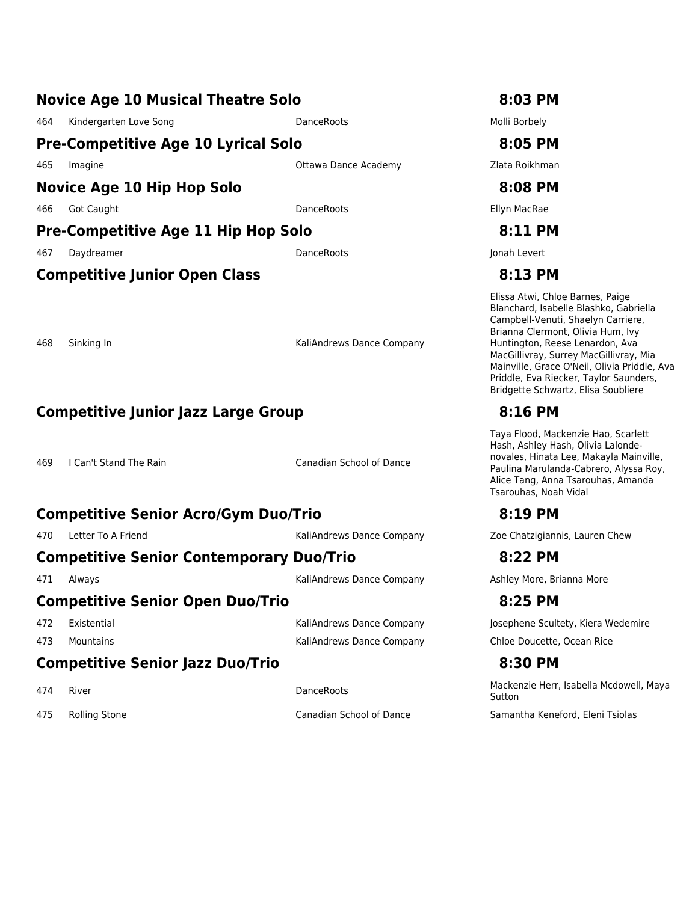### **Novice Age 10 Musical Theatre Solo 8:03 PM**

464 Kindergarten Love Song **DanceRoots** DanceRoots **Molli Borbely** 

# **Pre-Competitive Age 10 Lyrical Solo 8:05 PM**

465 Imagine **Ottawa Dance Academy 21 September 2016** 2016 Number 2016

### **Novice Age 10 Hip Hop Solo 8:08 PM**

About Caught Contract Contract Contract Contract DanceRoots Contract Contract Contract Contract Contract Contract DanceRoots Contract Contract Contract Contract Contract Contract DanceRoots Contract Contract Contract Contr

# **Pre-Competitive Age 11 Hip Hop Solo 8:11 PM**

467 Daydreamer DanceRoots Jonah Levert

468 Sinking In Kaliandrews Dance Company

# **Competitive Junior Jazz Large Group 8:16 PM**

469 I Can't Stand The Rain Canadian School of Dance

# **Competitive Senior Acro/Gym Duo/Trio 8:19 PM**

# **Competitive Senior Contemporary Duo/Trio 8:22 PM**

# **Competitive Senior Open Duo/Trio 8:25 PM**

473 Mountains **Music Company** KaliAndrews Dance Company Chloe Doucette, Ocean Rice

# **Competitive Senior Jazz Duo/Trio 8:30 PM**

# **Competitive Junior Open Class 8:13 PM**

Elissa Atwi, Chloe Barnes, Paige Blanchard, Isabelle Blashko, Gabriella Campbell-Venuti, Shaelyn Carriere, Brianna Clermont, Olivia Hum, Ivy Huntington, Reese Lenardon, Ava MacGillivray, Surrey MacGillivray, Mia Mainville, Grace O'Neil, Olivia Priddle, Ava Priddle, Eva Riecker, Taylor Saunders, Bridgette Schwartz, Elisa Soubliere

Taya Flood, Mackenzie Hao, Scarlett Hash, Ashley Hash, Olivia Lalondenovales, Hinata Lee, Makayla Mainville, Paulina Marulanda-Cabrero, Alyssa Roy, Alice Tang, Anna Tsarouhas, Amanda Tsarouhas, Noah Vidal

470 Letter To A Friend KaliAndrews Dance Company Zoe Chatzigiannis, Lauren Chew

471 Always **KaliAndrews Dance Company** Ashley More, Brianna More Company Ashley More, Brianna More

472 Existential **Existential Company** KaliAndrews Dance Company Josephene Scultety, Kiera Wedemire

Ackenzie Herr, Isabella Mcdowell, Maya Sutton

475 Rolling Stone **Canadian School of Dance** Samantha Keneford, Eleni Tsiolas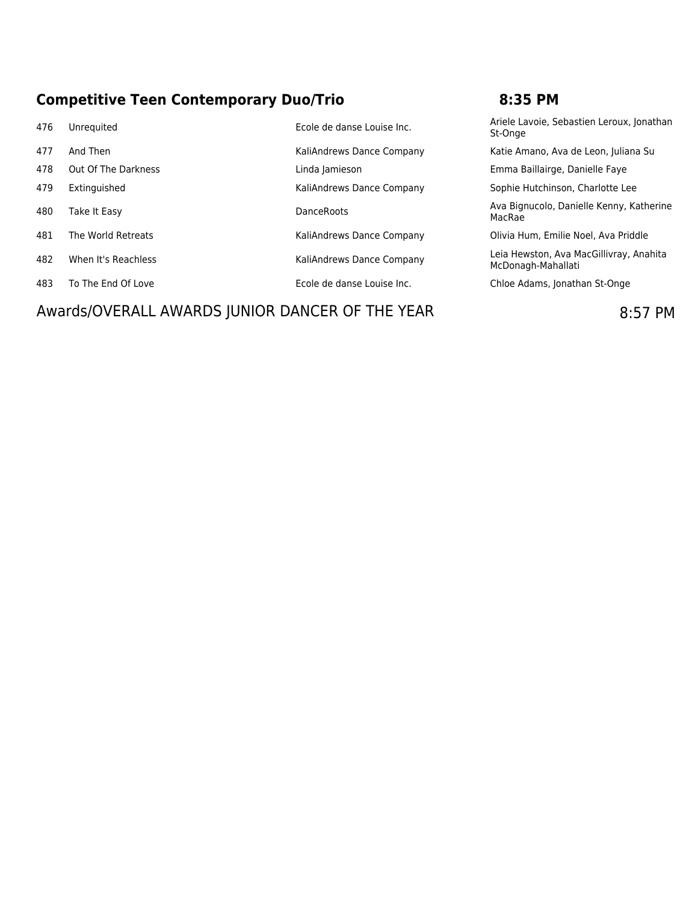# **Competitive Teen Contemporary Duo/Trio 8:35 PM**

| 476 | Unrequited                                       | Ecole de danse Louise Inc. | Ariele Lavoie, Sebastien Leroux, Jonathan<br>St-Onge          |
|-----|--------------------------------------------------|----------------------------|---------------------------------------------------------------|
| 477 | And Then                                         | KaliAndrews Dance Company  | Katie Amano, Ava de Leon, Juliana Su                          |
| 478 | Out Of The Darkness                              | Linda Jamieson             | Emma Baillairge, Danielle Faye                                |
| 479 | Extinguished                                     | KaliAndrews Dance Company  | Sophie Hutchinson, Charlotte Lee                              |
| 480 | Take It Easy                                     | <b>DanceRoots</b>          | Ava Bignucolo, Danielle Kenny, Katherine<br>MacRae            |
| 481 | The World Retreats                               | KaliAndrews Dance Company  | Olivia Hum, Emilie Noel, Ava Priddle                          |
| 482 | When It's Reachless                              | KaliAndrews Dance Company  | Leia Hewston, Ava MacGillivray, Anahita<br>McDonagh-Mahallati |
| 483 | To The End Of Love                               | Ecole de danse Louise Inc. | Chloe Adams, Jonathan St-Onge                                 |
|     | Awarde/OVEDALL AMADDC ILINIOD DANCED OF THE VEAD |                            | O.F7 N                                                        |

Awards/OVERALL AWARDS JUNIOR DANCER OF THE YEAR 6:57 PM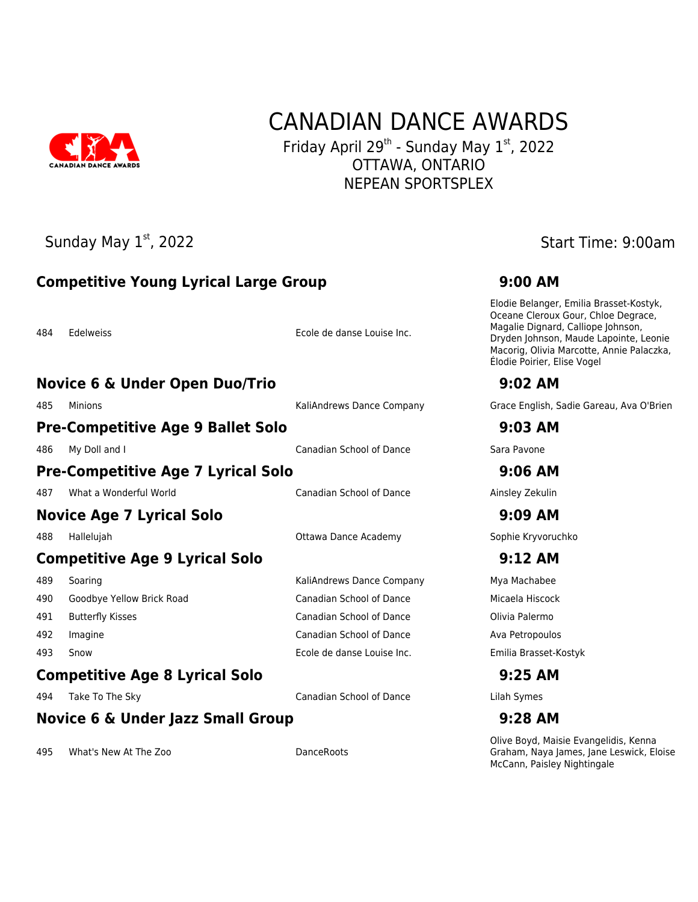

# CANADIAN DANCE AWARDS Friday April 29<sup>th</sup> - Sunday May  $1<sup>st</sup>$ , 2022

OTTAWA, ONTARIO NEPEAN SPORTSPLEX

# Sunday May 1<sup>st</sup>, 2022 Sunday May 1<sup>st</sup>, 2022 **Competitive Young Lyrical Large Group 9:00 AM** 484 Edelweiss Ecole de danse Louise Inc. **Novice 6 & Under Open Duo/Trio 9:02 AM** 485 Minions KaliAndrews Dance Company Grace English, Sadie Gareau, Ava O'Brien **Pre-Competitive Age 9 Ballet Solo 9:03 AM** 486 My Doll and I Canadian School of Dance Sara Pavone **Pre-Competitive Age 7 Lyrical Solo 9:06 AM** 487 What a Wonderful World **Canadian School of Dance** Ainsley Zekulin **Novice Age 7 Lyrical Solo 9:09 AM** 488 Hallelujah Ottawa Dance Academy Sophie Kryvoruchko **Competitive Age 9 Lyrical Solo 9:12 AM** 489 Soaring **Music Company Microsoft Company** KaliAndrews Dance Company Mya Machabee 490 Goodbye Yellow Brick Road Canadian School of Dance Micaela Hiscock 491 Butterfly Kisses Canadian School of Dance Olivia Palermo 492 Imagine Canadian School of Dance Ava Petropoulos 493 Snow Ecole de danse Louise Inc. Emilia Brasset-Kostyk **Competitive Age 8 Lyrical Solo 9:25 AM** 494 Take To The Sky Canadian School of Dance Lilah Symes **Novice 6 & Under Jazz Small Group 9:28 AM**

495 What's New At The Zoo **DanceRoots** 

Elodie Belanger, Emilia Brasset-Kostyk, Oceane Cleroux Gour, Chloe Degrace, Magalie Dignard, Calliope Johnson, Dryden Johnson, Maude Lapointe, Leonie Macorig, Olivia Marcotte, Annie Palaczka, Élodie Poirier, Elise Vogel

Olive Boyd, Maisie Evangelidis, Kenna Graham, Naya James, Jane Leswick, Eloise McCann, Paisley Nightingale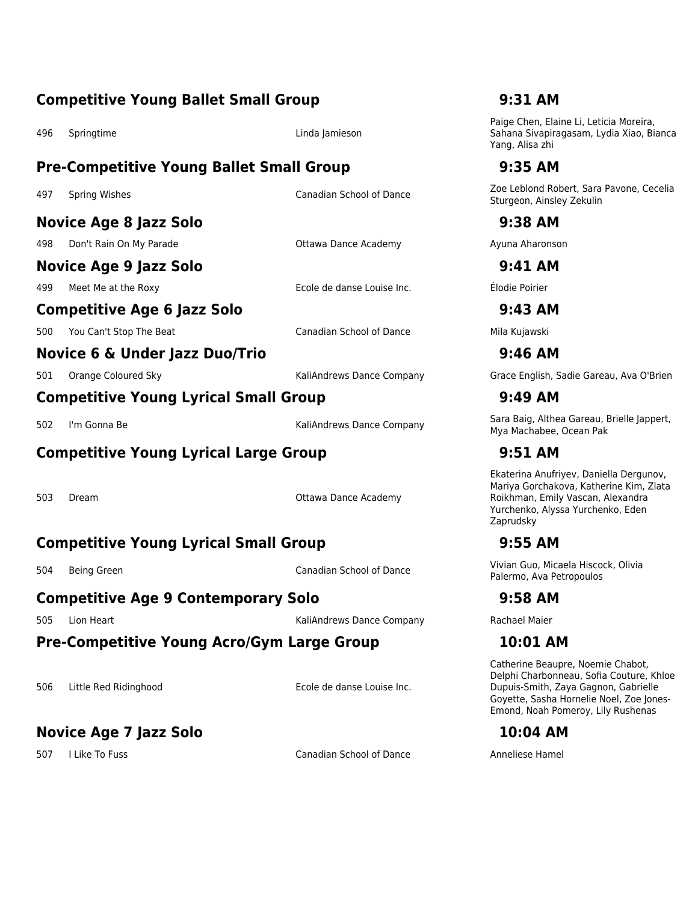### **Competitive Young Ballet Small Group 9:31 AM**

496 Springtime Linda Jamieson

### **Pre-Competitive Young Ballet Small Group 9:35 AM**

**Novice Age 8 Jazz Solo 9:38 AM**

498 Don't Rain On My Parade **Ottawa Dance Academy Ayuna Aharonson** 

### **Novice Age 9 Jazz Solo 9:41 AM**

499 Meet Me at the Roxy Ecole de danse Louise Inc. Élodie Poirier

### **Competitive Age 6 Jazz Solo 9:43 AM**

500 You Can't Stop The Beat Cannon Canadian School of Dance Mila Kujawski

# **Competitive Young Lyrical Small Group 9:49 AM**

# **Competitive Young Lyrical Large Group 9:51 AM**

503 Dream Ottawa Dance Academy

# **Competitive Young Lyrical Small Group 9:55 AM**

### **Competitive Age 9 Contemporary Solo 9:58 AM**

505 Lion Heart KaliAndrews Dance Company Rachael Maier

### **Pre-Competitive Young Acro/Gym Large Group 10:01 AM**

506 Little Red Ridinghood Ecole de danse Louise Inc.

# **Novice Age 7 Jazz Solo 10:04 AM**

507 I Like To Fuss Canadian School of Dance Anneliese Hamel

Paige Chen, Elaine Li, Leticia Moreira, Sahana Sivapiragasam, Lydia Xiao, Bianca Yang, Alisa zhi

497 Spring Wishes Canadian School of Dance **Network Canadian School of Dance** Zoe Leblond Robert, Sara Pavone, Cecelia Sturgeon, Ainsley Zekulin

**Novice 6 & Under Jazz Duo/Trio 9:46 AM**

501 Orange Coloured Sky KaliAndrews Dance Company Grace English, Sadie Gareau, Ava O'Brien

<sup>502</sup> I'm Gonna Be KaliAndrews Dance Company Sara Baig, Althea Gareau, Brielle Jappert, Mya Machabee, Ocean Pak

Ekaterina Anufriyev, Daniella Dergunov, Mariya Gorchakova, Katherine Kim, Zlata Roikhman, Emily Vascan, Alexandra Yurchenko, Alyssa Yurchenko, Eden Zaprudsky

<sup>504</sup> Being Green Canadian School of Dance Vivian Guo, Micaela Hiscock, Olivia Palermo, Ava Petropoulos

Catherine Beaupre, Noemie Chabot, Delphi Charbonneau, Sofia Couture, Khloe Dupuis-Smith, Zaya Gagnon, Gabrielle Goyette, Sasha Hornelie Noel, Zoe Jones-Emond, Noah Pomeroy, Lily Rushenas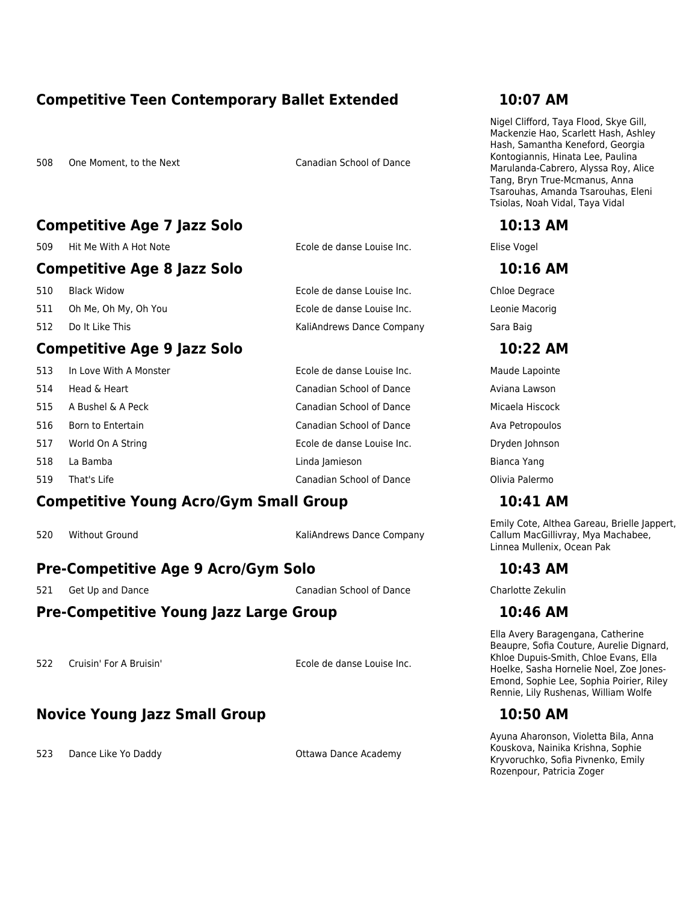### **Competitive Teen Contemporary Ballet Extended 10:07 AM**

508 One Moment, to the Next Canadian School of Dance

### **Competitive Age 7 Jazz Solo 10:13 AM**

509 Hit Me With A Hot Note Ecole de danse Louise Inc. Elise Vogel

### **Competitive Age 8 Jazz Solo 10:16 AM**

510 Black Widow Ecole de danse Louise Inc. Chloe Degrace

511 Oh Me, Oh My, Oh You Ecole de danse Louise Inc. Leonie Macorig

512 Do It Like This **Sara Baig** KaliAndrews Dance Company Sara Baig

### **Competitive Age 9 Jazz Solo 10:22 AM**

| 513 |  | In Love With A Monster |
|-----|--|------------------------|
|     |  |                        |

- 514 Head & Heart Canadian School of Dance Aviana Lawson
- 515 A Bushel & A Peck Canadian School of Dance Micaela Hiscock
- 516 Born to Entertain **School of Dance** Canadian School of Dance Ava Petropoulos
- 517 World On A String Ecole de danse Louise Inc. Dryden Johnson
- 518 La Bamba Linda Jamieson Bianca Yang
- 519 That's Life Canadian School of Dance Olivia Palermo

### **Competitive Young Acro/Gym Small Group 10:41 AM**

520 Without Ground KaliAndrews Dance Company

# **Pre-Competitive Age 9 Acro/Gym Solo 10:43 AM**

521 Get Up and Dance Canadian School of Dance Charlotte Zekulin

# **Pre-Competitive Young Jazz Large Group 10:46 AM**

522 Cruisin' For A Bruisin' Ecole de danse Louise Inc.

# **Novice Young Jazz Small Group 10:50 AM**

523 Dance Like Yo Daddy **Sanct Academy** Ottawa Dance Academy

Nigel Clifford, Taya Flood, Skye Gill, Mackenzie Hao, Scarlett Hash, Ashley Hash, Samantha Keneford, Georgia Kontogiannis, Hinata Lee, Paulina Marulanda-Cabrero, Alyssa Roy, Alice Tang, Bryn True-Mcmanus, Anna Tsarouhas, Amanda Tsarouhas, Eleni Tsiolas, Noah Vidal, Taya Vidal

Ecole de danse Louise Inc. Maude Lapointe

Emily Cote, Althea Gareau, Brielle Jappert, Callum MacGillivray, Mya Machabee, Linnea Mullenix, Ocean Pak

Ella Avery Baragengana, Catherine Beaupre, Sofia Couture, Aurelie Dignard, Khloe Dupuis-Smith, Chloe Evans, Ella Hoelke, Sasha Hornelie Noel, Zoe Jones-Emond, Sophie Lee, Sophia Poirier, Riley Rennie, Lily Rushenas, William Wolfe

Ayuna Aharonson, Violetta Bila, Anna Kouskova, Nainika Krishna, Sophie Kryvoruchko, Sofia Pivnenko, Emily Rozenpour, Patricia Zoger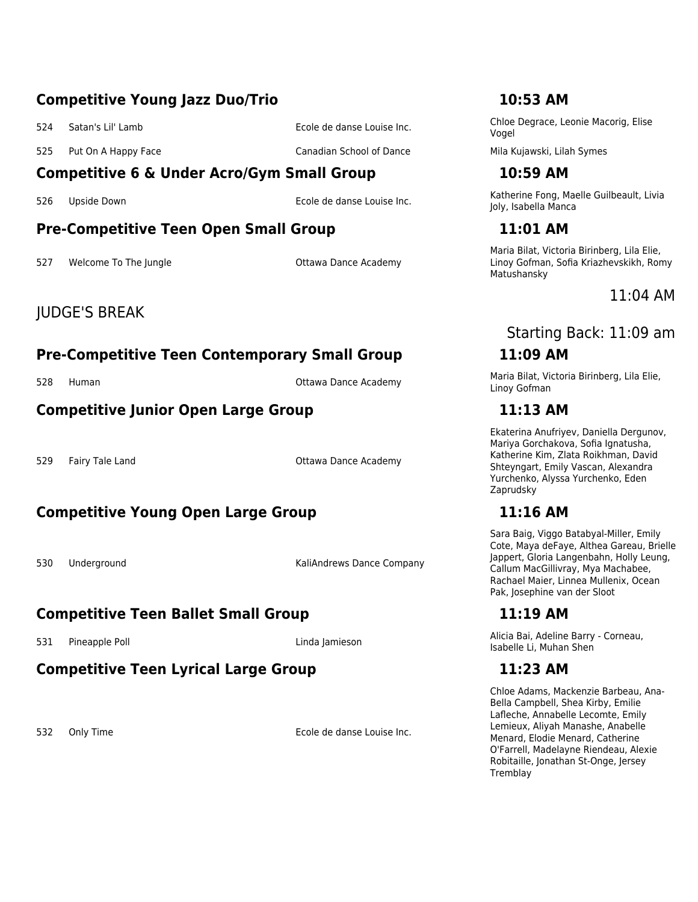### **Competitive Young Jazz Duo/Trio 10:53 AM**

- 
- 525 Put On A Happy Face Same Canadian School of Dance Mila Kujawski, Lilah Symes

# **Competitive 6 & Under Acro/Gym Small Group 10:59 AM**

### **Pre-Competitive Teen Open Small Group 11:01 AM**

527 Welcome To The Jungle Communication Communication Contains Ottawa Dance Academy

# JUDGE'S BREAK

# **Pre-Competitive Teen Contemporary Small Group 11:09 AM**

### **Competitive Junior Open Large Group 11:13 AM**

529 Fairy Tale Land Communication Communication Communication Communication Communication Communication Communication Communication Communication Communication Communication Communication Communication Communication Commun

# **Competitive Young Open Large Group 11:16 AM**

530 Underground KaliAndrews Dance Company

# **Competitive Teen Ballet Small Group 11:19 AM**

# **Competitive Teen Lyrical Large Group 11:23 AM**

532 Only Time Ecole de danse Louise Inc.

<sup>524</sup> Satan's Lil' Lamb Ecole de danse Louise Inc. Chloe Degrace, Leonie Macorig, Elise Vogel

526 Upside Down **Ecole de danse Louise Inc.** Katherine Fong, Maelle Guilbeault, Livia Collection Collection Collection Collection Collection Collection Collection Collection Collection Collection Collection Collection Coll Joly, Isabella Manca

Maria Bilat, Victoria Birinberg, Lila Elie, Linoy Gofman, Sofia Kriazhevskikh, Romy Matushansky

# 11:04 AM

# Starting Back: 11:09 am

528 Human **Maria Bilat, Victoria Birinberg, Lila Elie**, Linoy Gofman

Ekaterina Anufriyev, Daniella Dergunov, Mariya Gorchakova, Sofia Ignatusha, Katherine Kim, Zlata Roikhman, David Shteyngart, Emily Vascan, Alexandra Yurchenko, Alyssa Yurchenko, Eden Zaprudsky

Sara Baig, Viggo Batabyal-Miller, Emily Cote, Maya deFaye, Althea Gareau, Brielle Jappert, Gloria Langenbahn, Holly Leung, Callum MacGillivray, Mya Machabee, Rachael Maier, Linnea Mullenix, Ocean Pak, Josephine van der Sloot

531 Pineapple Poll **Exercise State Corneau,** Linda Jamieson Alicia Bai, Adeline Barry - Corneau, Isabelle Li, Muhan Shen

Chloe Adams, Mackenzie Barbeau, Ana-Bella Campbell, Shea Kirby, Emilie Lafleche, Annabelle Lecomte, Emily Lemieux, Aliyah Manashe, Anabelle Menard, Elodie Menard, Catherine O'Farrell, Madelayne Riendeau, Alexie Robitaille, Jonathan St-Onge, Jersey **Tremblav**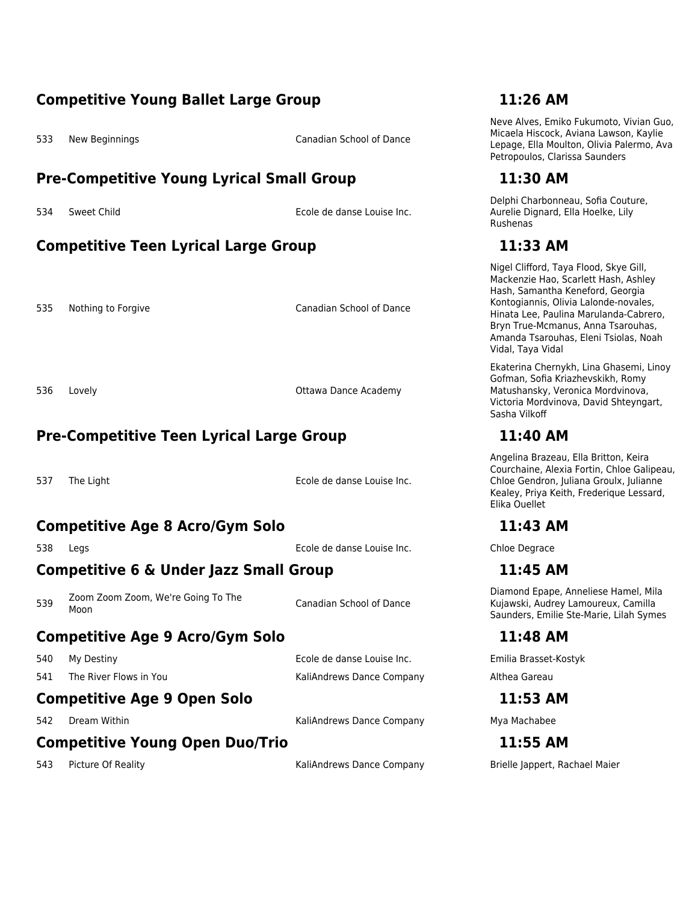### **Competitive Young Ballet Large Group 11:26 AM**

533 New Beginnings Canadian School of Dance

### **Pre-Competitive Young Lyrical Small Group 11:30 AM**

534 Sweet Child Ecole de danse Louise Inc.

# **Competitive Teen Lyrical Large Group 11:33 AM**

535 Nothing to Forgive Canadian School of Dance

536 Lovely **Contract Contract Contract Contract Contract Contract Contract Contract Contract Contract Contract Contract Contract Contract Contract Contract Contract Contract Contract Contract Contract Contract Contract Con** 

# **Pre-Competitive Teen Lyrical Large Group 11:40 AM**

537 The Light Ecole de danse Louise Inc.

### **Competitive Age 8 Acro/Gym Solo 11:43 AM**

538 Legs Ecole de danse Louise Inc. Chloe Degrace

# **Competitive 6 & Under Jazz Small Group 11:45 AM**

539 Zoom Zoom Zoom, We're Going To The<br>Moon

Canadian School of Dance

# **Competitive Age 9 Acro/Gym Solo 11:48 AM**

541 The River Flows in You **KaliAndrews Dance Company** Althea Gareau Althea Gareau

540 My Destiny Ecole de danse Louise Inc. Emilia Brasset-Kostyk

### **Competitive Age 9 Open Solo 11:53 AM**

542 Dream Within **Example 20 Inc.** KaliAndrews Dance Company Mya Machabee

# **Competitive Young Open Duo/Trio 11:55 AM**

543 Picture Of Reality North Caliandrews Dance Company Brielle Jappert, Rachael Maier

Neve Alves, Emiko Fukumoto, Vivian Guo, Micaela Hiscock, Aviana Lawson, Kaylie Lepage, Ella Moulton, Olivia Palermo, Ava Petropoulos, Clarissa Saunders

Delphi Charbonneau, Sofia Couture, Aurelie Dignard, Ella Hoelke, Lily Rushenas

Nigel Clifford, Taya Flood, Skye Gill, Mackenzie Hao, Scarlett Hash, Ashley Hash, Samantha Keneford, Georgia Kontogiannis, Olivia Lalonde-novales, Hinata Lee, Paulina Marulanda-Cabrero, Bryn True-Mcmanus, Anna Tsarouhas, Amanda Tsarouhas, Eleni Tsiolas, Noah Vidal, Taya Vidal

Ekaterina Chernykh, Lina Ghasemi, Linoy Gofman, Sofia Kriazhevskikh, Romy Matushansky, Veronica Mordvinova, Victoria Mordvinova, David Shteyngart, Sasha Vilkoff

Angelina Brazeau, Ella Britton, Keira Courchaine, Alexia Fortin, Chloe Galipeau, Chloe Gendron, Juliana Groulx, Julianne Kealey, Priya Keith, Frederique Lessard, Elika Ouellet

Diamond Epape, Anneliese Hamel, Mila Kujawski, Audrey Lamoureux, Camilla Saunders, Emilie Ste-Marie, Lilah Symes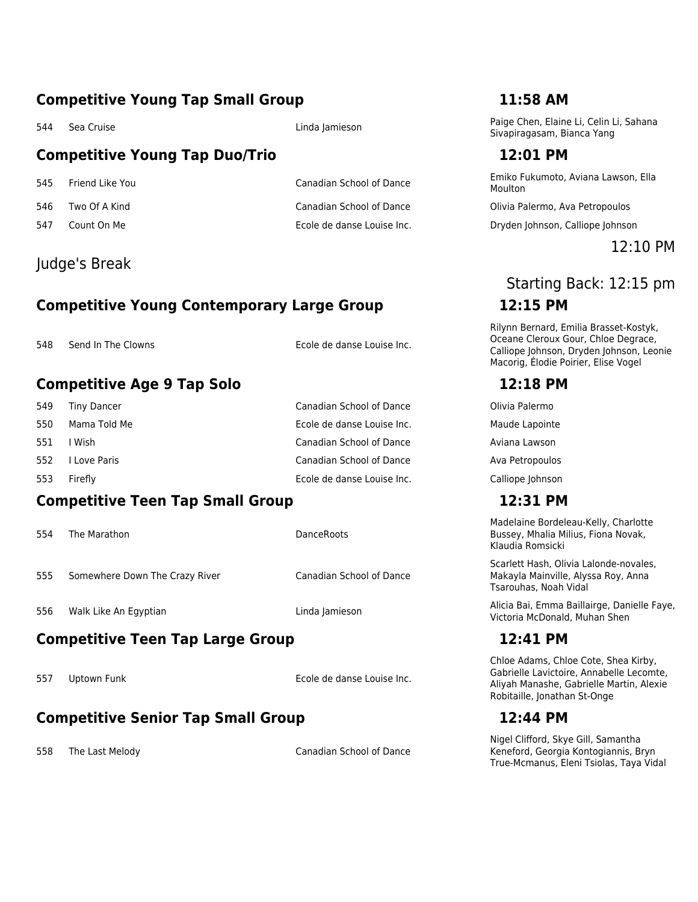### **Competitive Young Tap Small Group 11:58 AM**

# **Competitive Young Tap Duo/Trio 12:01 PM**

- 
- 

# Judge's Break

# **Competitive Young Contemporary Large Group 12:15 PM**

548 Send In The Clowns **Ecole de danse Louise Inc.** 

# **Competitive Age 9 Tap Solo 12:18 PM**

| 549 | Tiny Dancer  | Canadian School of Dance   | Olivia Palermo  |
|-----|--------------|----------------------------|-----------------|
| 550 | Mama Told Me | Ecole de danse Louise Inc. | Maude Lapoint   |
| 551 | I Wish       | Canadian School of Dance   | Aviana Lawson   |
| 552 | I Love Paris | Canadian School of Dance   | Ava Petropould  |
| 553 | Firefly      | Ecole de danse Louise Inc. | Calliope Johnso |

### **Competitive Teen Tap Small Group 12:31 PM**

554 The Marathon **DanceRoots DanceRoots** 

- 555 Somewhere Down The Crazy River Canadian School of Dance
- 

# **Competitive Teen Tap Large Group 12:41 PM**

557 Uptown Funk Ecole de danse Louise Inc.

# **Competitive Senior Tap Small Group 12:44 PM**

558 The Last Melody Canadian School of Dance

544 Sea Cruise Linda India Jamieson Paige Chen, Elaine Li, Celin Li, Sahana Sivapiragasam, Bianca Yang

<sup>545</sup> Friend Like You Canadian School of Dance Emiko Fukumoto, Aviana Lawson, Ella Moulton

546 Two Of A Kind Canadian School of Dance Olivia Palermo, Ava Petropoulos

547 Count On Me Ecole de danse Louise Inc. Dryden Johnson, Calliope Johnson

12:10 PM

# Starting Back: 12:15 pm

Rilynn Bernard, Emilia Brasset-Kostyk, Oceane Cleroux Gour, Chloe Degrace, Calliope Johnson, Dryden Johnson, Leonie Macorig, Élodie Poirier, Elise Vogel

Maude Lapointe Ava Petropoulos

# Calliope Johnson

Madelaine Bordeleau-Kelly, Charlotte Bussey, Mhalia Milius, Fiona Novak, Klaudia Romsicki

Scarlett Hash, Olivia Lalonde-novales, Makayla Mainville, Alyssa Roy, Anna Tsarouhas, Noah Vidal

556 Walk Like An Egyptian Linda Jamieson Linda Jamieson Malicia Bai, Emma Baillairge, Danielle Faye, Victoria McDonald, Muhan Shen

Chloe Adams, Chloe Cote, Shea Kirby, Gabrielle Lavictoire, Annabelle Lecomte, Aliyah Manashe, Gabrielle Martin, Alexie Robitaille, Jonathan St-Onge

Nigel Clifford, Skye Gill, Samantha Keneford, Georgia Kontogiannis, Bryn True-Mcmanus, Eleni Tsiolas, Taya Vidal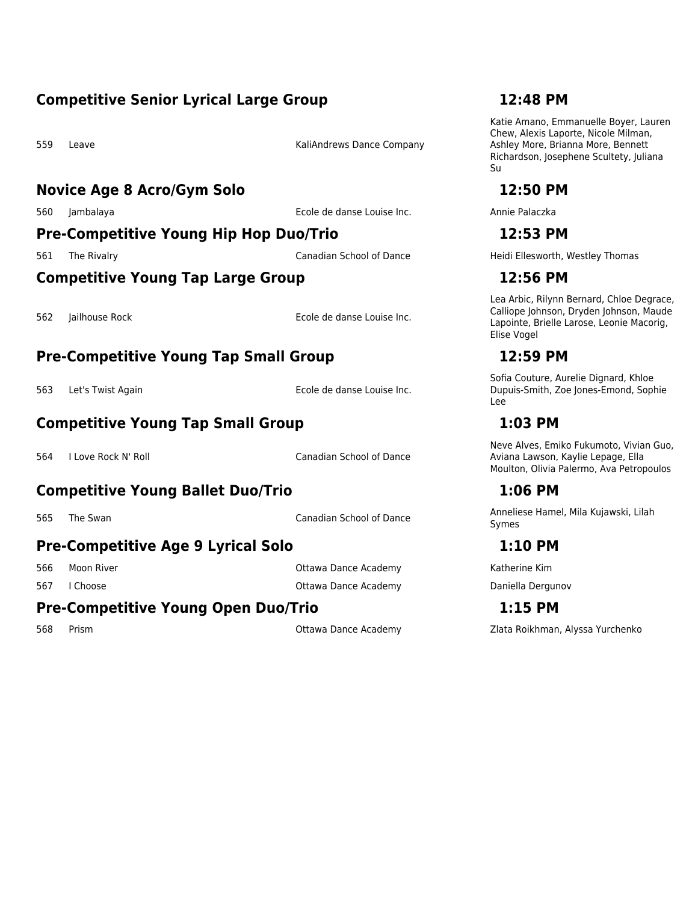### **Competitive Senior Lyrical Large Group 12:48 PM**

559 Leave **KaliAndrews Dance Company** 

### **Novice Age 8 Acro/Gym Solo 12:50 PM**

560 Jambalaya Ecole de danse Louise Inc. Annie Palaczka

# **Pre-Competitive Young Hip Hop Duo/Trio 12:53 PM**

### **Competitive Young Tap Large Group 12:56 PM**

562 Jailhouse Rock Ecole de danse Louise Inc.

# **Pre-Competitive Young Tap Small Group 12:59 PM**

563 Let's Twist Again Ecole de danse Louise Inc.

# **Competitive Young Tap Small Group 1:03 PM**

564 I Love Rock N' Roll Canadian School of Dance

# **Competitive Young Ballet Duo/Trio 1:06 PM**

# **Pre-Competitive Age 9 Lyrical Solo 1:10 PM**

566 Moon River Ottawa Dance Academy Katherine Kim 567 I Choose **Ottawa Dance Academy** Daniella Dergunov

# **Pre-Competitive Young Open Duo/Trio 1:15 PM**

Katie Amano, Emmanuelle Boyer, Lauren Chew, Alexis Laporte, Nicole Milman, Ashley More, Brianna More, Bennett Richardson, Josephene Scultety, Juliana Su

561 The Rivalry Canadian School of Dance Heidi Ellesworth, Westley Thomas

Lea Arbic, Rilynn Bernard, Chloe Degrace, Calliope Johnson, Dryden Johnson, Maude Lapointe, Brielle Larose, Leonie Macorig, Elise Vogel

Sofia Couture, Aurelie Dignard, Khloe Dupuis-Smith, Zoe Jones-Emond, Sophie Lee

Neve Alves, Emiko Fukumoto, Vivian Guo, Aviana Lawson, Kaylie Lepage, Ella Moulton, Olivia Palermo, Ava Petropoulos

565 The Swan Summan Canadian School of Dance Anneliese Hamel, Mila Kujawski, Lilah Symes

568 Prism Ottawa Dance Academy Zlata Roikhman, Alyssa Yurchenko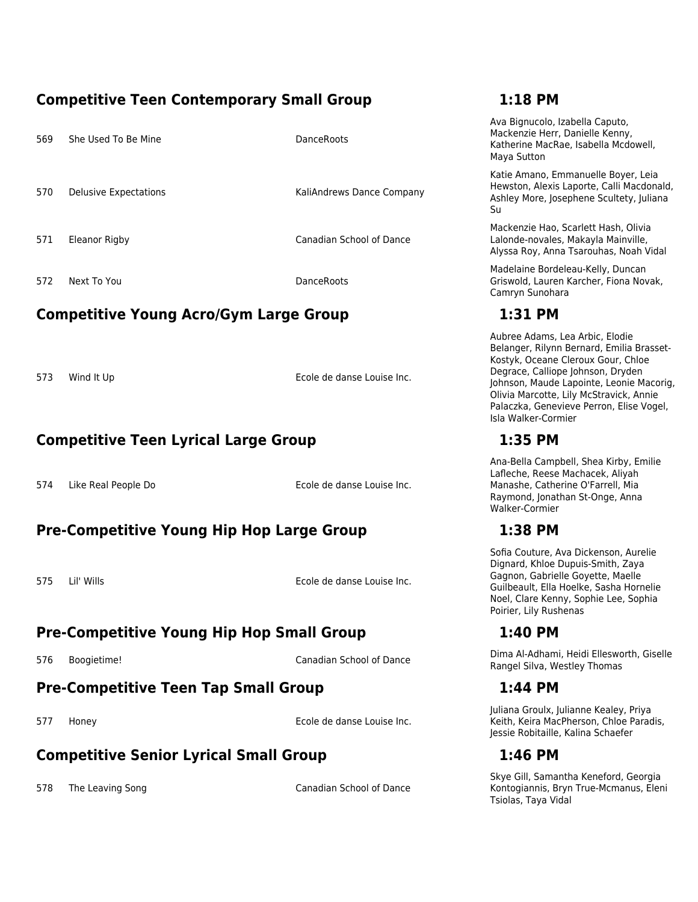## **Competitive Teen Contemporary Small Group 1:18 PM**

| 569 | She Used To Be Mine   | DanceRoots                |
|-----|-----------------------|---------------------------|
| 570 | Delusive Expectations | KaliAndrews Dance Company |
| 571 | <b>Eleanor Rigby</b>  | Canadian School of Dance  |
| 572 | Next To You           | DanceRoots                |

# **Competitive Young Acro/Gym Large Group 1:31 PM**

573 Wind It Up **Ecole de danse Louise Inc.** 

# **Competitive Teen Lyrical Large Group 1:35 PM**

574 Like Real People Do Ecole de danse Louise Inc.

# **Pre-Competitive Young Hip Hop Large Group 1:38 PM**

575 Lil' Wills Ecole de danse Louise Inc.

# **Pre-Competitive Young Hip Hop Small Group 1:40 PM**

# **Pre-Competitive Teen Tap Small Group 1:44 PM**

577 Honey Ecole de danse Louise Inc.

# **Competitive Senior Lyrical Small Group 1:46 PM**

578 The Leaving Song Canadian School of Dance

Ava Bignucolo, Izabella Caputo, Mackenzie Herr, Danielle Kenny, Katherine MacRae, Isabella Mcdowell, Maya Sutton

Katie Amano, Emmanuelle Boyer, Leia Hewston, Alexis Laporte, Calli Macdonald, Ashley More, Josephene Scultety, Juliana Su

Mackenzie Hao, Scarlett Hash, Olivia Lalonde-novales, Makayla Mainville, Alyssa Roy, Anna Tsarouhas, Noah Vidal

Madelaine Bordeleau-Kelly, Duncan Griswold, Lauren Karcher, Fiona Novak, Camryn Sunohara

Aubree Adams, Lea Arbic, Elodie Belanger, Rilynn Bernard, Emilia Brasset-Kostyk, Oceane Cleroux Gour, Chloe Degrace, Calliope Johnson, Dryden Johnson, Maude Lapointe, Leonie Macorig, Olivia Marcotte, Lily McStravick, Annie Palaczka, Genevieve Perron, Elise Vogel, Isla Walker-Cormier

Ana-Bella Campbell, Shea Kirby, Emilie Lafleche, Reese Machacek, Aliyah Manashe, Catherine O'Farrell, Mia Raymond, Jonathan St-Onge, Anna Walker-Cormier

Sofia Couture, Ava Dickenson, Aurelie Dignard, Khloe Dupuis-Smith, Zaya Gagnon, Gabrielle Goyette, Maelle Guilbeault, Ella Hoelke, Sasha Hornelie Noel, Clare Kenny, Sophie Lee, Sophia Poirier, Lily Rushenas

576 Boogietime! Canadian School of Dance Dima Al-Adhami, Heidi Ellesworth, Giselle Rangel Silva, Westley Thomas

Juliana Groulx, Julianne Kealey, Priya Keith, Keira MacPherson, Chloe Paradis, Jessie Robitaille, Kalina Schaefer

Skye Gill, Samantha Keneford, Georgia Kontogiannis, Bryn True-Mcmanus, Eleni Tsiolas, Taya Vidal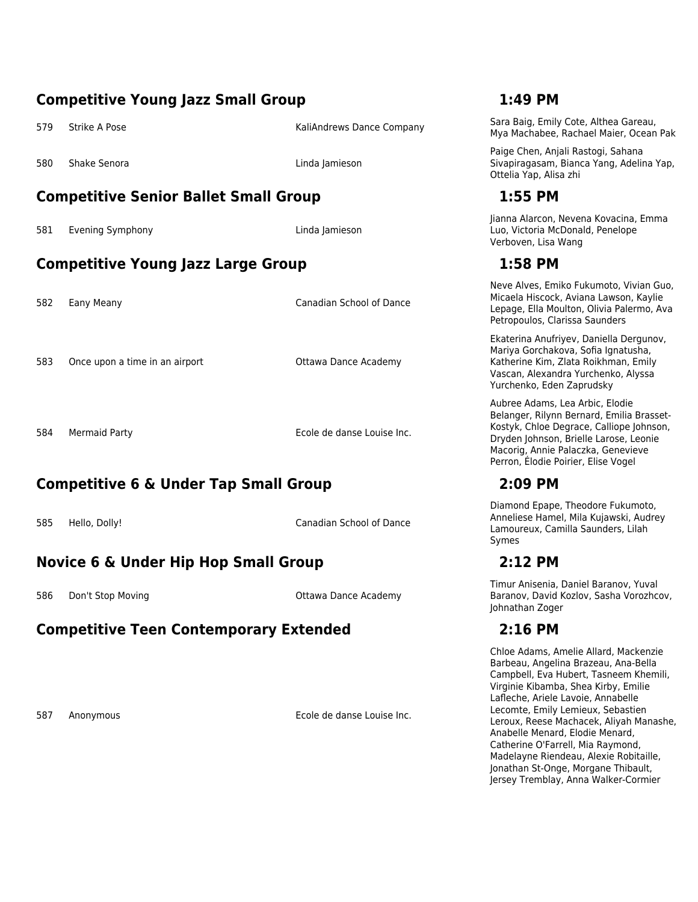### **Competitive Young Jazz Small Group 1:49 PM** 579 Strike A Pose Sara Baig, Emily Cote, Althea Gareau, Care KaliAndrews Dance Company Sara Baig, Emily Cote, Althea Gareau, Mya Machabee, Rachael Maier, Ocean Pak 580 Shake Senora Linda Jamieson Paige Chen, Anjali Rastogi, Sahana Sivapiragasam, Bianca Yang, Adelina Yap, Ottelia Yap, Alisa zhi **Competitive Senior Ballet Small Group 1:55 PM** 581 Evening Symphony Linda Jamieson Jianna Alarcon, Nevena Kovacina, Emma Luo, Victoria McDonald, Penelope Verboven, Lisa Wang **Competitive Young Jazz Large Group 1:58 PM** 582 Eany Meany Canadian School of Dance Neve Alves, Emiko Fukumoto, Vivian Guo, Micaela Hiscock, Aviana Lawson, Kaylie Lepage, Ella Moulton, Olivia Palermo, Ava Petropoulos, Clarissa Saunders 583 Once upon a time in an airport **CEACCO CONCORDIATION** Ottawa Dance Academy Ekaterina Anufriyev, Daniella Dergunov, Mariya Gorchakova, Sofia Ignatusha, Katherine Kim, Zlata Roikhman, Emily Vascan, Alexandra Yurchenko, Alyssa Yurchenko, Eden Zaprudsky 584 Mermaid Party Ecole de danse Louise Inc. Aubree Adams, Lea Arbic, Elodie Belanger, Rilynn Bernard, Emilia Brasset-Kostyk, Chloe Degrace, Calliope Johnson, Dryden Johnson, Brielle Larose, Leonie Macorig, Annie Palaczka, Genevieve Perron, Élodie Poirier, Elise Vogel **Competitive 6 & Under Tap Small Group 2:09 PM** Diamond Epape, Theodore Fukumoto, Anneliese Hamel, Mila Kujawski, Audrey

585 Hello, Dolly! Canadian School of Dance

# **Novice 6 & Under Hip Hop Small Group 2:12 PM**

586 Don't Stop Moving Communication Communication Communication Communication Communication Communication Communication Communication Communication Communication Communication Communication Communication Communication Comm

# **Competitive Teen Contemporary Extended 2:16 PM**

587 Anonymous Ecole de danse Louise Inc.

Symes

Timur Anisenia, Daniel Baranov, Yuval Baranov, David Kozlov, Sasha Vorozhcov, Johnathan Zoger

Lamoureux, Camilla Saunders, Lilah

Chloe Adams, Amelie Allard, Mackenzie Barbeau, Angelina Brazeau, Ana-Bella Campbell, Eva Hubert, Tasneem Khemili, Virginie Kibamba, Shea Kirby, Emilie Lafleche, Ariele Lavoie, Annabelle Lecomte, Emily Lemieux, Sebastien Leroux, Reese Machacek, Aliyah Manashe, Anabelle Menard, Elodie Menard, Catherine O'Farrell, Mia Raymond, Madelayne Riendeau, Alexie Robitaille, Jonathan St-Onge, Morgane Thibault, Jersey Tremblay, Anna Walker-Cormier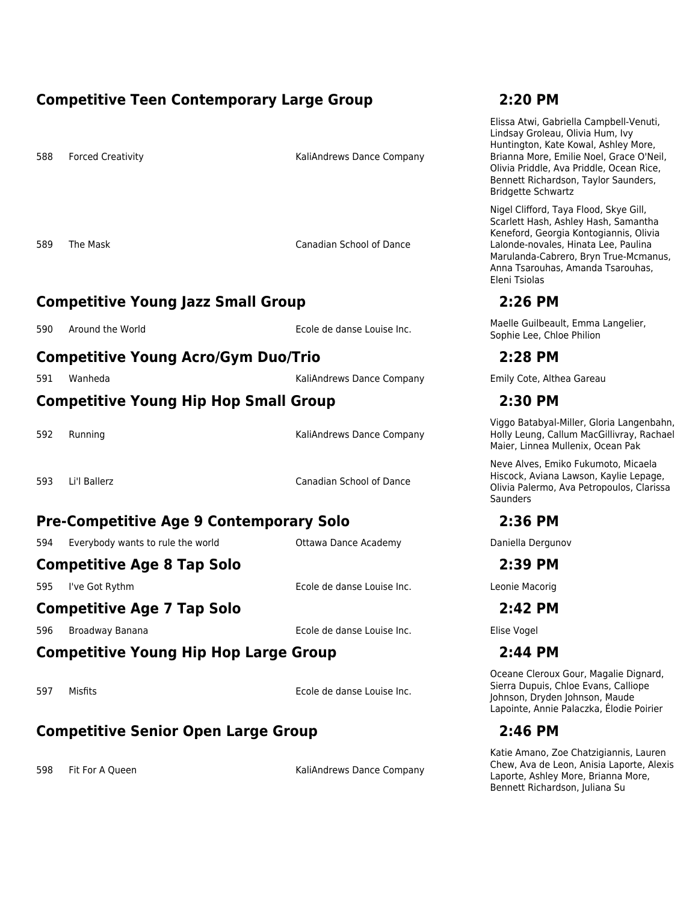### **Competitive Teen Contemporary Large Group 2:20 PM**

588 Forced Creativity **Exercise 20 Forced Creativity KaliAndrews Dance Company** 

589 The Mask Canadian School of Dance

# **Competitive Young Jazz Small Group 2:26 PM**

# **Competitive Young Acro/Gym Duo/Trio 2:28 PM**

591 Wanheda KaliAndrews Dance Company Emily Cote, Althea Gareau

### **Competitive Young Hip Hop Small Group 2:30 PM**

592 Running KaliAndrews Dance Company

593 Li'l Ballerz Canadian School of Dance

### **Pre-Competitive Age 9 Contemporary Solo 2:36 PM**

594 Everybody wants to rule the world **Ottawa Dance Academy COM** Daniella Dergunov

### **Competitive Age 8 Tap Solo 2:39 PM**

595 I've Got Rythm Ecole de danse Louise Inc. Leonie Macorig

# **Competitive Age 7 Tap Solo 2:42 PM**

596 Broadway Banana Ecole de danse Louise Inc. Elise Vogel

# **Competitive Young Hip Hop Large Group 2:44 PM**

597 Misfits Ecole de danse Louise Inc.

# **Competitive Senior Open Large Group 2:46 PM**

598 Fit For A Queen **Fig. 2018** Fit For A Queen Assemblance Company

Elissa Atwi, Gabriella Campbell-Venuti, Lindsay Groleau, Olivia Hum, Ivy Huntington, Kate Kowal, Ashley More, Brianna More, Emilie Noel, Grace O'Neil, Olivia Priddle, Ava Priddle, Ocean Rice, Bennett Richardson, Taylor Saunders, Bridgette Schwartz

Nigel Clifford, Taya Flood, Skye Gill, Scarlett Hash, Ashley Hash, Samantha Keneford, Georgia Kontogiannis, Olivia Lalonde-novales, Hinata Lee, Paulina Marulanda-Cabrero, Bryn True-Mcmanus, Anna Tsarouhas, Amanda Tsarouhas, Eleni Tsiolas

590 Around the World **Ecole de danse Louise Inc.** Maelle Guilbeault, Emma Langelier, Sophie Lee, Chloe Philion

Viggo Batabyal-Miller, Gloria Langenbahn, Holly Leung, Callum MacGillivray, Rachael Maier, Linnea Mullenix, Ocean Pak

Neve Alves, Emiko Fukumoto, Micaela Hiscock, Aviana Lawson, Kaylie Lepage, Olivia Palermo, Ava Petropoulos, Clarissa **Saunders** 

Oceane Cleroux Gour, Magalie Dignard, Sierra Dupuis, Chloe Evans, Calliope Johnson, Dryden Johnson, Maude Lapointe, Annie Palaczka, Élodie Poirier

Katie Amano, Zoe Chatzigiannis, Lauren Chew, Ava de Leon, Anisia Laporte, Alexis Laporte, Ashley More, Brianna More, Bennett Richardson, Juliana Su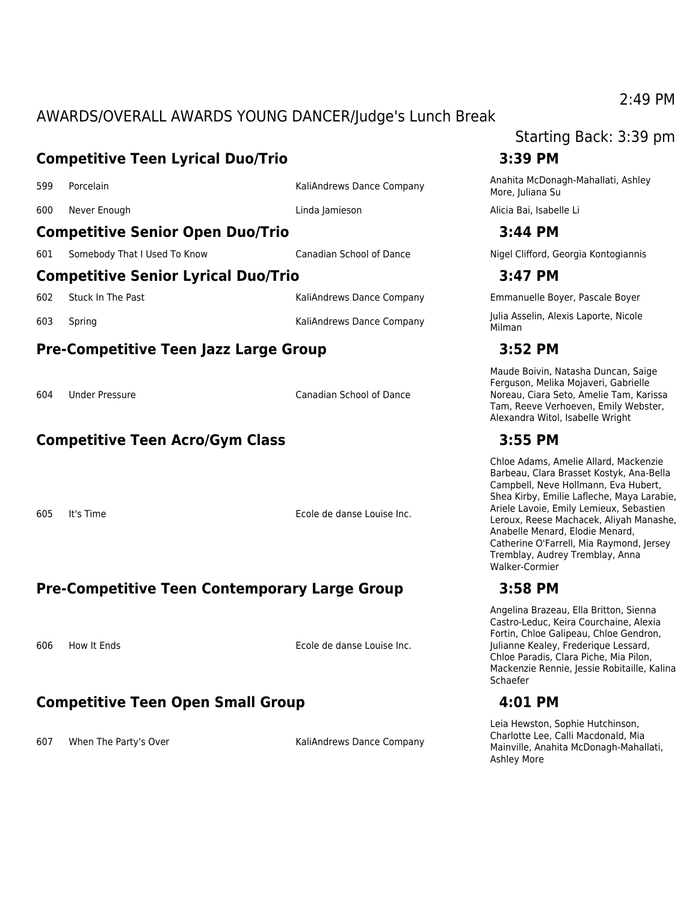# AWARDS/OVERALL AWARDS YOUNG DANCER/Judge's Lunch Break

# **Competitive Teen Lyrical Duo/Trio 3:39 PM** <sup>599</sup> Porcelain KaliAndrews Dance Company Anahita McDonagh-Mahallati, Ashley 600 Never Enough Linda Jamieson Alicia Bai, Isabelle Li **Competitive Senior Open Duo/Trio 3:44 PM**

### 601 Somebody That I Used To Know Canadian School of Dance Nigel Clifford, Georgia Kontogiannis

### **Competitive Senior Lyrical Duo/Trio 3:47 PM**

**Pre-Competitive Teen Jazz Large Group 3:52 PM**

604 Under Pressure Canadian School of Dance

# **Competitive Teen Acro/Gym Class 3:55 PM**

605 It's Time Ecole de danse Louise Inc.

# **Pre-Competitive Teen Contemporary Large Group 3:58 PM**

606 How It Ends Ecole de danse Louise Inc.

# **Competitive Teen Open Small Group 4:01 PM**

607 When The Party's Over The Company KaliAndrews Dance Company

# Starting Back: 3:39 pm

More, Juliana Su

602 Stuck In The Past November 2012 KaliAndrews Dance Company Emmanuelle Boyer, Pascale Boyer

<sup>603</sup> Spring KaliAndrews Dance Company Julia Asselin, Alexis Laporte, Nicole Milman

Maude Boivin, Natasha Duncan, Saige Ferguson, Melika Mojaveri, Gabrielle Noreau, Ciara Seto, Amelie Tam, Karissa Tam, Reeve Verhoeven, Emily Webster, Alexandra Witol, Isabelle Wright

Chloe Adams, Amelie Allard, Mackenzie Barbeau, Clara Brasset Kostyk, Ana-Bella Campbell, Neve Hollmann, Eva Hubert, Shea Kirby, Emilie Lafleche, Maya Larabie, Ariele Lavoie, Emily Lemieux, Sebastien Leroux, Reese Machacek, Aliyah Manashe, Anabelle Menard, Elodie Menard, Catherine O'Farrell, Mia Raymond, Jersey Tremblay, Audrey Tremblay, Anna Walker-Cormier

Angelina Brazeau, Ella Britton, Sienna Castro-Leduc, Keira Courchaine, Alexia Fortin, Chloe Galipeau, Chloe Gendron, Julianne Kealey, Frederique Lessard, Chloe Paradis, Clara Piche, Mia Pilon, Mackenzie Rennie, Jessie Robitaille, Kalina **Schaefer** 

Leia Hewston, Sophie Hutchinson, Charlotte Lee, Calli Macdonald, Mia Mainville, Anahita McDonagh-Mahallati, Ashley More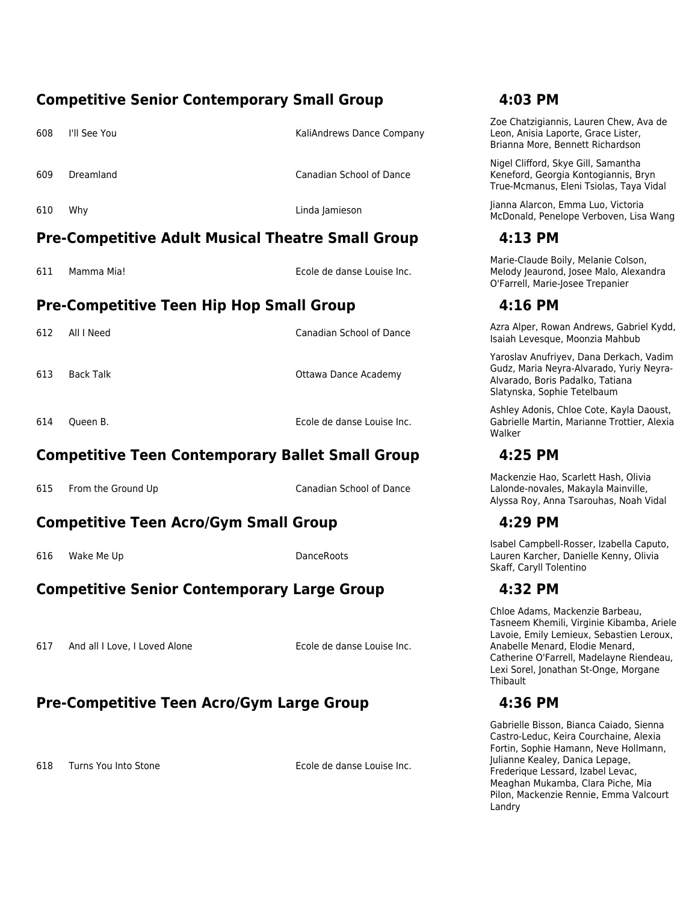### **Competitive Senior Contemporary Small Group 4:03 PM**

608 I'll See You KaliAndrews Dance Company

609 Dreamland Canadian School of Dance

### **Pre-Competitive Adult Musical Theatre Small Group 4:13 PM**

611 Mamma Mia! Ecole de danse Louise Inc.

# **Pre-Competitive Teen Hip Hop Small Group 4:16 PM**

613 Back Talk Ottawa Dance Academy

614 Queen B. Ecole de danse Louise Inc.

# **Competitive Teen Contemporary Ballet Small Group 4:25 PM**

615 From the Ground Up **Canadian School of Dance** 

# **Competitive Teen Acro/Gym Small Group 4:29 PM**

616 Wake Me Up **DanceRoots** 

# **Competitive Senior Contemporary Large Group 4:32 PM**

617 And all I Love, I Loved Alone Ecole de danse Louise Inc.

# **Pre-Competitive Teen Acro/Gym Large Group 4:36 PM**

618 Turns You Into Stone **Ecole de danse Louise Inc.** 

Zoe Chatzigiannis, Lauren Chew, Ava de Leon, Anisia Laporte, Grace Lister, Brianna More, Bennett Richardson

Nigel Clifford, Skye Gill, Samantha Keneford, Georgia Kontogiannis, Bryn True-Mcmanus, Eleni Tsiolas, Taya Vidal

<sup>610</sup> Why Linda Jamieson Jianna Alarcon, Emma Luo, Victoria McDonald, Penelope Verboven, Lisa Wang

Marie-Claude Boily, Melanie Colson, Melody Jeaurond, Josee Malo, Alexandra O'Farrell, Marie-Josee Trepanier

<sup>612</sup> All I Need Canadian School of Dance Azra Alper, Rowan Andrews, Gabriel Kydd, Isaiah Levesque, Moonzia Mahbub

> Yaroslav Anufriyev, Dana Derkach, Vadim Gudz, Maria Neyra-Alvarado, Yuriy Neyra-Alvarado, Boris Padalko, Tatiana Slatynska, Sophie Tetelbaum

> Ashley Adonis, Chloe Cote, Kayla Daoust, Gabrielle Martin, Marianne Trottier, Alexia Walker

Mackenzie Hao, Scarlett Hash, Olivia Lalonde-novales, Makayla Mainville, Alyssa Roy, Anna Tsarouhas, Noah Vidal

Isabel Campbell-Rosser, Izabella Caputo, Lauren Karcher, Danielle Kenny, Olivia Skaff, Caryll Tolentino

Chloe Adams, Mackenzie Barbeau, Tasneem Khemili, Virginie Kibamba, Ariele Lavoie, Emily Lemieux, Sebastien Leroux, Anabelle Menard, Elodie Menard, Catherine O'Farrell, Madelayne Riendeau, Lexi Sorel, Jonathan St-Onge, Morgane Thibault

Gabrielle Bisson, Bianca Caiado, Sienna Castro-Leduc, Keira Courchaine, Alexia Fortin, Sophie Hamann, Neve Hollmann, Julianne Kealey, Danica Lepage, Frederique Lessard, Izabel Levac, Meaghan Mukamba, Clara Piche, Mia Pilon, Mackenzie Rennie, Emma Valcourt Landry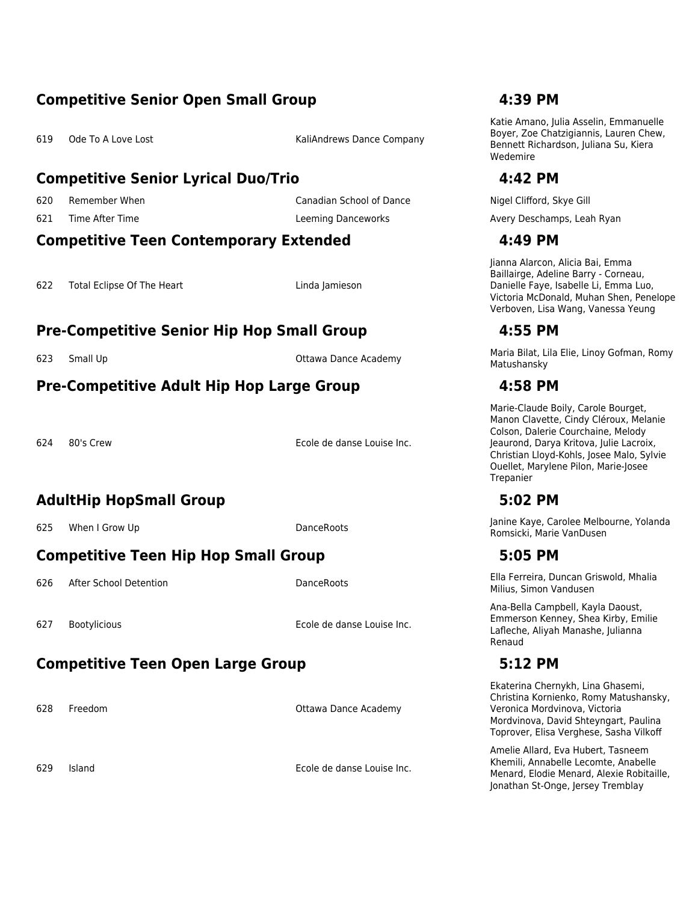### **Competitive Senior Open Small Group 4:39 PM**

619 Ode To A Love Lost **Company** KaliAndrews Dance Company

### **Competitive Senior Lyrical Duo/Trio 4:42 PM**

### **Competitive Teen Contemporary Extended 4:49 PM**

622 Total Eclipse Of The Heart Linda Jamieson

# **Pre-Competitive Senior Hip Hop Small Group 4:55 PM**

### **Pre-Competitive Adult Hip Hop Large Group 4:58 PM**

624 80's Crew Ecole de danse Louise Inc.

# **AdultHip HopSmall Group 5:02 PM**

# **Competitive Teen Hip Hop Small Group 5:05 PM**

627 Bootylicious Ecole de danse Louise Inc.

# **Competitive Teen Open Large Group 5:12 PM**

628 Freedom Ottawa Dance Academy

629 Island Ecole de danse Louise Inc.

Katie Amano, Julia Asselin, Emmanuelle Boyer, Zoe Chatzigiannis, Lauren Chew, Bennett Richardson, Juliana Su, Kiera Wedemire

620 Remember When Nigel Clifford, Skye Gill Canadian School of Dance Nigel Clifford, Skye Gill Clifford, Skye Gill 621 Time After Time **Leeming Danceworks** Avery Deschamps, Leah Ryan

Jianna Alarcon, Alicia Bai, Emma Baillairge, Adeline Barry - Corneau, Danielle Faye, Isabelle Li, Emma Luo, Victoria McDonald, Muhan Shen, Penelope Verboven, Lisa Wang, Vanessa Yeung

<sup>623</sup> Small Up Ottawa Dance Academy Maria Bilat, Lila Elie, Linoy Gofman, Romy Matushansky

Marie-Claude Boily, Carole Bourget, Manon Clavette, Cindy Cléroux, Melanie Colson, Dalerie Courchaine, Melody Jeaurond, Darya Kritova, Julie Lacroix, Christian Lloyd-Kohls, Josee Malo, Sylvie Ouellet, Marylene Pilon, Marie-Josee Trepanier

For the Up DanceRoots of the Up DanceRoots and the Up of the Up of the Up of the Up DanceRoots of the Up of the Up of the Up of the Up of the Up of the Up of the Up of the Up of the Up of the Up of the Up of the Up of the Romsicki, Marie VanDusen

<sup>626</sup> After School Detention DanceRoots Ella Ferreira, Duncan Griswold, Mhalia Milius, Simon Vandusen

> Ana-Bella Campbell, Kayla Daoust, Emmerson Kenney, Shea Kirby, Emilie Lafleche, Aliyah Manashe, Julianna Renaud

Ekaterina Chernykh, Lina Ghasemi, Christina Kornienko, Romy Matushansky, Veronica Mordvinova, Victoria Mordvinova, David Shteyngart, Paulina Toprover, Elisa Verghese, Sasha Vilkoff

Amelie Allard, Eva Hubert, Tasneem Khemili, Annabelle Lecomte, Anabelle Menard, Elodie Menard, Alexie Robitaille, Jonathan St-Onge, Jersey Tremblay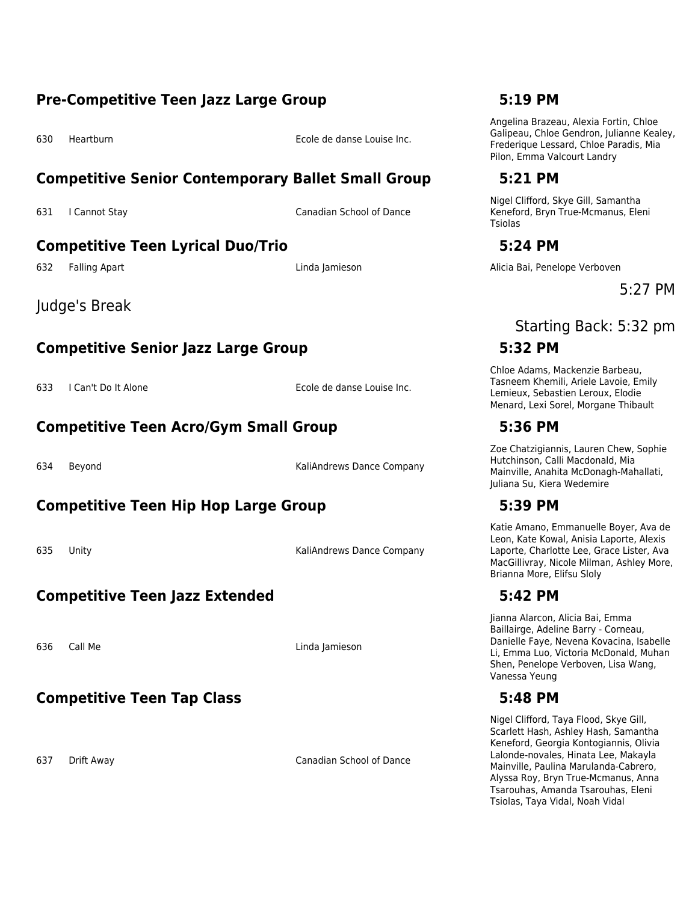### **Pre-Competitive Teen Jazz Large Group 5:19 PM**

630 Heartburn Ecole de danse Louise Inc.

### **Competitive Senior Contemporary Ballet Small Group 5:21 PM**

631 I Cannot Stay Canadian School of Dance

# **Competitive Teen Lyrical Duo/Trio 5:24 PM**

Judge's Break

# **Competitive Senior Jazz Large Group 5:32 PM**

633 I Can't Do It Alone **Ecole de danse Louise Inc.** 

### **Competitive Teen Acro/Gym Small Group 5:36 PM**

634 Beyond KaliAndrews Dance Company

# **Competitive Teen Hip Hop Large Group 5:39 PM**

635 Unity **Kaliandrews Dance Company** 

# **Competitive Teen Jazz Extended 5:42 PM**

636 Call Me Linda Jamieson

### **Competitive Teen Tap Class 5:48 PM**

637 Drift Away Canadian School of Dance

Angelina Brazeau, Alexia Fortin, Chloe Galipeau, Chloe Gendron, Julianne Kealey, Frederique Lessard, Chloe Paradis, Mia Pilon, Emma Valcourt Landry

Nigel Clifford, Skye Gill, Samantha Keneford, Bryn True-Mcmanus, Eleni Tsiolas

632 Falling Apart Linda Jamieson Alicia Bai, Penelope Verboven

5:27 PM

# Starting Back: 5:32 pm

Chloe Adams, Mackenzie Barbeau, Tasneem Khemili, Ariele Lavoie, Emily Lemieux, Sebastien Leroux, Elodie Menard, Lexi Sorel, Morgane Thibault

Zoe Chatzigiannis, Lauren Chew, Sophie Hutchinson, Calli Macdonald, Mia Mainville, Anahita McDonagh-Mahallati, Juliana Su, Kiera Wedemire

Katie Amano, Emmanuelle Boyer, Ava de Leon, Kate Kowal, Anisia Laporte, Alexis Laporte, Charlotte Lee, Grace Lister, Ava MacGillivray, Nicole Milman, Ashley More, Brianna More, Elifsu Sloly

Jianna Alarcon, Alicia Bai, Emma Baillairge, Adeline Barry - Corneau, Danielle Faye, Nevena Kovacina, Isabelle Li, Emma Luo, Victoria McDonald, Muhan Shen, Penelope Verboven, Lisa Wang, Vanessa Yeung

Nigel Clifford, Taya Flood, Skye Gill, Scarlett Hash, Ashley Hash, Samantha Keneford, Georgia Kontogiannis, Olivia Lalonde-novales, Hinata Lee, Makayla Mainville, Paulina Marulanda-Cabrero, Alyssa Roy, Bryn True-Mcmanus, Anna Tsarouhas, Amanda Tsarouhas, Eleni Tsiolas, Taya Vidal, Noah Vidal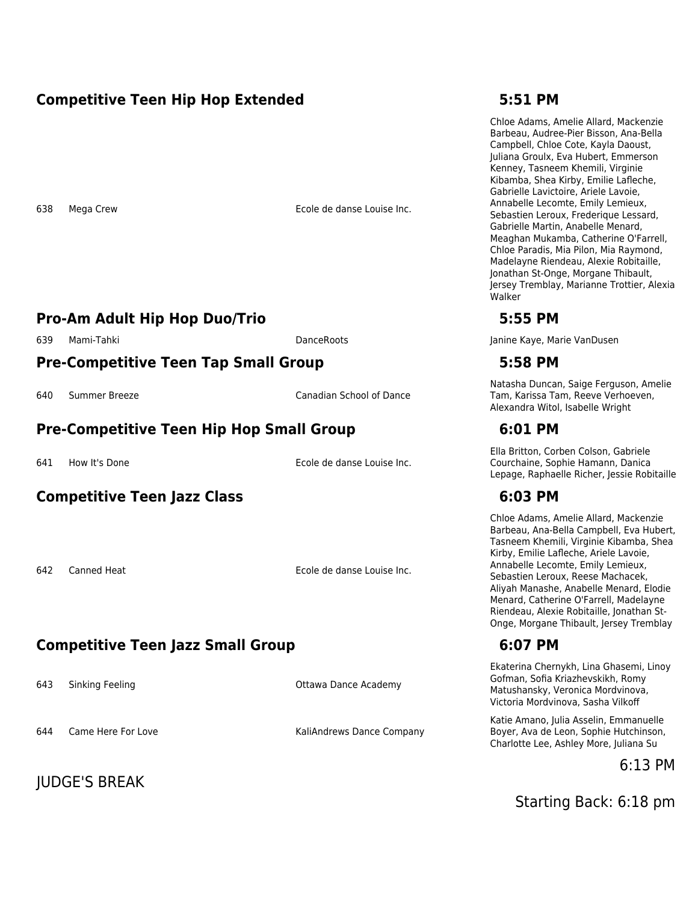### **Competitive Teen Hip Hop Extended 5:51 PM**

638 Mega Crew Ecole de danse Louise Inc.

### **Pro-Am Adult Hip Hop Duo/Trio 5:55 PM**

# **Pre-Competitive Teen Tap Small Group 5:58 PM**

640 Summer Breeze Canadian School of Dance

### **Pre-Competitive Teen Hip Hop Small Group 6:01 PM**

641 How It's Done Ecole de danse Louise Inc.

### **Competitive Teen Jazz Class 6:03 PM**

642 Canned Heat **Ecole de danse Louise Inc.** 

# **Competitive Teen Jazz Small Group 6:07 PM**

643 Sinking Feeling Communication Communication Communication Communication Communication Communication Communication Communication Communication Communication Communication Communication Communication Communication Commun

644 Came Here For Love **KaliAndrews Dance Company** 

JUDGE'S BREAK

Chloe Adams, Amelie Allard, Mackenzie Barbeau, Audree-Pier Bisson, Ana-Bella Campbell, Chloe Cote, Kayla Daoust, Juliana Groulx, Eva Hubert, Emmerson Kenney, Tasneem Khemili, Virginie Kibamba, Shea Kirby, Emilie Lafleche, Gabrielle Lavictoire, Ariele Lavoie, Annabelle Lecomte, Emily Lemieux, Sebastien Leroux, Frederique Lessard, Gabrielle Martin, Anabelle Menard, Meaghan Mukamba, Catherine O'Farrell, Chloe Paradis, Mia Pilon, Mia Raymond, Madelayne Riendeau, Alexie Robitaille, Jonathan St-Onge, Morgane Thibault, Jersey Tremblay, Marianne Trottier, Alexia Walker

639 Mami-Tahki **DanceRoots** DanceRoots Janine Kaye, Marie VanDusen

Natasha Duncan, Saige Ferguson, Amelie Tam, Karissa Tam, Reeve Verhoeven, Alexandra Witol, Isabelle Wright

Ella Britton, Corben Colson, Gabriele Courchaine, Sophie Hamann, Danica Lepage, Raphaelle Richer, Jessie Robitaille

Chloe Adams, Amelie Allard, Mackenzie Barbeau, Ana-Bella Campbell, Eva Hubert, Tasneem Khemili, Virginie Kibamba, Shea Kirby, Emilie Lafleche, Ariele Lavoie, Annabelle Lecomte, Emily Lemieux, Sebastien Leroux, Reese Machacek, Aliyah Manashe, Anabelle Menard, Elodie Menard, Catherine O'Farrell, Madelayne Riendeau, Alexie Robitaille, Jonathan St-Onge, Morgane Thibault, Jersey Tremblay

Ekaterina Chernykh, Lina Ghasemi, Linoy Gofman, Sofia Kriazhevskikh, Romy Matushansky, Veronica Mordvinova, Victoria Mordvinova, Sasha Vilkoff

Katie Amano, Julia Asselin, Emmanuelle Boyer, Ava de Leon, Sophie Hutchinson, Charlotte Lee, Ashley More, Juliana Su

6:13 PM

Starting Back: 6:18 pm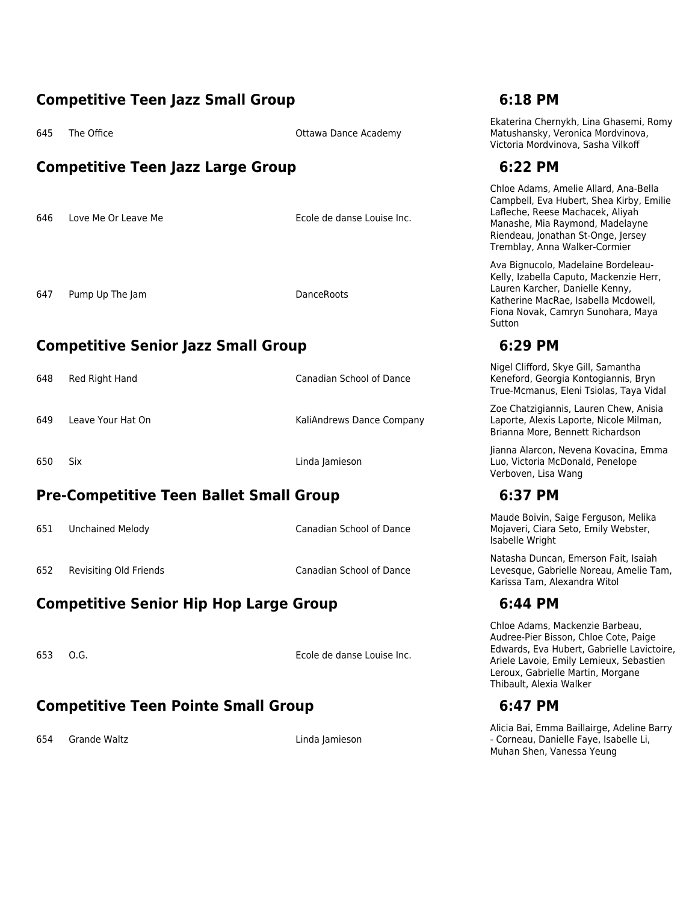### **Competitive Teen Jazz Small Group 6:18 PM**

645 The Office **Calculation Contract Contract Contract Contract Contract Contract Contract Contract Contract Contract Contract Contract Contract Contract Contract Contract Contract Contract Contract Contract Contract Contr** 

### **Competitive Teen Jazz Large Group 6:22 PM**

646 Love Me Or Leave Me **Ecole de danse Louise Inc.** 

647 Pump Up The Jam DanceRoots

# **Competitive Senior Jazz Small Group 6:29 PM**

648 Red Right Hand Canadian School of Dance

649 Leave Your Hat On Sance Company

650 Six Linda Jamieson

# **Pre-Competitive Teen Ballet Small Group 6:37 PM**

651 Unchained Melody Canadian School of Dance

652 Revisiting Old Friends Canadian School of Dance

# **Competitive Senior Hip Hop Large Group 6:44 PM**

653 O.G. Ecole de danse Louise Inc.

### **Competitive Teen Pointe Small Group 6:47 PM**

654 Grande Waltz Linda Jamieson

Ekaterina Chernykh, Lina Ghasemi, Romy Matushansky, Veronica Mordvinova, Victoria Mordvinova, Sasha Vilkoff

Chloe Adams, Amelie Allard, Ana-Bella Campbell, Eva Hubert, Shea Kirby, Emilie Lafleche, Reese Machacek, Aliyah Manashe, Mia Raymond, Madelayne Riendeau, Jonathan St-Onge, Jersey Tremblay, Anna Walker-Cormier

Ava Bignucolo, Madelaine Bordeleau-Kelly, Izabella Caputo, Mackenzie Herr, Lauren Karcher, Danielle Kenny, Katherine MacRae, Isabella Mcdowell, Fiona Novak, Camryn Sunohara, Maya **Sutton** 

Nigel Clifford, Skye Gill, Samantha Keneford, Georgia Kontogiannis, Bryn True-Mcmanus, Eleni Tsiolas, Taya Vidal

Zoe Chatzigiannis, Lauren Chew, Anisia Laporte, Alexis Laporte, Nicole Milman, Brianna More, Bennett Richardson

Jianna Alarcon, Nevena Kovacina, Emma Luo, Victoria McDonald, Penelope Verboven, Lisa Wang

Maude Boivin, Saige Ferguson, Melika Mojaveri, Ciara Seto, Emily Webster, Isabelle Wright

Natasha Duncan, Emerson Fait, Isaiah Levesque, Gabrielle Noreau, Amelie Tam, Karissa Tam, Alexandra Witol

Chloe Adams, Mackenzie Barbeau, Audree-Pier Bisson, Chloe Cote, Paige Edwards, Eva Hubert, Gabrielle Lavictoire, Ariele Lavoie, Emily Lemieux, Sebastien Leroux, Gabrielle Martin, Morgane Thibault, Alexia Walker

Alicia Bai, Emma Baillairge, Adeline Barry - Corneau, Danielle Faye, Isabelle Li, Muhan Shen, Vanessa Yeung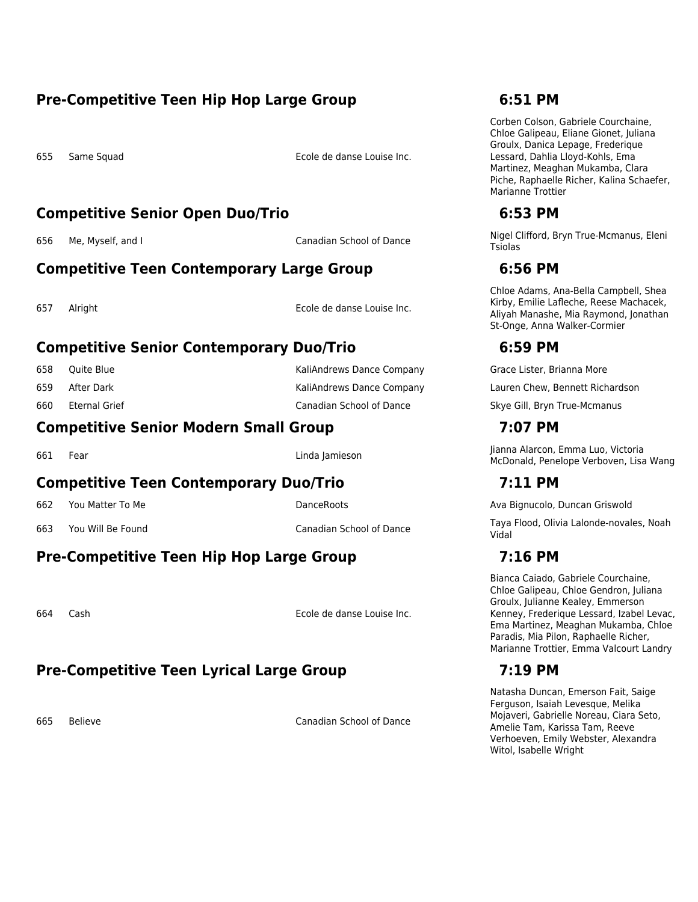### **Pre-Competitive Teen Hip Hop Large Group 6:51 PM**

655 Same Squad Ecole de danse Louise Inc.

### **Competitive Senior Open Duo/Trio 6:53 PM**

### **Competitive Teen Contemporary Large Group 6:56 PM**

| 657 | Alright |
|-----|---------|
|     |         |

Ecole de danse Louise Inc.

### **Competitive Senior Contemporary Duo/Trio 6:59 PM**

| 658 | Ouite Blue    | KaliAndrews Dance Company |
|-----|---------------|---------------------------|
| 659 | After Dark    | KaliAndrews Dance Company |
| 660 | Eternal Grief | Canadian School of Dance  |

### **Competitive Senior Modern Small Group 7:07 PM**

### **Competitive Teen Contemporary Duo/Trio 7:11 PM**

# **Pre-Competitive Teen Hip Hop Large Group 7:16 PM**

664 Cash Ecole de danse Louise Inc.

# **Pre-Competitive Teen Lyrical Large Group 7:19 PM**

665 Believe Canadian School of Dance

Corben Colson, Gabriele Courchaine, Chloe Galipeau, Eliane Gionet, Juliana Groulx, Danica Lepage, Frederique Lessard, Dahlia Lloyd-Kohls, Ema Martinez, Meaghan Mukamba, Clara Piche, Raphaelle Richer, Kalina Schaefer, Marianne Trottier

656 Me, Myself, and I Canadian School of Dance Nigel Clifford, Bryn True-Mcmanus, Eleni Tsiolas

Chloe Adams, Ana-Bella Campbell, Shea Kirby, Emilie Lafleche, Reese Machacek, Aliyah Manashe, Mia Raymond, Jonathan St-Onge, Anna Walker-Cormier

Grace Lister, Brianna More

Lauren Chew, Bennett Richardson

Skye Gill, Bryn True-Mcmanus

<sup>661</sup> Fear Linda Jamieson Jianna Alarcon, Emma Luo, Victoria McDonald, Penelope Verboven, Lisa Wang

662 You Matter To Me DanceRoots DanceRoots Ava Bignucolo, Duncan Griswold

<sup>663</sup> You Will Be Found Canadian School of Dance Taya Flood, Olivia Lalonde-novales, Noah Vidal

Bianca Caiado, Gabriele Courchaine, Chloe Galipeau, Chloe Gendron, Juliana Groulx, Julianne Kealey, Emmerson Kenney, Frederique Lessard, Izabel Levac, Ema Martinez, Meaghan Mukamba, Chloe Paradis, Mia Pilon, Raphaelle Richer, Marianne Trottier, Emma Valcourt Landry

Natasha Duncan, Emerson Fait, Saige Ferguson, Isaiah Levesque, Melika Mojaveri, Gabrielle Noreau, Ciara Seto, Amelie Tam, Karissa Tam, Reeve Verhoeven, Emily Webster, Alexandra Witol, Isabelle Wright